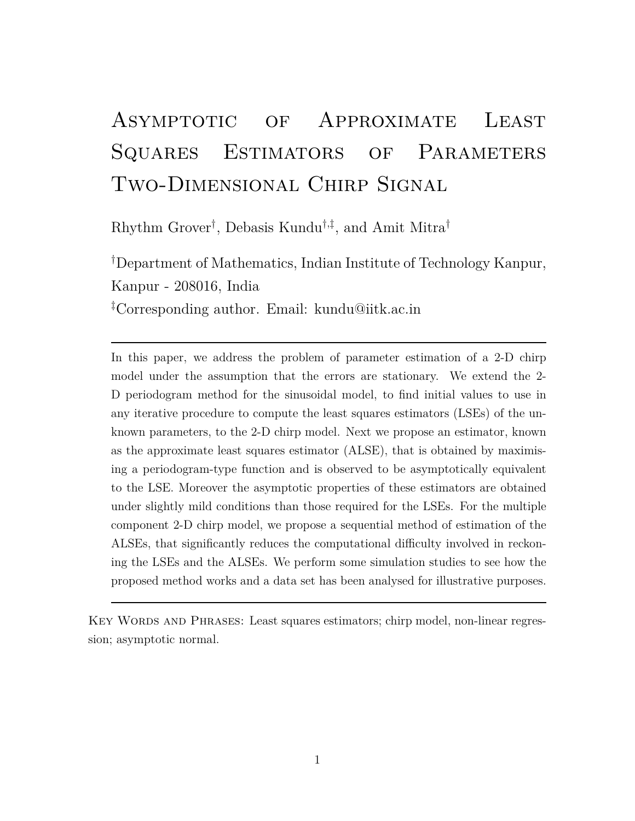# Asymptotic of Approximate Least SQUARES ESTIMATORS OF PARAMETERS Two-Dimensional Chirp Signal

Rhythm Grover† , Debasis Kundu†,‡ , and Amit Mitra†

†Department of Mathematics, Indian Institute of Technology Kanpur, Kanpur - 208016, India ‡Corresponding author. Email: kundu@iitk.ac.in

In this paper, we address the problem of parameter estimation of a 2-D chirp model under the assumption that the errors are stationary. We extend the 2- D periodogram method for the sinusoidal model, to find initial values to use in any iterative procedure to compute the least squares estimators (LSEs) of the unknown parameters, to the 2-D chirp model. Next we propose an estimator, known as the approximate least squares estimator (ALSE), that is obtained by maximising a periodogram-type function and is observed to be asymptotically equivalent to the LSE. Moreover the asymptotic properties of these estimators are obtained under slightly mild conditions than those required for the LSEs. For the multiple component 2-D chirp model, we propose a sequential method of estimation of the ALSEs, that significantly reduces the computational difficulty involved in reckoning the LSEs and the ALSEs. We perform some simulation studies to see how the proposed method works and a data set has been analysed for illustrative purposes.

KEY WORDS AND PHRASES: Least squares estimators; chirp model, non-linear regression; asymptotic normal.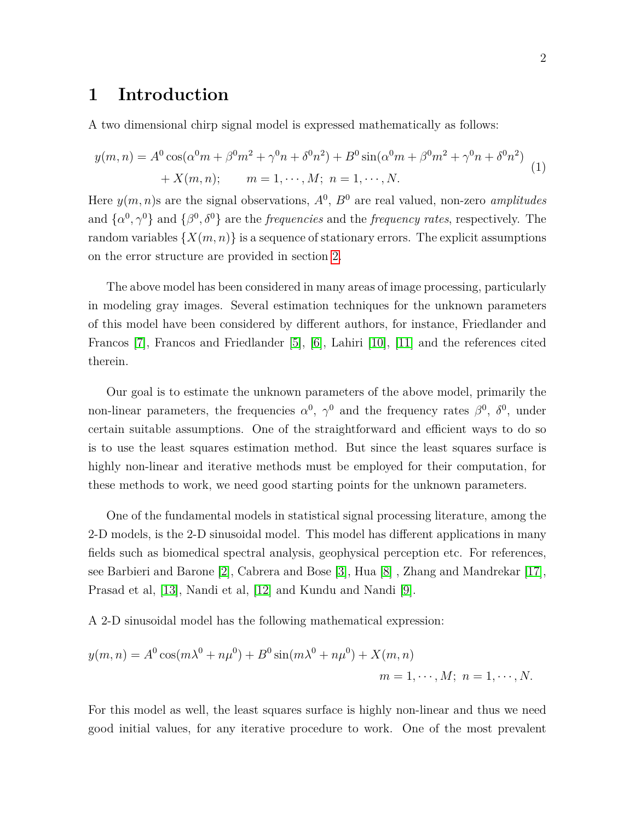### **1 Introduction**

A two dimensional chirp signal model is expressed mathematically as follows:

<span id="page-1-0"></span>
$$
y(m,n) = A^{0} \cos(\alpha^{0} m + \beta^{0} m^{2} + \gamma^{0} n + \delta^{0} n^{2}) + B^{0} \sin(\alpha^{0} m + \beta^{0} m^{2} + \gamma^{0} n + \delta^{0} n^{2}) + X(m,n); \qquad m = 1, \cdots, M; \ n = 1, \cdots, N.
$$
 (1)

Here  $y(m, n)$ s are the signal observations,  $A^0$ ,  $B^0$  are real valued, non-zero *amplitudes* and  $\{\alpha^0, \gamma^0\}$  and  $\{\beta^0, \delta^0\}$  are the *frequencies* and the *frequency rates*, respectively. The random variables  $\{X(m, n)\}\$ is a sequence of stationary errors. The explicit assumptions on the error structure are provided in section [2.](#page-3-0)

The above model has been considered in many areas of image processing, particularly in modeling gray images. Several estimation techniques for the unknown parameters of this model have been considered by different authors, for instance, Friedlander and Francos [\[7\]](#page-40-0), Francos and Friedlander [\[5\]](#page-39-0), [\[6\]](#page-40-1), Lahiri [\[10\]](#page-40-2), [\[11\]](#page-40-3) and the references cited therein.

Our goal is to estimate the unknown parameters of the above model, primarily the non-linear parameters, the frequencies  $\alpha^0$ ,  $\gamma^0$  and the frequency rates  $\beta^0$ ,  $\delta^0$ , under certain suitable assumptions. One of the straightforward and efficient ways to do so is to use the least squares estimation method. But since the least squares surface is highly non-linear and iterative methods must be employed for their computation, for these methods to work, we need good starting points for the unknown parameters.

One of the fundamental models in statistical signal processing literature, among the 2-D models, is the 2-D sinusoidal model. This model has different applications in many fields such as biomedical spectral analysis, geophysical perception etc. For references, see Barbieri and Barone [\[2\]](#page-39-1), Cabrera and Bose [\[3\]](#page-39-2), Hua [\[8\]](#page-40-4) , Zhang and Mandrekar [\[17\]](#page-41-0), Prasad et al, [\[13\]](#page-40-5), Nandi et al, [\[12\]](#page-40-6) and Kundu and Nandi [\[9\]](#page-40-7).

A 2-D sinusoidal model has the following mathematical expression:

$$
y(m, n) = A^{0} \cos(m\lambda^{0} + n\mu^{0}) + B^{0} \sin(m\lambda^{0} + n\mu^{0}) + X(m, n)
$$
  

$$
m = 1, \dots, M; \ n = 1, \dots, N.
$$

For this model as well, the least squares surface is highly non-linear and thus we need good initial values, for any iterative procedure to work. One of the most prevalent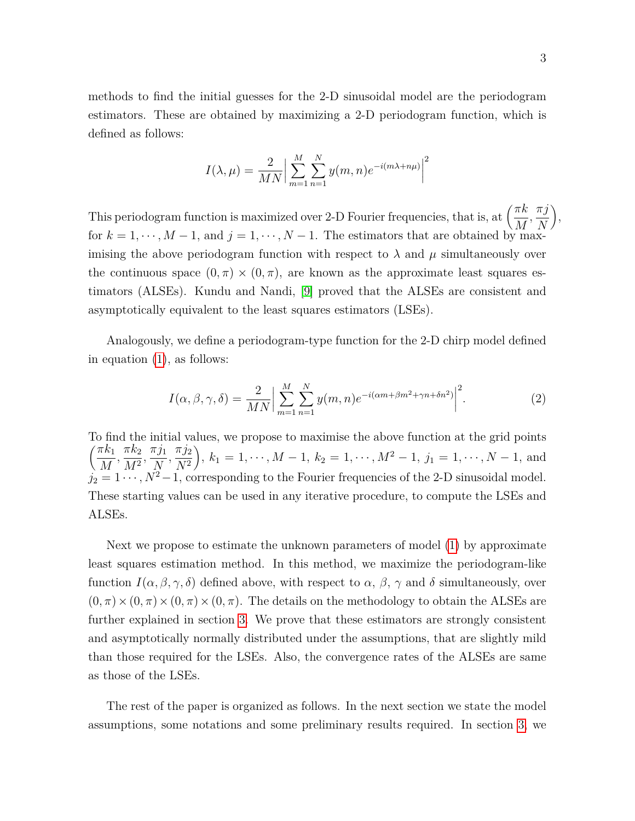methods to find the initial guesses for the 2-D sinusoidal model are the periodogram estimators. These are obtained by maximizing a 2-D periodogram function, which is defined as follows:

$$
I(\lambda, \mu) = \frac{2}{MN} \Big| \sum_{m=1}^{M} \sum_{n=1}^{N} y(m, n) e^{-i(m\lambda + n\mu)} \Big|^2
$$

This periodogram function is maximized over 2-D Fourier frequencies, that is, at  $\left(\frac{\pi k}{M}\right)$ *M , πj N*  $\bigg),$ for  $k = 1, \dots, M-1$ , and  $j = 1, \dots, N-1$ . The estimators that are obtained by maximising the above periodogram function with respect to  $\lambda$  and  $\mu$  simultaneously over the continuous space  $(0, \pi) \times (0, \pi)$ , are known as the approximate least squares estimators (ALSEs). Kundu and Nandi, [\[9\]](#page-40-7) proved that the ALSEs are consistent and asymptotically equivalent to the least squares estimators (LSEs).

Analogously, we define a periodogram-type function for the 2-D chirp model defined in equation [\(1\)](#page-1-0), as follows:

<span id="page-2-0"></span>
$$
I(\alpha, \beta, \gamma, \delta) = \frac{2}{MN} \Big| \sum_{m=1}^{M} \sum_{n=1}^{N} y(m, n) e^{-i(\alpha m + \beta m^2 + \gamma n + \delta n^2)} \Big|^2.
$$
 (2)

To find the initial values, we propose to maximise the above function at the grid points  $\pi k_1$ *M*  $\frac{\pi k_2}{\sqrt{2}}$  $\frac{\pi k_2}{M^2}, \frac{\pi j_1}{N}$ *N*  $\frac{\pi j_2}{\sqrt{2}}$ *N*<sup>2</sup>  $\bigg), k_1 = 1, \cdots, M-1, k_2 = 1, \cdots, M^2-1, j_1 = 1, \cdots, N-1$ , and  $j_2 = 1 \cdots$ ,  $N^2 - 1$ , corresponding to the Fourier frequencies of the 2-D sinusoidal model. These starting values can be used in any iterative procedure, to compute the LSEs and ALSEs.

Next we propose to estimate the unknown parameters of model [\(1\)](#page-1-0) by approximate least squares estimation method. In this method, we maximize the periodogram-like function  $I(\alpha, \beta, \gamma, \delta)$  defined above, with respect to  $\alpha$ ,  $\beta$ ,  $\gamma$  and  $\delta$  simultaneously, over  $(0, \pi) \times (0, \pi) \times (0, \pi) \times (0, \pi)$ . The details on the methodology to obtain the ALSEs are further explained in section [3.](#page-5-0) We prove that these estimators are strongly consistent and asymptotically normally distributed under the assumptions, that are slightly mild than those required for the LSEs. Also, the convergence rates of the ALSEs are same as those of the LSEs.

The rest of the paper is organized as follows. In the next section we state the model assumptions, some notations and some preliminary results required. In section [3,](#page-5-0) we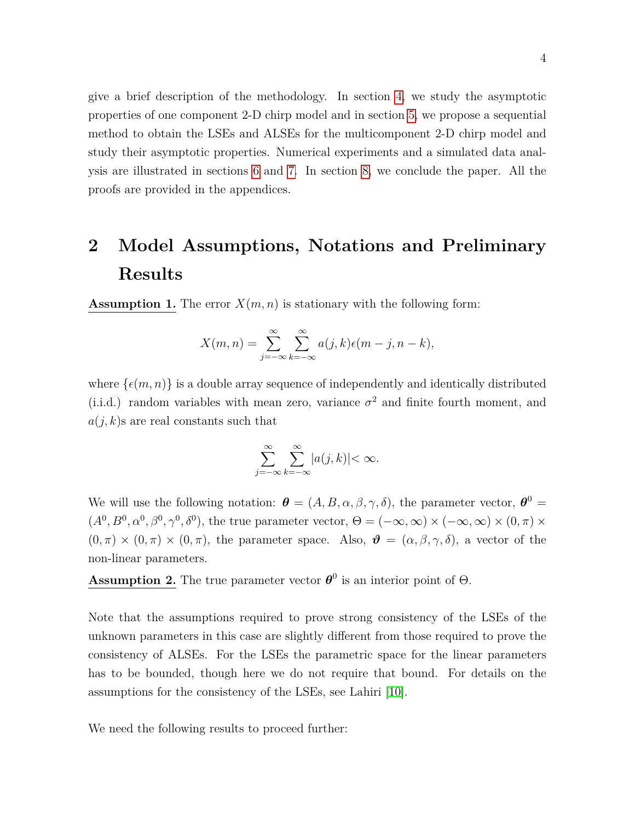give a brief description of the methodology. In section [4,](#page-7-0) we study the asymptotic properties of one component 2-D chirp model and in section [5,](#page-8-0) we propose a sequential method to obtain the LSEs and ALSEs for the multicomponent 2-D chirp model and study their asymptotic properties. Numerical experiments and a simulated data analysis are illustrated in sections [6](#page-11-0) and [7.](#page-17-0) In section [8,](#page-27-0) we conclude the paper. All the proofs are provided in the appendices.

# <span id="page-3-0"></span>**2 Model Assumptions, Notations and Preliminary Results**

**Assumption 1.** The error  $X(m, n)$  is stationary with the following form:

$$
X(m,n) = \sum_{j=-\infty}^{\infty} \sum_{k=-\infty}^{\infty} a(j,k)\epsilon(m-j,n-k),
$$

where  $\{\epsilon(m,n)\}\$ is a double array sequence of independently and identically distributed (i.i.d.) random variables with mean zero, variance  $\sigma^2$  and finite fourth moment, and  $a(j, k)$ s are real constants such that

$$
\sum_{j=-\infty}^{\infty}\sum_{k=-\infty}^{\infty}|a(j,k)| < \infty.
$$

We will use the following notation:  $\boldsymbol{\theta} = (A, B, \alpha, \beta, \gamma, \delta)$ , the parameter vector,  $\boldsymbol{\theta}^0 =$  $(A^0, B^0, \alpha^0, \beta^0, \gamma^0, \delta^0)$ , the true parameter vector,  $\Theta = (-\infty, \infty) \times (-\infty, \infty) \times (0, \pi) \times$  $(0, \pi) \times (0, \pi) \times (0, \pi)$ , the parameter space. Also,  $\mathbf{\vartheta} = (\alpha, \beta, \gamma, \delta)$ , a vector of the non-linear parameters.

**Assumption 2.** The true parameter vector  $\boldsymbol{\theta}^0$  is an interior point of  $\Theta$ .

Note that the assumptions required to prove strong consistency of the LSEs of the unknown parameters in this case are slightly different from those required to prove the consistency of ALSEs. For the LSEs the parametric space for the linear parameters has to be bounded, though here we do not require that bound. For details on the assumptions for the consistency of the LSEs, see Lahiri [\[10\]](#page-40-2).

We need the following results to proceed further: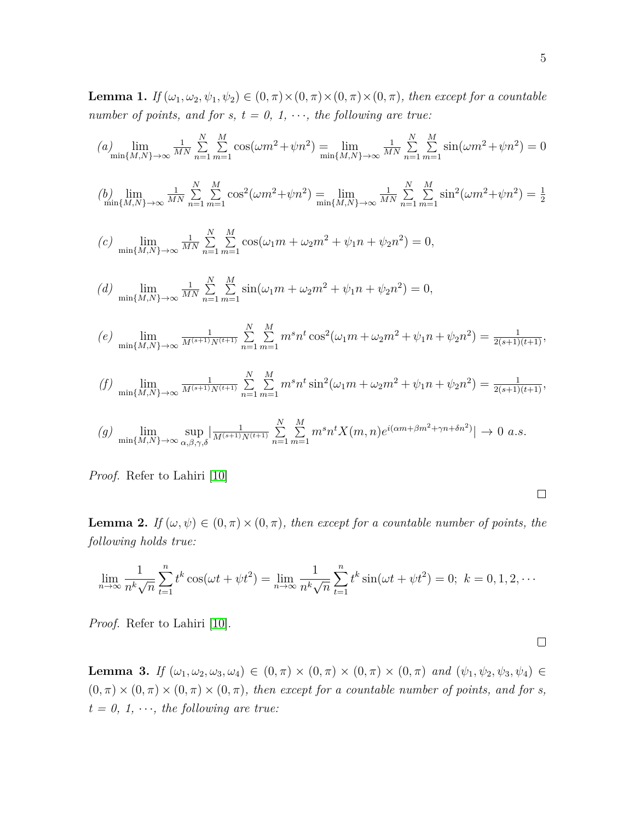<span id="page-4-0"></span>**Lemma 1.** *If*  $(\omega_1, \omega_2, \psi_1, \psi_2) \in (0, \pi) \times (0, \pi) \times (0, \pi) \times (0, \pi)$ , then except for a countable *number of points, and for s, t = 0, 1,*  $\cdots$ *, the following are true:* 

$$
(a) \lim_{\min\{M,N\}\to\infty} \frac{1}{MN} \sum_{n=1}^{N} \sum_{m=1}^{M} \cos(\omega m^2 + \psi n^2) = \lim_{\min\{M,N\}\to\infty} \frac{1}{MN} \sum_{n=1}^{N} \sum_{m=1}^{M} \sin(\omega m^2 + \psi n^2) = 0
$$

$$
\text{(b)} \lim_{\min\{M,N\}\to\infty} \frac{1}{MN} \sum_{n=1}^{N} \sum_{m=1}^{M} \cos^2(\omega m^2 + \psi n^2) = \lim_{\min\{M,N\}\to\infty} \frac{1}{MN} \sum_{n=1}^{N} \sum_{m=1}^{M} \sin^2(\omega m^2 + \psi n^2) = \frac{1}{2}
$$

$$
(c) \lim_{\min\{M,N\}\to\infty} \frac{1}{MN} \sum_{n=1}^{N} \sum_{m=1}^{M} \cos(\omega_1 m + \omega_2 m^2 + \psi_1 n + \psi_2 n^2) = 0,
$$

(d) 
$$
\lim_{\min\{M,N\}\to\infty} \frac{1}{MN} \sum_{n=1}^{N} \sum_{m=1}^{M} \sin((\omega_1 m + \omega_2 m^2 + \psi_1 n + \psi_2 n^2) = 0,
$$

$$
(e) \lim_{\min\{M,N\}\to\infty} \frac{1}{M^{(s+1)}N^{(t+1)}} \sum_{n=1}^{N} \sum_{m=1}^{M} m^s n^t \cos^2(\omega_1 m + \omega_2 m^2 + \psi_1 n + \psi_2 n^2) = \frac{1}{2(s+1)(t+1)},
$$

$$
(f) \lim_{\min\{M,N\}\to\infty} \frac{1}{M^{(s+1)}N^{(t+1)}} \sum_{n=1}^{N} \sum_{m=1}^{M} m^s n^t \sin^2(\omega_1 m + \omega_2 m^2 + \psi_1 n + \psi_2 n^2) = \frac{1}{2(s+1)(t+1)},
$$

$$
(g) \lim_{\min\{M,N\}\to\infty} \sup_{\alpha,\beta,\gamma,\delta} \left| \frac{1}{M^{(s+1)}N^{(t+1)}} \sum_{n=1}^N \sum_{m=1}^M m^s n^t X(m,n) e^{i(\alpha m + \beta m^2 + \gamma n + \delta n^2)} \right| \to 0 \text{ a.s.}
$$

*Proof.* Refer to Lahiri [\[10\]](#page-40-2)

<span id="page-4-1"></span>**Lemma 2.** *If*  $(\omega, \psi) \in (0, \pi) \times (0, \pi)$ *, then except for a countable number of points, the following holds true:*

$$
\lim_{n \to \infty} \frac{1}{n^k \sqrt{n}} \sum_{t=1}^n t^k \cos(\omega t + \psi t^2) = \lim_{n \to \infty} \frac{1}{n^k \sqrt{n}} \sum_{t=1}^n t^k \sin(\omega t + \psi t^2) = 0; \ k = 0, 1, 2, \cdots
$$

*Proof.* Refer to Lahiri [\[10\]](#page-40-2).

<span id="page-4-2"></span>**Lemma 3.** *If*  $(\omega_1, \omega_2, \omega_3, \omega_4) \in (0, \pi) \times (0, \pi) \times (0, \pi) \times (0, \pi)$  *and*  $(\psi_1, \psi_2, \psi_3, \psi_4) \in$  $(0, \pi) \times (0, \pi) \times (0, \pi) \times (0, \pi)$ , then except for a countable number of points, and for s,  $t = 0, 1, \cdots$ *, the following are true:* 

 $\Box$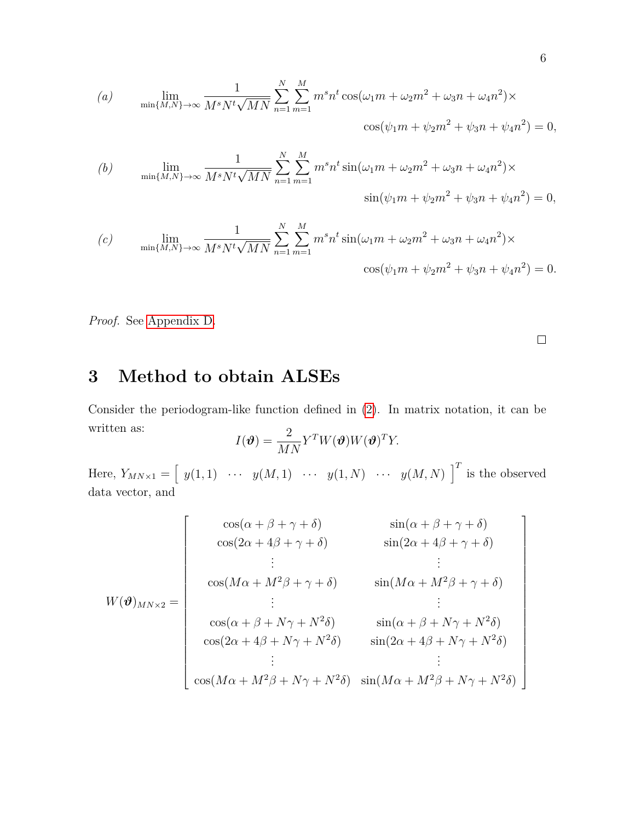(a) 
$$
\lim_{\min\{M,N\}\to\infty} \frac{1}{M^s N^t \sqrt{MN}} \sum_{n=1}^N \sum_{m=1}^M m^s n^t \cos(\omega_1 m + \omega_2 m^2 + \omega_3 n + \omega_4 n^2) \times \cos(\psi_1 m + \psi_2 m^2 + \psi_3 n + \psi_4 n^2) = 0,
$$

(b) 
$$
\lim_{\min\{M,N\}\to\infty} \frac{1}{M^s N^t \sqrt{MN}} \sum_{n=1}^N \sum_{m=1}^M m^s n^t \sin(\omega_1 m + \omega_2 m^2 + \omega_3 n + \omega_4 n^2) \times \sin(\psi_1 m + \psi_2 m^2 + \psi_3 n + \psi_4 n^2) = 0,
$$

(c) 
$$
\lim_{\min\{M,N\}\to\infty} \frac{1}{M^s N^t \sqrt{MN}} \sum_{n=1}^N \sum_{m=1}^M m^s n^t \sin(\omega_1 m + \omega_2 m^2 + \omega_3 n + \omega_4 n^2) \times \cos(\psi_1 m + \psi_2 m^2 + \psi_3 n + \psi_4 n^2) = 0.
$$

<span id="page-5-0"></span>*Proof.* See [Appendix D.](#page-37-0)

 $\Box$ 

# **3 Method to obtain ALSEs**

Consider the periodogram-like function defined in [\(2\)](#page-2-0). In matrix notation, it can be written as:  $I(\boldsymbol{\vartheta}) = \frac{2}{M N} Y^T W(\boldsymbol{\vartheta}) W(\boldsymbol{\vartheta})^T Y.$ 

$$
I(\boldsymbol{\vartheta}) = \frac{1}{MN} Y^T W(\boldsymbol{\vartheta}) W(\boldsymbol{\vartheta})^T Y.
$$

Here,  $Y_{MN\times 1} = \begin{bmatrix} y(1,1) & \cdots & y(M,1) & \cdots & y(1,N) & \cdots & y(M,N) \end{bmatrix}^T$  is the observed data vector, and

$$
W(\boldsymbol{\vartheta})_{MN\times 2} = \begin{bmatrix} \cos(\alpha + \beta + \gamma + \delta) & \sin(\alpha + \beta + \gamma + \delta) \\ \cos(2\alpha + 4\beta + \gamma + \delta) & \sin(2\alpha + 4\beta + \gamma + \delta) \\ \vdots & \vdots \\ \cos(M\alpha + M^{2}\beta + \gamma + \delta) & \sin(M\alpha + M^{2}\beta + \gamma + \delta) \\ \vdots & \vdots \\ \cos(\alpha + \beta + N\gamma + N^{2}\delta) & \sin(\alpha + \beta + N\gamma + N^{2}\delta) \\ \cos(2\alpha + 4\beta + N\gamma + N^{2}\delta) & \sin(2\alpha + 4\beta + N\gamma + N^{2}\delta) \\ \vdots & \vdots \\ \cos(M\alpha + M^{2}\beta + N\gamma + N^{2}\delta) & \sin(M\alpha + M^{2}\beta + N\gamma + N^{2}\delta) \end{bmatrix}
$$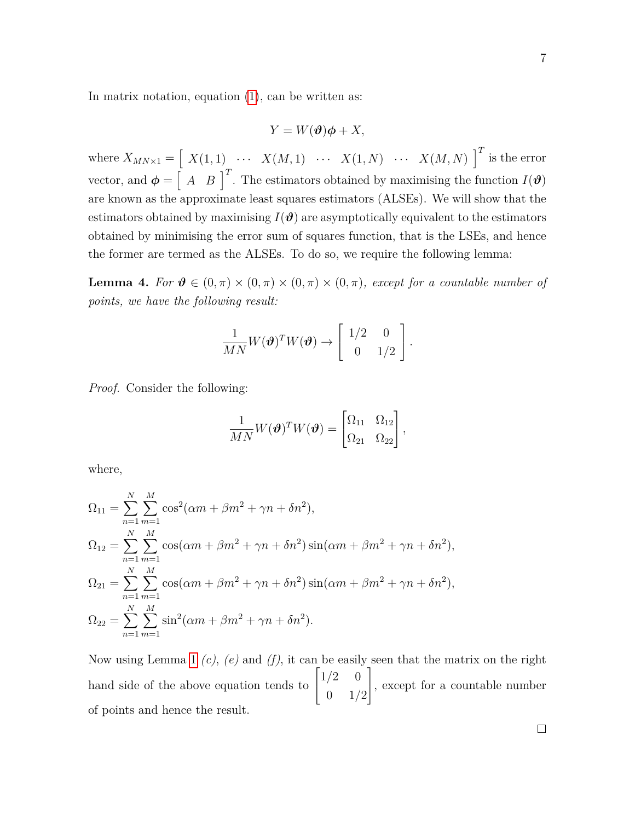In matrix notation, equation  $(1)$ , can be written as:

$$
Y = W(\boldsymbol{\vartheta})\boldsymbol{\phi} + X,
$$

where  $X_{MN\times 1} = \begin{bmatrix} X(1,1) & \cdots & X(M,1) & \cdots & X(1,N) & \cdots & X(M,N) \end{bmatrix}^T$  is the error vector, and  $\boldsymbol{\phi} = \begin{bmatrix} A & B \end{bmatrix}^T$ . The estimators obtained by maximising the function  $I(\boldsymbol{\vartheta})$ are known as the approximate least squares estimators (ALSEs). We will show that the estimators obtained by maximising  $I(\theta)$  are asymptotically equivalent to the estimators obtained by minimising the error sum of squares function, that is the LSEs, and hence the former are termed as the ALSEs. To do so, we require the following lemma:

**Lemma 4.** *For*  $\theta \in (0, \pi) \times (0, \pi) \times (0, \pi) \times (0, \pi)$ , *except for a countable number of points, we have the following result:*

$$
\frac{1}{MN}W(\boldsymbol{\vartheta})^TW(\boldsymbol{\vartheta}) \to \left[\begin{array}{cc}1/2 & 0\\0 & 1/2\end{array}\right].
$$

*Proof.* Consider the following:

$$
\frac{1}{MN}W(\boldsymbol{\vartheta})^T W(\boldsymbol{\vartheta}) = \begin{bmatrix} \Omega_{11} & \Omega_{12} \\ \Omega_{21} & \Omega_{22} \end{bmatrix},
$$

where,

$$
\Omega_{11} = \sum_{n=1}^{N} \sum_{m=1}^{M} \cos^{2}(\alpha m + \beta m^{2} + \gamma n + \delta n^{2}),
$$
  
\n
$$
\Omega_{12} = \sum_{n=1}^{N} \sum_{m=1}^{M} \cos(\alpha m + \beta m^{2} + \gamma n + \delta n^{2}) \sin(\alpha m + \beta m^{2} + \gamma n + \delta n^{2}),
$$
  
\n
$$
\Omega_{21} = \sum_{n=1}^{N} \sum_{m=1}^{M} \cos(\alpha m + \beta m^{2} + \gamma n + \delta n^{2}) \sin(\alpha m + \beta m^{2} + \gamma n + \delta n^{2}),
$$
  
\n
$$
\Omega_{22} = \sum_{n=1}^{N} \sum_{m=1}^{M} \sin^{2}(\alpha m + \beta m^{2} + \gamma n + \delta n^{2}).
$$

Now using Lemma [1](#page-4-0) *(c)*, *(e)* and *(f)*, it can be easily seen that the matrix on the right hand side of the above equation tends to  $\lceil$  $\overline{1}$  $1/2 \t 0$ 0 1*/*2 1 , except for a countable number of points and hence the result.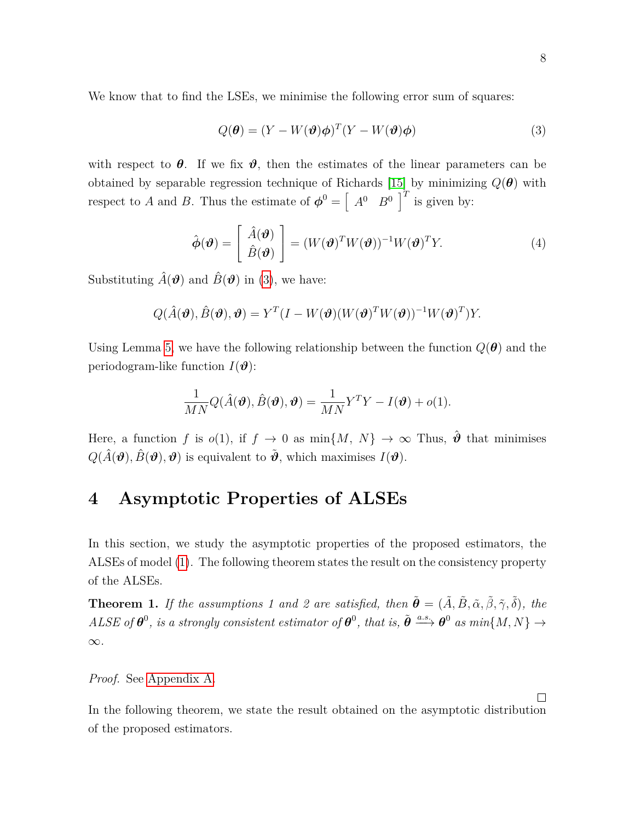We know that to find the LSEs, we minimise the following error sum of squares:

<span id="page-7-1"></span>
$$
Q(\boldsymbol{\theta}) = (Y - W(\boldsymbol{\vartheta})\boldsymbol{\phi})^T (Y - W(\boldsymbol{\vartheta})\boldsymbol{\phi})
$$
\n(3)

with respect to  $\theta$ . If we fix  $\vartheta$ , then the estimates of the linear parameters can be obtained by separable regression technique of Richards [\[15\]](#page-40-8) by minimizing *Q*(*θ*) with respect to *A* and *B*. Thus the estimate of  $\boldsymbol{\phi}^0 = \begin{bmatrix} A^0 & B^0 \end{bmatrix}^T$  is given by:

<span id="page-7-2"></span>
$$
\hat{\boldsymbol{\phi}}(\boldsymbol{\vartheta}) = \begin{bmatrix} \hat{A}(\boldsymbol{\vartheta}) \\ \hat{B}(\boldsymbol{\vartheta}) \end{bmatrix} = (W(\boldsymbol{\vartheta})^T W(\boldsymbol{\vartheta}))^{-1} W(\boldsymbol{\vartheta})^T Y. \tag{4}
$$

Substituting  $\hat{A}(\boldsymbol{\theta})$  and  $\hat{B}(\boldsymbol{\theta})$  in [\(3\)](#page-7-1), we have:

$$
Q(\hat{A}(\boldsymbol{\vartheta}), \hat{B}(\boldsymbol{\vartheta}), \boldsymbol{\vartheta}) = Y^T(I - W(\boldsymbol{\vartheta}) (W(\boldsymbol{\vartheta})^T W(\boldsymbol{\vartheta}))^{-1} W(\boldsymbol{\vartheta})^T) Y.
$$

Using Lemma [5,](#page-28-0) we have the following relationship between the function  $Q(\theta)$  and the periodogram-like function  $I(\boldsymbol{\vartheta})$ :

$$
\frac{1}{MN}Q(\hat{A}(\boldsymbol{\vartheta}),\hat{B}(\boldsymbol{\vartheta}),\boldsymbol{\vartheta})=\frac{1}{MN}Y^{T}Y-I(\boldsymbol{\vartheta})+o(1).
$$

Here, a function *f* is  $o(1)$ , if  $f \to 0$  as  $\min\{M, N\} \to \infty$  Thus,  $\hat{\theta}$  that minimises  $Q(\hat{A}(\boldsymbol{\vartheta}), \hat{B}(\boldsymbol{\vartheta}), \boldsymbol{\vartheta})$  is equivalent to  $\tilde{\boldsymbol{\vartheta}}$ , which maximises  $I(\boldsymbol{\vartheta})$ .

### <span id="page-7-0"></span>**4 Asymptotic Properties of ALSEs**

In this section, we study the asymptotic properties of the proposed estimators, the ALSEs of model [\(1\)](#page-1-0). The following theorem states the result on the consistency property of the ALSEs.

<span id="page-7-3"></span>**Theorem 1.** *If the assumptions 1 and 2 are satisfied, then*  $\tilde{\boldsymbol{\theta}} = (\tilde{A}, \tilde{B}, \tilde{\alpha}, \tilde{\beta}, \tilde{\gamma}, \tilde{\delta})$ , the  $A LSE$  *of*  $\theta^0$ , *is a strongly consistent estimator of*  $\theta^0$ , *that is,*  $\tilde{\theta} \stackrel{a.s.}{\longrightarrow} \theta^0$  *as min*{*M,N*}  $\rightarrow$ ∞*.*

*Proof.* See [Appendix A.](#page-28-1)

In the following theorem, we state the result obtained on the asymptotic distribution of the proposed estimators.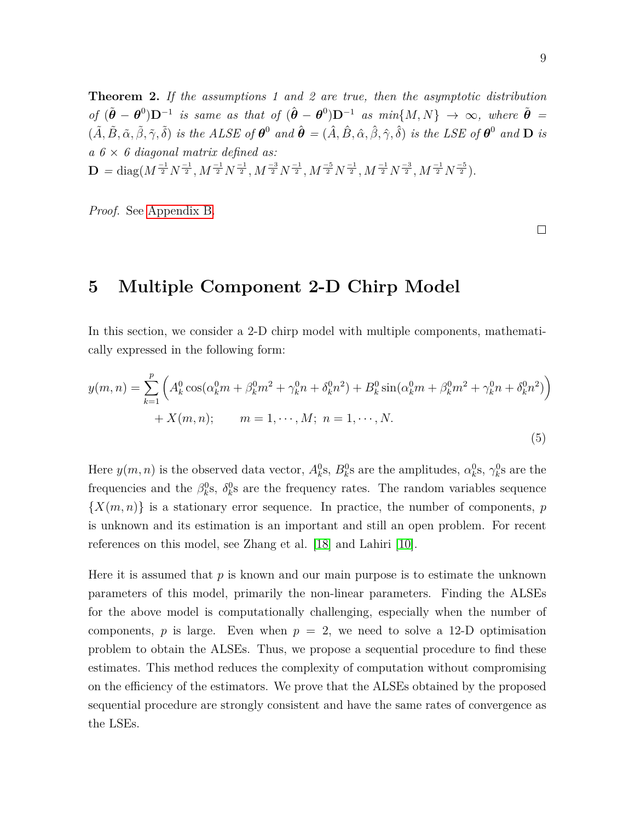<span id="page-8-1"></span>**Theorem 2.** *If the assumptions 1 and 2 are true, then the asymptotic distribution of*  $(\tilde{\theta} - \theta^0)\mathbf{D}^{-1}$  *is same as that of*  $(\hat{\theta} - \theta^0)\mathbf{D}^{-1}$  *as min*{*M, N*}  $\rightarrow \infty$ *, where*  $\tilde{\theta} =$  $(\tilde{A}, \tilde{B}, \tilde{\alpha}, \tilde{\beta}, \tilde{\gamma}, \tilde{\delta})$  is the ALSE of  $\theta^0$  and  $\hat{\theta} = (\hat{A}, \hat{B}, \hat{\alpha}, \hat{\beta}, \hat{\gamma}, \hat{\delta})$  is the LSE of  $\theta^0$  and  $D$  is *a 6* × *6 diagonal matrix defined as:*  $\mathbf{D} = \mathrm{diag}(M^{\frac{-1}{2}}N^{\frac{-1}{2}}, M^{\frac{-1}{2}}N^{\frac{-1}{2}}, M^{\frac{-3}{2}}N^{\frac{-1}{2}}, M^{\frac{-5}{2}}N^{\frac{-1}{2}}, M^{\frac{-1}{2}}N^{\frac{-3}{2}}, M^{\frac{-1}{2}}N^{\frac{-3}{2}}).$ 

*Proof.* See [Appendix B.](#page-31-0)

 $\Box$ 

# <span id="page-8-0"></span>**5 Multiple Component 2-D Chirp Model**

In this section, we consider a 2-D chirp model with multiple components, mathematically expressed in the following form:

<span id="page-8-2"></span>
$$
y(m,n) = \sum_{k=1}^{p} \left( A_k^0 \cos(\alpha_k^0 m + \beta_k^0 m^2 + \gamma_k^0 n + \delta_k^0 n^2) + B_k^0 \sin(\alpha_k^0 m + \beta_k^0 m^2 + \gamma_k^0 n + \delta_k^0 n^2) \right) + X(m,n); \qquad m = 1, \cdots, M; \ n = 1, \cdots, N.
$$
\n
$$
(5)
$$

Here  $y(m, n)$  is the observed data vector,  $A_k^0$ s,  $B_k^0$ s are the amplitudes,  $\alpha_k^0$ s,  $\gamma_k^0$ s are the frequencies and the  $\beta_k^0$ s,  $\delta_k^0$ s are the frequency rates. The random variables sequence  $\{X(m,n)\}\$ is a stationary error sequence. In practice, the number of components, *p* is unknown and its estimation is an important and still an open problem. For recent references on this model, see Zhang et al. [\[18\]](#page-41-1) and Lahiri [\[10\]](#page-40-2).

Here it is assumed that  $p$  is known and our main purpose is to estimate the unknown parameters of this model, primarily the non-linear parameters. Finding the ALSEs for the above model is computationally challenging, especially when the number of components,  $p$  is large. Even when  $p = 2$ , we need to solve a 12-D optimisation problem to obtain the ALSEs. Thus, we propose a sequential procedure to find these estimates. This method reduces the complexity of computation without compromising on the efficiency of the estimators. We prove that the ALSEs obtained by the proposed sequential procedure are strongly consistent and have the same rates of convergence as the LSEs.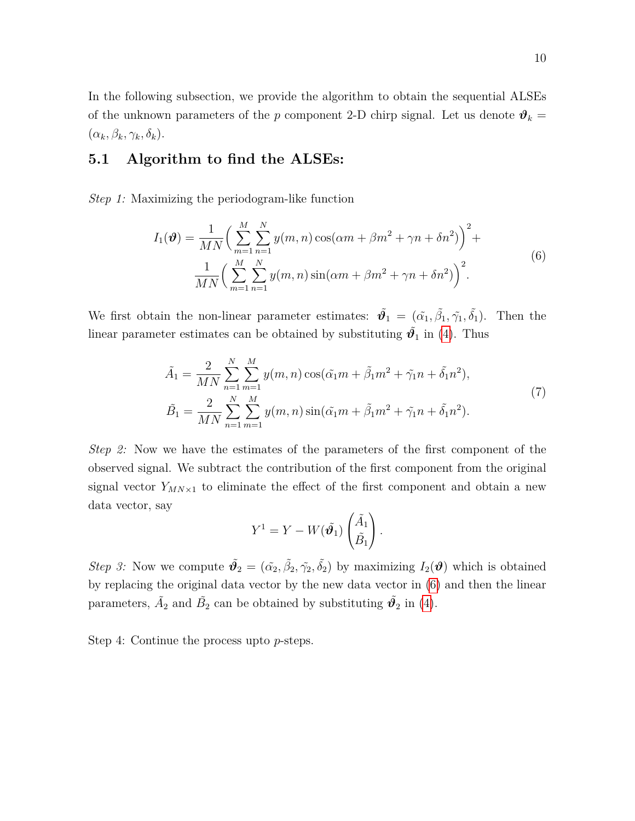In the following subsection, we provide the algorithm to obtain the sequential ALSEs of the unknown parameters of the *p* component 2-D chirp signal. Let us denote  $\mathbf{\vartheta}_k =$  $(\alpha_k, \beta_k, \gamma_k, \delta_k).$ 

#### **5.1 Algorithm to find the ALSEs:**

<span id="page-9-0"></span>*Step 1:* Maximizing the periodogram-like function

$$
I_1(\boldsymbol{\vartheta}) = \frac{1}{MN} \bigg( \sum_{m=1}^{M} \sum_{n=1}^{N} y(m,n) \cos(\alpha m + \beta m^2 + \gamma n + \delta n^2) \bigg)^2 + \frac{1}{MN} \bigg( \sum_{m=1}^{M} \sum_{n=1}^{N} y(m,n) \sin(\alpha m + \beta m^2 + \gamma n + \delta n^2) \bigg)^2.
$$
 (6)

We first obtain the non-linear parameter estimates:  $\tilde{\theta}_1 = (\tilde{\alpha}_1, \tilde{\beta}_1, \tilde{\gamma}_1, \tilde{\delta}_1)$ . Then the linear parameter estimates can be obtained by substituting  $\tilde{\vartheta}_1$  in [\(4\)](#page-7-2). Thus

$$
\tilde{A}_1 = \frac{2}{MN} \sum_{n=1}^{N} \sum_{m=1}^{M} y(m, n) \cos(\tilde{\alpha}_1 m + \tilde{\beta}_1 m^2 + \tilde{\gamma}_1 n + \tilde{\delta}_1 n^2), \n\tilde{B}_1 = \frac{2}{MN} \sum_{n=1}^{N} \sum_{m=1}^{M} y(m, n) \sin(\tilde{\alpha}_1 m + \tilde{\beta}_1 m^2 + \tilde{\gamma}_1 n + \tilde{\delta}_1 n^2).
$$
\n(7)

*Step 2:* Now we have the estimates of the parameters of the first component of the observed signal. We subtract the contribution of the first component from the original signal vector  $Y_{MN\times 1}$  to eliminate the effect of the first component and obtain a new data vector, say

$$
Y^{1} = Y - W(\tilde{\boldsymbol{\vartheta}_1}) \begin{pmatrix} \tilde{A}_1 \\ \tilde{B}_1 \end{pmatrix}.
$$

*Step 3:* Now we compute  $\tilde{\mathbf{\theta}}_2 = (\tilde{\alpha_2}, \tilde{\beta_2}, \tilde{\gamma_2}, \tilde{\delta_2})$  by maximizing  $I_2(\mathbf{\theta})$  which is obtained by replacing the original data vector by the new data vector in [\(6\)](#page-9-0) and then the linear parameters,  $\tilde{A}_2$  and  $\tilde{B}_2$  can be obtained by substituting  $\tilde{\mathbf{v}_2}$  in [\(4\)](#page-7-2).

Step 4: Continue the process upto *p*-steps.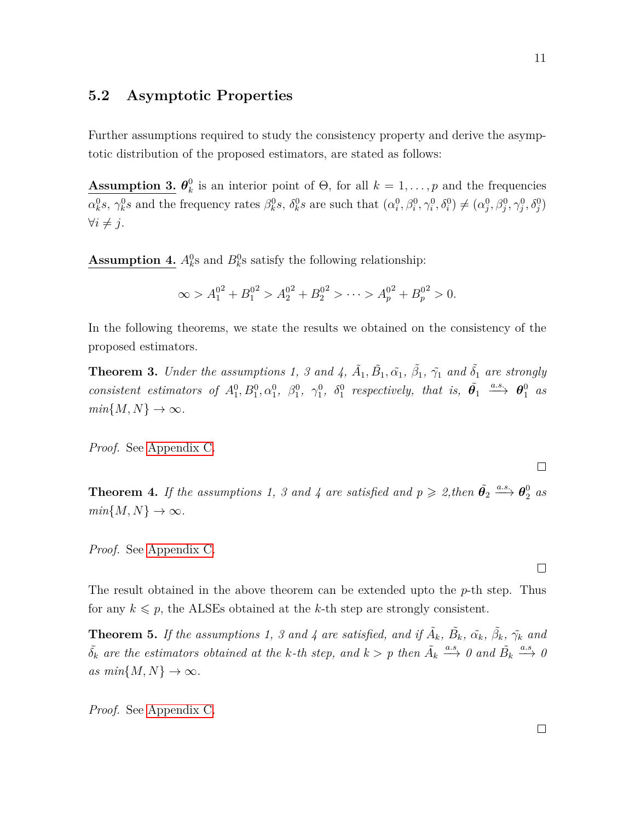#### **5.2 Asymptotic Properties**

Further assumptions required to study the consistency property and derive the asymptotic distribution of the proposed estimators, are stated as follows:

 $\textbf{Assumption 3.} \ \theta_k^0$  $\mathcal{L}_{k}^{0}$  is an interior point of  $\Theta$ , for all  $k = 1, \ldots, p$  and the frequencies  $\alpha_k^0$ s,  $\gamma_k^0$ s and the frequency rates  $\beta_k^0$ s,  $\delta_k^0$ s are such that  $(\alpha_i^0, \beta_i^0, \gamma_i^0, \delta_i^0) \neq (\alpha_j^0, \beta_j^0, \gamma_j^0, \delta_j^0)$  $∀i ≠ j.$ 

**Assumption 4.**  $A_k^0$  and  $B_k^0$  satisfy the following relationship:

$$
\infty > A_1^{0^2} + B_1^{0^2} > A_2^{0^2} + B_2^{0^2} > \dots > A_p^{0^2} + B_p^{0^2} > 0.
$$

In the following theorems, we state the results we obtained on the consistency of the proposed estimators.

<span id="page-10-0"></span>**Theorem 3.** *Under the assumptions 1, 3 and 4,*  $\tilde{A}_1$ ,  $\tilde{B}_1$ ,  $\tilde{\alpha}_1$ ,  $\tilde{\beta}_1$ ,  $\tilde{\gamma}_1$  *and*  $\tilde{\delta}_1$  *are strongly consistent estimators of*  $A_1^0, B_1^0, \alpha_1^0, \beta_1^0, \gamma_1^0, \delta_1^0$  respectively, that is,  $\tilde{\theta}_1 \stackrel{a.s.}{\longrightarrow} \theta_1^0$  as  $min\{M, N\} \rightarrow \infty$ .

*Proof.* See [Appendix C.](#page-33-0)

**Theorem 4.** If the assumptions 1, 3 and 4 are satisfied and  $p \ge 2$ , then  $\tilde{\theta_2} \stackrel{a.s.}{\longrightarrow} \theta_2^0$  as  $min{M, N} \rightarrow \infty$ .

*Proof.* See [Appendix C.](#page-33-0)

The result obtained in the above theorem can be extended upto the *p*-th step. Thus for any  $k \leq p$ , the ALSEs obtained at the *k*-th step are strongly consistent.

**Theorem 5.** *If the assumptions 1, 3 and 4 are satisfied, and if*  $\tilde{A}_k$ *,*  $\tilde{B}_k$ *,*  $\tilde{\alpha}_k$ *,*  $\tilde{\beta}_k$ *,*  $\tilde{\gamma}_k$  and  $\tilde{\delta_k}$  are the estimators obtained at the k-th step, and  $k > p$  then  $\tilde{A_k} \stackrel{a.s}{\longrightarrow} 0$  and  $\tilde{B_k} \stackrel{a.s}{\longrightarrow} 0$  $as min{M, N} \rightarrow \infty$ .

*Proof.* See [Appendix C.](#page-33-0)

 $\Box$ 

 $\Box$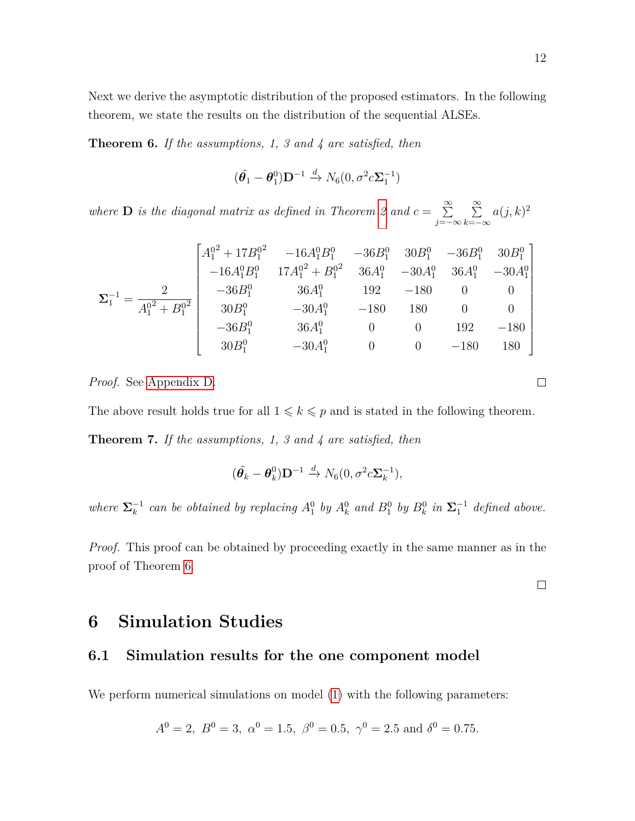Next we derive the asymptotic distribution of the proposed estimators. In the following theorem, we state the results on the distribution of the sequential ALSEs.

<span id="page-11-1"></span>**Theorem 6.** *If the assumptions, 1, 3 and 4 are satisfied, then*

$$
(\tilde{\theta}_1 - \theta_1^0) \mathbf{D}^{-1} \xrightarrow{d} N_6(0, \sigma^2 c \mathbf{\Sigma}_1^{-1})
$$

*where* **D** *is the diagonal matrix as defined in Theorem [2](#page-8-1) and*  $c = \sum_{n=1}^{\infty}$ *j*=−∞  $\sum_{i=1}^{\infty}$ *k*=−∞  $a(j,k)^2$ 

$$
\Sigma_1^{-1} = \frac{2}{A_1^{0^2} + B_1^{0^2}} \begin{bmatrix} A_1^{0^2} + 17B_1^{0^2} & -16A_1^{0}B_1^{0} & -36B_1^{0} & 30B_1^{0} & -36B_1^{0} & 30B_1^{0} \\ -16A_1^{0}B_1^{0} & 17A_1^{0^2} + B_1^{0^2} & 36A_1^{0} & -30A_1^{0} & 36A_1^{0} & -30A_1^{0} \\ -36B_1^{0} & 36A_1^{0} & 192 & -180 & 0 & 0 \\ 30B_1^{0} & -30A_1^{0} & -180 & 180 & 0 & 0 \\ 30B_1^{0} & -30A_1^{0} & 0 & 0 & 192 & -180 \\ 30B_1^{0} & -30A_1^{0} & 0 & 0 & -180 & 180 \end{bmatrix}
$$

*Proof.* See [Appendix D.](#page-37-0)

The above result holds true for all  $1 \leq k \leq p$  and is stated in the following theorem.

**Theorem 7.** *If the assumptions, 1, 3 and 4 are satisfied, then*

$$
(\tilde{\boldsymbol{\theta}_k} - \boldsymbol{\theta}_k^0)\mathbf{D}^{-1} \xrightarrow{d} N_6(0, \sigma^2 c \mathbf{\Sigma}_k^{-1}),
$$

*where*  $\Sigma_k^{-1}$  *can be obtained by replacing*  $A_1^0$  *by*  $A_k^0$  *and*  $B_1^0$  *by*  $B_k^0$  *in*  $\Sigma_1^{-1}$  *defined above.* 

*Proof.* This proof can be obtained by proceeding exactly in the same manner as in the proof of Theorem [6.](#page-11-1)

 $\Box$ 

### <span id="page-11-0"></span>**6 Simulation Studies**

#### **6.1 Simulation results for the one component model**

We perform numerical simulations on model  $(1)$  with the following parameters:

$$
A^0 = 2
$$
,  $B^0 = 3$ ,  $\alpha^0 = 1.5$ ,  $\beta^0 = 0.5$ ,  $\gamma^0 = 2.5$  and  $\delta^0 = 0.75$ .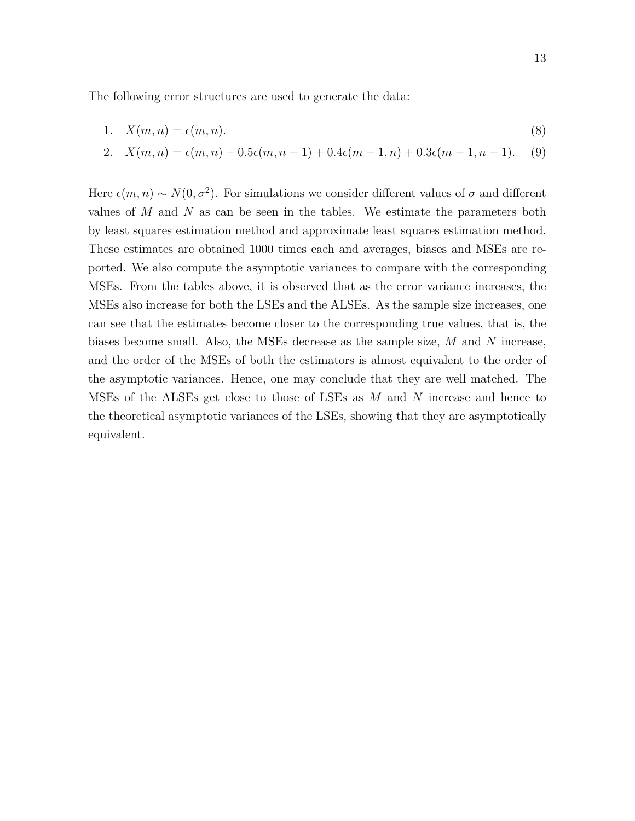The following error structures are used to generate the data:

1. 
$$
X(m,n) = \epsilon(m,n). \tag{8}
$$

<span id="page-12-1"></span><span id="page-12-0"></span>2. 
$$
X(m, n) = \epsilon(m, n) + 0.5\epsilon(m, n - 1) + 0.4\epsilon(m - 1, n) + 0.3\epsilon(m - 1, n - 1).
$$
 (9)

Here  $\epsilon(m, n) \sim N(0, \sigma^2)$ . For simulations we consider different values of  $\sigma$  and different values of *M* and *N* as can be seen in the tables. We estimate the parameters both by least squares estimation method and approximate least squares estimation method. These estimates are obtained 1000 times each and averages, biases and MSEs are reported. We also compute the asymptotic variances to compare with the corresponding MSEs. From the tables above, it is observed that as the error variance increases, the MSEs also increase for both the LSEs and the ALSEs. As the sample size increases, one can see that the estimates become closer to the corresponding true values, that is, the biases become small. Also, the MSEs decrease as the sample size, *M* and *N* increase, and the order of the MSEs of both the estimators is almost equivalent to the order of the asymptotic variances. Hence, one may conclude that they are well matched. The MSEs of the ALSEs get close to those of LSEs as *M* and *N* increase and hence to the theoretical asymptotic variances of the LSEs, showing that they are asymptotically equivalent.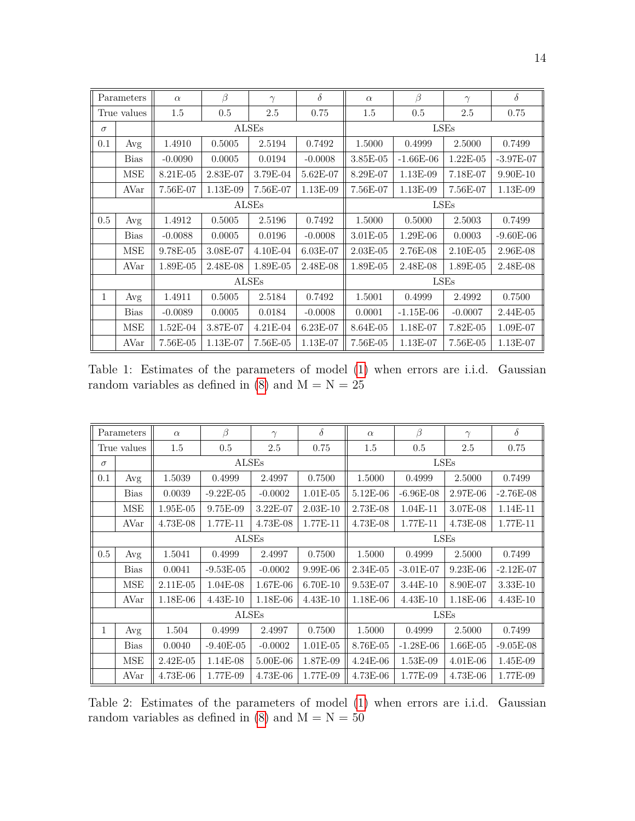|          | Parameters  | $\alpha$   | $\beta$  | $\gamma$   | $\delta$   | $\alpha$   | $\beta$     | $\gamma$   | $\delta$    |
|----------|-------------|------------|----------|------------|------------|------------|-------------|------------|-------------|
|          | True values | 1.5        | 0.5      | 2.5        | 0.75       | 1.5        | 0.5         | 2.5        | 0.75        |
| $\sigma$ |             |            |          | ALSEs      |            |            |             | LSEs       |             |
| 0.1      | Avg         | 1.4910     | 0.5005   | 2.5194     | 0.7492     | 1.5000     | 0.4999      | 2.5000     | 0.7499      |
|          | <b>Bias</b> | $-0.0090$  | 0.0005   | 0.0194     | $-0.0008$  | 3.85E-05   | $-1.66E-06$ | $1.22E-05$ | $-3.97E-07$ |
|          | MSE         | 8.21E-05   | 2.83E-07 | 3.79E-04   | 5.62E-07   | 8.29E-07   | 1.13E-09    | 7.18E-07   | 9.90E-10    |
|          | AVar        | 7.56E-07   | 1.13E-09 | 7.56E-07   | 1.13E-09   | 7.56E-07   | 1.13E-09    | 7.56E-07   | 1.13E-09    |
|          |             |            |          | ALSEs      |            |            | LSEs        |            |             |
| $0.5\,$  | Avg         | 1.4912     | 0.5005   | 2.5196     | 0.7492     | 1.5000     | 0.5000      | 2.5003     | 0.7499      |
|          | <b>Bias</b> | $-0.0088$  | 0.0005   | 0.0196     | $-0.0008$  | 3.01E-05   | 1.29E-06    | 0.0003     | $-9.60E-06$ |
|          | MSE         | 9.78E-05   | 3.08E-07 | $4.10E-04$ | 6.03E-07   | $2.03E-05$ | 2.76E-08    | $2.10E-05$ | 2.96E-08    |
|          | AVar        | 1.89E-05   | 2.48E-08 | $1.89E-05$ | 2.48E-08   | 1.89E-05   | 2.48E-08    | 1.89E-05   | 2.48E-08    |
|          |             |            |          | ALSEs      |            |            |             | LSEs       |             |
| 1        | Avg         | 1.4911     | 0.5005   | 2.5184     | 0.7492     | 1.5001     | 0.4999      | 2.4992     | 0.7500      |
|          | <b>Bias</b> | $-0.0089$  | 0.0005   | 0.0184     | $-0.0008$  | 0.0001     | $-1.15E-06$ | $-0.0007$  | 2.44E-05    |
|          | MSE         | $1.52E-04$ | 3.87E-07 | $4.21E-04$ | $6.23E-07$ | 8.64E-05   | 1.18E-07    | 7.82E-05   | 1.09E-07    |
|          | AVar        | 7.56E-05   | 1.13E-07 | 7.56E-05   | 1.13E-07   | 7.56E-05   | 1.13E-07    | 7.56E-05   | 1.13E-07    |

Table 1: Estimates of the parameters of model [\(1\)](#page-1-0) when errors are i.i.d. Gaussian random variables as defined in  $(8)$  and  $M = N = 25$ 

|          | Parameters  | $\alpha$     | $\beta$     | $\gamma$   | $\delta$   | $\alpha$   | β           | $\gamma$   | $\delta$    |
|----------|-------------|--------------|-------------|------------|------------|------------|-------------|------------|-------------|
|          | True values | 1.5          | 0.5         | 2.5        | 0.75       | 1.5        | 0.5         | 2.5        | 0.75        |
| $\sigma$ |             |              | ALSEs       |            |            |            | LSEs        |            |             |
| 0.1      | Avg         | 1.5039       | 0.4999      | 2.4997     | 0.7500     | 1.5000     | 0.4999      | 2.5000     | 0.7499      |
|          | <b>Bias</b> | 0.0039       | $-9.22E-05$ | $-0.0002$  | $1.01E-05$ | 5.12E-06   | $-6.96E-08$ | 2.97E-06   | $-2.76E-08$ |
|          | <b>MSE</b>  | 1.95E-05     | 9.75E-09    | $3.22E-07$ | $2.03E-10$ | 2.73E-08   | 1.04E-11    | 3.07E-08   | 1.14E-11    |
|          | AVar        | 4.73E-08     | 1.77E-11    | 4.73E-08   | 1.77E-11   | 4.73E-08   | 1.77E-11    | $4.73E-08$ | 1.77E-11    |
|          |             |              | ALSEs       |            |            |            | LSEs        |            |             |
| 0.5      | Avg         | 1.5041       | 0.4999      | 2.4997     | 0.7500     | 1.5000     | 0.4999      | 0.7499     |             |
|          | <b>Bias</b> | 0.0041       | $-9.53E-05$ | $-0.0002$  | 9.99E-06   | 2.34E-05   | $-3.01E-07$ | $9.23E-06$ | $-2.12E-07$ |
|          | <b>MSE</b>  | $2.11E-05$   | $1.04E-08$  | 1.67E-06   | 6.70E-10   | 9.53E-07   | 3.44E-10    | 8.90E-07   | 3.33E-10    |
|          | AVar        | 1.18E-06     | $4.43E-10$  | 1.18E-06   | $4.43E-10$ | 1.18E-06   | $4.43E-10$  | 1.18E-06   | $4.43E-10$  |
|          |             |              | ALSEs       |            |            |            |             | LSEs       |             |
| 1        | Avg         | 1.504        | 0.4999      | 2.4997     | 0.7500     | 1.5000     | 0.4999      | 2.5000     | 0.7499      |
|          | Bias        | 0.0040       | $-9.40E-05$ | $-0.0002$  | $1.01E-05$ | 8.76E-05   | $-1.28E-06$ | $1.66E-05$ | $-9.05E-08$ |
|          | <b>MSE</b>  | $2.42E - 05$ | $1.14E-08$  | 5.00E-06   | 1.87E-09   | $4.24E-06$ | 1.53E-09    | $4.01E-06$ | $1.45E-09$  |
|          | AVar        | 4.73E-06     | 1.77E-09    | 4.73E-06   | 1.77E-09   | 4.73E-06   | 1.77E-09    | 4.73E-06   | 1.77E-09    |

Table 2: Estimates of the parameters of model [\(1\)](#page-1-0) when errors are i.i.d. Gaussian random variables as defined in  $(8)$  and  $M = N = 50$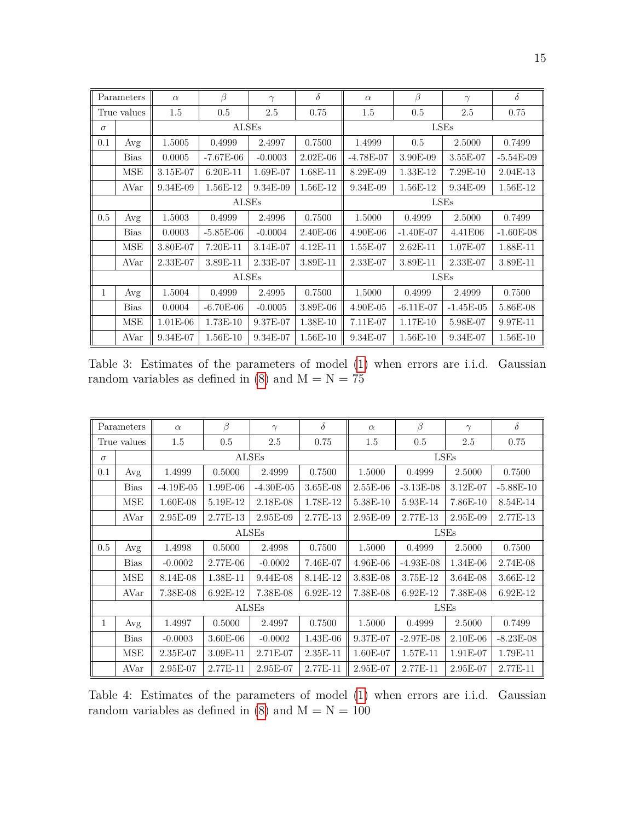|          | Parameters  | $\alpha$   | $\beta$     | $\gamma$   | $\delta$   | $\alpha$    | $\beta$                    | $\gamma$    | $\delta$    |  |
|----------|-------------|------------|-------------|------------|------------|-------------|----------------------------|-------------|-------------|--|
|          | True values | 1.5        | 0.5         | 2.5        | 0.75       | 1.5         | 0.5                        | 2.5         | 0.75        |  |
| $\sigma$ |             |            | ALSEs       |            |            |             |                            | LSEs        |             |  |
| 0.1      | Avg         | 1.5005     | 0.4999      | 2.4997     | 0.7500     | 1.4999      | 0.5                        | 2.5000      | 0.7499      |  |
|          | <b>Bias</b> | 0.0005     | $-7.67E-06$ | $-0.0003$  | $2.02E-06$ | $-4.78E-07$ | 3.90E-09                   | 3.55E-07    | $-5.54E-09$ |  |
|          | <b>MSE</b>  | 3.15E-07   | $6.20E-11$  | 1.69E-07   | 1.68E-11   | 8.29E-09    | 1.33E-12                   | 7.29E-10    | $2.04E-13$  |  |
|          | AVar        | 9.34E-09   | 1.56E-12    | 9.34E-09   | 1.56E-12   | 9.34E-09    | 1.56E-12                   | 9.34E-09    | 1.56E-12    |  |
|          |             |            | ALSEs       |            |            |             | LSEs                       |             |             |  |
| 0.5      | Avg         | 1.5003     | 0.4999      | 2.4996     | 0.7500     | 1.5000      | 0.4999<br>2.5000<br>0.7499 |             |             |  |
|          | <b>Bias</b> | 0.0003     | $-5.85E-06$ | $-0.0004$  | $2.40E-06$ | $4.90E-06$  | $-1.40E-07$                | 4.41E06     | $-1.60E-08$ |  |
|          | <b>MSE</b>  | 3.80E-07   | 7.20E-11    | 3.14E-07   | $4.12E-11$ | 1.55E-07    | $2.62E-11$                 | 1.07E-07    | 1.88E-11    |  |
|          | AVar        | $2.33E-07$ | 3.89E-11    | $2.33E-07$ | 3.89E-11   | $2.33E-07$  | 3.89E-11                   | 2.33E-07    | 3.89E-11    |  |
|          |             |            | ALSEs       |            |            |             |                            | LSEs        |             |  |
| 1        | Avg         | 1.5004     | 0.4999      | 2.4995     | 0.7500     | 1.5000      | 0.4999                     | 2.4999      | 0.7500      |  |
|          | <b>Bias</b> | 0.0004     | $-6.70E-06$ | $-0.0005$  | 3.89E-06   | $4.90E-05$  | $-6.11E-07$                | $-1.45E-05$ | 5.86E-08    |  |
|          | <b>MSE</b>  | $1.01E-06$ | 1.73E-10    | 9.37E-07   | 1.38E-10   | 7.11E-07    | 1.17E-10                   | 5.98E-07    | 9.97E-11    |  |
|          | AVar        | 9.34E-07   | 1.56E-10    | 9.34E-07   | 1.56E-10   | 9.34E-07    | 1.56E-10                   | 9.34E-07    | 1.56E-10    |  |

Table 3: Estimates of the parameters of model [\(1\)](#page-1-0) when errors are i.i.d. Gaussian random variables as defined in [\(8\)](#page-12-0) and  $M = N = 75$ 

|          | Parameters  | $\alpha$    | β          | $\gamma$     | $\delta$   | $\alpha$ | β           | $\gamma$   | $\delta$    |
|----------|-------------|-------------|------------|--------------|------------|----------|-------------|------------|-------------|
|          | True values | 1.5         | 0.5        | 2.5          | 0.75       | 1.5      | 0.5         | 2.5        | 0.75        |
| $\sigma$ |             |             |            | <b>ALSEs</b> |            |          |             | LSEs       |             |
| 0.1      | Avg         | 1.4999      | 0.5000     | 2.4999       | 0.7500     | 1.5000   | 0.4999      | 2.5000     | 0.7500      |
|          | <b>Bias</b> | $-4.19E-05$ | 1.99E-06   | $-4.30E-05$  | 3.65E-08   | 2.55E-06 | $-3.13E-08$ | 3.12E-07   | $-5.88E-10$ |
|          | <b>MSE</b>  | $1.60E-08$  | 5.19E-12   | 2.18E-08     | 1.78E-12   | 5.38E-10 | 5.93E-14    | 7.86E-10   | 8.54E-14    |
|          | AVar        | 2.95E-09    | 2.77E-13   | 2.95E-09     | 2.77E-13   | 2.95E-09 | 2.77E-13    | 2.95E-09   | 2.77E-13    |
|          |             |             |            | ALSEs        |            |          | LSEs        |            |             |
| 0.5      | Avg         | 1.4998      | 0.5000     | 2.4998       | 0.7500     | 1.5000   | 0.4999      | 0.7500     |             |
|          | <b>Bias</b> | $-0.0002$   | 2.77E-06   | $-0.0002$    | 7.46E-07   | 4.96E-06 | $-4.93E-08$ | $1.34E-06$ | 2.74E-08    |
|          | <b>MSE</b>  | 8.14E-08    | 1.38E-11   | $9.44E-08$   | 8.14E-12   | 3.83E-08 | 3.75E-12    | $3.64E-08$ | 3.66E-12    |
|          | AVar        | 7.38E-08    | 6.92E-12   | 7.38E-08     | 6.92E-12   | 7.38E-08 | 6.92E-12    | 7.38E-08   | 6.92E-12    |
|          |             |             |            | <b>ALSEs</b> |            |          |             | LSEs       |             |
| 1        | Avg         | 1.4997      | 0.5000     | 2.4997       | 0.7500     | 1.5000   | 0.4999      | 2.5000     | 0.7499      |
|          | <b>Bias</b> | $-0.0003$   | $3.60E-06$ | $-0.0002$    | $1.43E-06$ | 9.37E-07 | $-2.97E-08$ | $2.10E-06$ | $-8.23E-08$ |
|          | <b>MSE</b>  | $2.35E-07$  | 3.09E-11   | 2.71E-07     | $2.35E-11$ | 1.60E-07 | 1.57E-11    | $1.91E-07$ | 1.79E-11    |
|          | AVar        | 2.95E-07    | 2.77E-11   | 2.95E-07     | 2.77E-11   | 2.95E-07 | 2.77E-11    | $2.95E-07$ | $2.77E-11$  |

Table 4: Estimates of the parameters of model [\(1\)](#page-1-0) when errors are i.i.d. Gaussian random variables as defined in [\(8\)](#page-12-0) and  $\mathrm{M}=\mathrm{N}=100$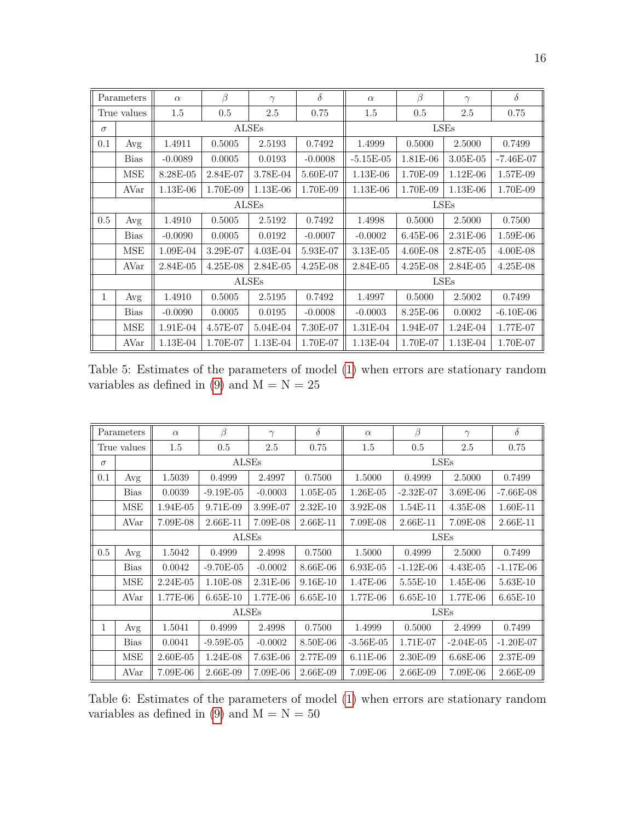|          | Parameters  | $\alpha$     | β        | $\gamma$     | $\delta$   | $\alpha$     | $\beta$    | $\gamma$     | $\delta$    |
|----------|-------------|--------------|----------|--------------|------------|--------------|------------|--------------|-------------|
|          | True values | 1.5          | 0.5      | 2.5          | 0.75       | 1.5          | 0.5        | 2.5          | 0.75        |
| $\sigma$ |             |              |          | <b>ALSEs</b> |            |              |            | LSEs         |             |
| 0.1      | Avg         | 1.4911       | 0.5005   | 2.5193       | 0.7492     | 1.4999       | 0.5000     | 2.5000       | 0.7499      |
|          | <b>Bias</b> | $-0.0089$    | 0.0005   | 0.0193       | $-0.0008$  | $-5.15E-05$  | 1.81E-06   | $3.05E-05$   | $-7.46E-07$ |
|          | <b>MSE</b>  | 8.28E-05     | 2.84E-07 | 3.78E-04     | 5.60E-07   | $1.13E-06$   | 1.70E-09   | $1.12E-06$   | 1.57E-09    |
|          | AVar        | 1.13E-06     | 1.70E-09 | 1.13E-06     | 1.70E-09   | 1.13E-06     | 1.70E-09   | $1.13E-06$   | 1.70E-09    |
|          |             |              |          | <b>ALSEs</b> |            |              | LSEs       |              |             |
| $0.5\,$  | Avg         | 1.4910       | 0.5005   | 2.5192       | 0.7492     | 1.4998       | 0.5000     | 0.7500       |             |
|          | <b>Bias</b> | $-0.0090$    | 0.0005   | 0.0192       | $-0.0007$  | $-0.0002$    | 6.45E-06   | $2.31E-06$   | 1.59E-06    |
|          | <b>MSE</b>  | $1.09E-04$   | 3.29E-07 | $4.03E-04$   | 5.93E-07   | 3.13E-05     | $4.60E-08$ | 2.87E-05     | $4.00E-08$  |
|          | AVar        | $2.84E - 05$ | 4.25E-08 | $2.84E-05$   | $4.25E-08$ | $2.84E - 05$ | $4.25E-08$ | $2.84E - 05$ | 4.25E-08    |
|          |             |              |          | <b>ALSEs</b> |            |              |            | LSEs         |             |
| 1        | Avg         | 1.4910       | 0.5005   | 2.5195       | 0.7492     | 1.4997       | 0.5000     | 2.5002       | 0.7499      |
|          | <b>Bias</b> | $-0.0090$    | 0.0005   | 0.0195       | $-0.0008$  | $-0.0003$    | 8.25E-06   | 0.0002       | $-6.10E-06$ |
|          | <b>MSE</b>  | 1.91E-04     | 4.57E-07 | 5.04E-04     | 7.30E-07   | 1.31E-04     | 1.94E-07   | 1.24E-04     | 1.77E-07    |
|          | AVar        | 1.13E-04     | 1.70E-07 | 1.13E-04     | 1.70E-07   | $1.13E-04$   | 1.70E-07   | $1.13E-04$   | 1.70E-07    |

Table 5: Estimates of the parameters of model [\(1\)](#page-1-0) when errors are stationary random variables as defined in [\(9\)](#page-12-1) and  $M = N = 25$ 

|          | Parameters  | $\alpha$   | $\beta$     | $\gamma$   | $\delta$   | $\alpha$    | $\beta$     | $\gamma$    | $\delta$    |
|----------|-------------|------------|-------------|------------|------------|-------------|-------------|-------------|-------------|
|          | True values | 1.5        | 0.5         | 2.5        | 0.75       | 1.5         | 0.5         | 2.5         | 0.75        |
| $\sigma$ |             |            | ALSEs       |            |            |             |             | LSEs        |             |
| 0.1      | Avg         | 1.5039     | 0.4999      | 2.4997     | 0.7500     | 1.5000      | 0.4999      | 2.5000      | 0.7499      |
|          | <b>Bias</b> | 0.0039     | $-9.19E-05$ | $-0.0003$  | $1.05E-05$ | 1.26E-05    | $-2.32E-07$ | 3.69E-06    | $-7.66E-08$ |
|          | <b>MSE</b>  | 1.94E-05   | 9.71E-09    | 3.99E-07   | $2.32E-10$ | 3.92E-08    | 1.54E-11    | $4.35E-08$  | $1.60E-11$  |
|          | AVar        | 7.09E-08   | $2.66E-11$  | 7.09E-08   | $2.66E-11$ | 7.09E-08    | 2.66E-11    | 7.09E-08    | $2.66E-11$  |
|          |             |            | ALSEs       |            |            |             | LSEs        |             |             |
| 0.5      | Avg         | 1.5042     | 0.4999      | 2.4998     | 0.7500     | 1.5000      | 0.4999      | 0.7499      |             |
|          | <b>Bias</b> | 0.0042     | $-9.70E-05$ | $-0.0002$  | $8.66E-06$ | $6.93E-05$  | $-1.12E-06$ | $4.43E-05$  | $-1.17E-06$ |
|          | <b>MSE</b>  | 2.24E-05   | 1.10E-08    | 2.31E-06   | 9.16E-10   | 1.47E-06    | 5.55E-10    | 1.45E-06    | 5.63E-10    |
|          | AVar        | 1.77E-06   | $6.65E-10$  | 1.77E-06   | $6.65E-10$ | 1.77E-06    | $6.65E-10$  | 1.77E-06    | $6.65E-10$  |
|          |             |            | ALSEs       |            |            |             |             | LSEs        |             |
| 1        | Avg         | 1.5041     | 0.4999      | 2.4998     | 0.7500     | 1.4999      | 0.5000      | 2.4999      | 0.7499      |
|          | <b>Bias</b> | 0.0041     | $-9.59E-05$ | $-0.0002$  | 8.50E-06   | $-3.56E-05$ | 1.71E-07    | $-2.04E-05$ | $-1.20E-07$ |
|          | MSE         | $2.60E-05$ | $1.24E-08$  | $7.63E-06$ | 2.77E-09   | $6.11E-06$  | 2.30E-09    | $6.68E-06$  | 2.37E-09    |
|          | AVar        | 7.09E-06   | 2.66E-09    | 7.09E-06   | $2.66E-09$ | 7.09E-06    | $2.66E-09$  | 7.09E-06    | $2.66E-09$  |

Table 6: Estimates of the parameters of model [\(1\)](#page-1-0) when errors are stationary random variables as defined in [\(9\)](#page-12-1) and  $M = N = 50$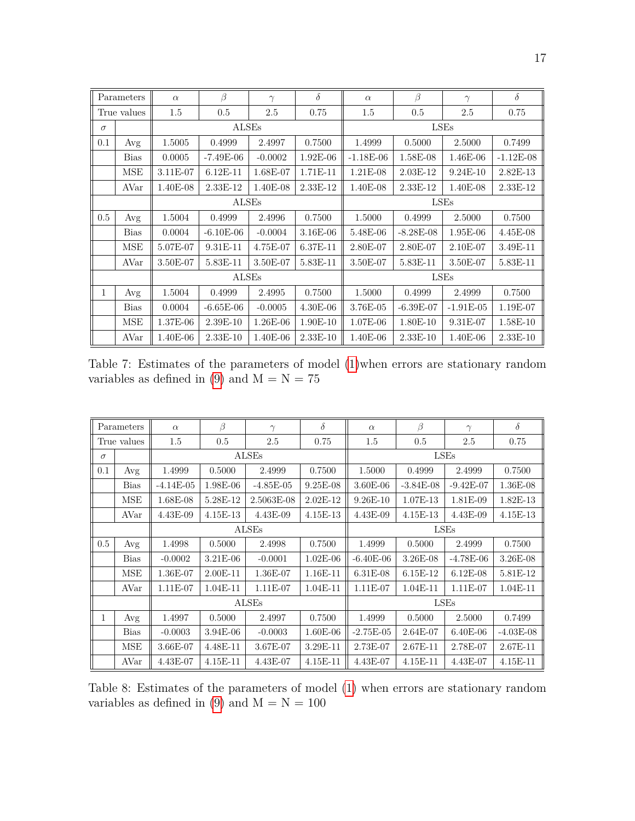|          | Parameters  | $\alpha$ | ß           | $\gamma$  | $\delta$   | $\alpha$    | $\beta$       | $\gamma$    | $\delta$    |
|----------|-------------|----------|-------------|-----------|------------|-------------|---------------|-------------|-------------|
|          | True values | 1.5      | 0.5         | 2.5       | 0.75       | 1.5         | 0.5           | 2.5         | 0.75        |
| $\sigma$ |             |          | ALSEs       |           |            |             |               | LSEs        |             |
| 0.1      | Avg         | 1.5005   | 0.4999      | 2.4997    | 0.7500     | 1.4999      | 0.5000        | 2.5000      | 0.7499      |
|          | <b>Bias</b> | 0.0005   | $-7.49E-06$ | $-0.0002$ | $1.92E-06$ | $-1.18E-06$ | 1.58E-08      | $1.46E-06$  | $-1.12E-08$ |
|          | <b>MSE</b>  | 3.11E-07 | $6.12E-11$  | 1.68E-07  | 1.71E-11   | 1.21E-08    | $2.03E-12$    | $9.24E-10$  | 2.82E-13    |
|          | AVar        | 1.40E-08 | $2.33E-12$  | 1.40E-08  | 2.33E-12   | 1.40E-08    | 2.33E-12      | 1.40E-08    | 2.33E-12    |
|          |             |          | ALSEs       |           |            |             | LSEs          |             |             |
| 0.5      | Avg         | 1.5004   | 0.4999      | 2.4996    | 0.7500     | 1.5000      | 0.4999        | 2.5000      | 0.7500      |
|          | <b>Bias</b> | 0.0004   | $-6.10E-06$ | $-0.0004$ | $3.16E-06$ | 5.48E-06    | $-8.28E - 08$ | 1.95E-06    | $4.45E-08$  |
|          | <b>MSE</b>  | 5.07E-07 | 9.31E-11    | 4.75E-07  | 6.37E-11   | 2.80E-07    | 2.80E-07      | $2.10E-07$  | 3.49E-11    |
|          | AVar        | 3.50E-07 | 5.83E-11    | 3.50E-07  | 5.83E-11   | 3.50E-07    | 5.83E-11      | 3.50E-07    | 5.83E-11    |
|          |             |          | ALSEs       |           |            |             |               | LSEs        |             |
| 1        | Avg         | 1.5004   | 0.4999      | 2.4995    | 0.7500     | 1.5000      | 0.4999        | 2.4999      | 0.7500      |
|          | <b>Bias</b> | 0.0004   | $-6.65E-06$ | $-0.0005$ | $4.30E-06$ | 3.76E-05    | $-6.39E-07$   | $-1.91E-05$ | 1.19E-07    |
|          | <b>MSE</b>  | 1.37E-06 | $2.39E-10$  | 1.26E-06  | 1.90E-10   | 1.07E-06    | 1.80E-10      | 9.31E-07    | 1.58E-10    |
|          | AVar        | 1.40E-06 | $2.33E-10$  | 1.40E-06  | 2.33E-10   | 1.40E-06    | $2.33E-10$    | $1.40E-06$  | 2.33E-10    |

Table 7: Estimates of the parameters of model [\(1\)](#page-1-0)when errors are stationary random variables as defined in [\(9\)](#page-12-1) and  $\dot{\text{M}} = \text{N} = 75$ 

|          | Parameters  | $\alpha$    | $\beta$    | $\gamma$     | $\delta$   | $\alpha$     | $\beta$     | $\gamma$    | $\delta$    |
|----------|-------------|-------------|------------|--------------|------------|--------------|-------------|-------------|-------------|
|          | True values | 1.5         | 0.5        | 2.5          | 0.75       | 1.5          | 0.5         | 2.5         | 0.75        |
| $\sigma$ |             |             |            | ALSEs        |            |              |             | LSEs        |             |
| 0.1      | Avg         | 1.4999      | 0.5000     | 2.4999       | 0.7500     | 1.5000       | 0.4999      | 2.4999      | 0.7500      |
|          | <b>Bias</b> | $-4.14E-05$ | 1.98E-06   | $-4.85E-05$  | 9.25E-08   | 3.60E-06     | $-3.84E-08$ | $-9.42E-07$ | 1.36E-08    |
|          | MSE         | 1.68E-08    | 5.28E-12   | 2.5063E-08   | $2.02E-12$ | $9.26E - 10$ | 1.07E-13    | 1.81E-09    | 1.82E-13    |
|          | AVar        | 4.43E-09    | 4.15E-13   | 4.43E-09     | 4.15E-13   | 4.43E-09     | 4.15E-13    | 4.43E-09    | 4.15E-13    |
|          |             |             |            | <b>ALSEs</b> |            |              | LSEs        |             |             |
| 0.5      | Avg         | 1.4998      | 0.5000     | 2.4998       | 0.7500     | 1.4999       | 0.5000      | 2.4999      | 0.7500      |
|          | <b>Bias</b> | $-0.0002$   | $3.21E-06$ | $-0.0001$    | $1.02E-06$ | $-6.40E-06$  | 3.26E-08    | $-4.78E-06$ | 3.26E-08    |
|          | MSE         | 1.36E-07    | $2.00E-11$ | 1.36E-07     | 1.16E-11   | $6.31E-08$   | 6.15E-12    | $6.12E-08$  | 5.81E-12    |
|          | AVar        | 1.11E-07    | 1.04E-11   | 1.11E-07     | 1.04E-11   | 1.11E-07     | 1.04E-11    | 1.11E-07    | 1.04E-11    |
|          |             |             |            | ALSEs        |            |              |             | LSEs        |             |
| 1        | Avg         | 1.4997      | 0.5000     | 2.4997       | 0.7500     | 1.4999       | 0.5000      | 2.5000      | 0.7499      |
|          | <b>Bias</b> | $-0.0003$   | 3.94E-06   | $-0.0003$    | $1.60E-06$ | $-2.75E-05$  | $2.64E-07$  | $6.40E-06$  | $-4.03E-08$ |
|          | MSE         | 3.66E-07    | 4.48E-11   | 3.67E-07     | $3.29E-11$ | 2.73E-07     | 2.67E-11    | 2.78E-07    | 2.67E-11    |
|          | AVar        | 4.43E-07    | 4.15E-11   | 4.43E-07     | 4.15E-11   | 4.43E-07     | 4.15E-11    | 4.43E-07    | 4.15E-11    |

Table 8: Estimates of the parameters of model [\(1\)](#page-1-0) when errors are stationary random variables as defined in [\(9\)](#page-12-1) and  $M = N = 100$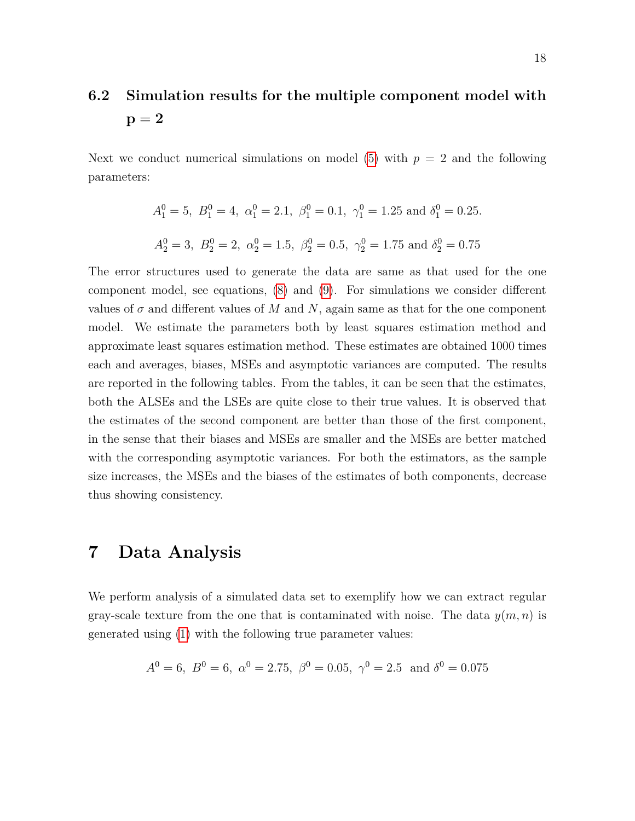# **6.2 Simulation results for the multiple component model with**  $p = 2$

Next we conduct numerical simulations on model  $(5)$  with  $p = 2$  and the following parameters:

$$
A_1^0 = 5
$$
,  $B_1^0 = 4$ ,  $\alpha_1^0 = 2.1$ ,  $\beta_1^0 = 0.1$ ,  $\gamma_1^0 = 1.25$  and  $\delta_1^0 = 0.25$ .  
\n $A_2^0 = 3$ ,  $B_2^0 = 2$ ,  $\alpha_2^0 = 1.5$ ,  $\beta_2^0 = 0.5$ ,  $\gamma_2^0 = 1.75$  and  $\delta_2^0 = 0.75$ 

The error structures used to generate the data are same as that used for the one component model, see equations, [\(8\)](#page-12-0) and [\(9\)](#page-12-1). For simulations we consider different values of  $\sigma$  and different values of M and N, again same as that for the one component model. We estimate the parameters both by least squares estimation method and approximate least squares estimation method. These estimates are obtained 1000 times each and averages, biases, MSEs and asymptotic variances are computed. The results are reported in the following tables. From the tables, it can be seen that the estimates, both the ALSEs and the LSEs are quite close to their true values. It is observed that the estimates of the second component are better than those of the first component, in the sense that their biases and MSEs are smaller and the MSEs are better matched with the corresponding asymptotic variances. For both the estimators, as the sample size increases, the MSEs and the biases of the estimates of both components, decrease thus showing consistency.

### <span id="page-17-0"></span>**7 Data Analysis**

We perform analysis of a simulated data set to exemplify how we can extract regular gray-scale texture from the one that is contaminated with noise. The data  $y(m, n)$  is generated using [\(1\)](#page-1-0) with the following true parameter values:

$$
A^0 = 6
$$
,  $B^0 = 6$ ,  $\alpha^0 = 2.75$ ,  $\beta^0 = 0.05$ ,  $\gamma^0 = 2.5$  and  $\delta^0 = 0.075$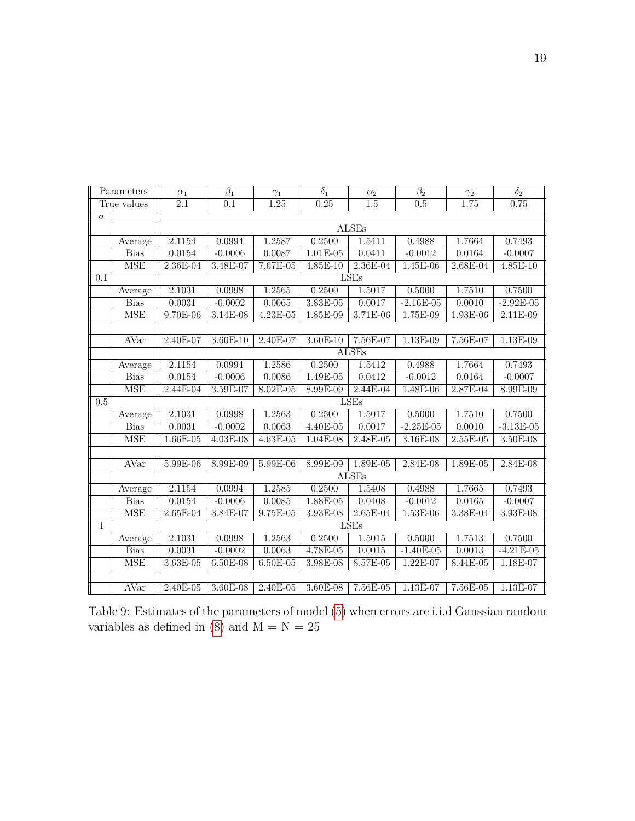|              | Parameters  | $\alpha_1$       | $\beta_1$        | $\gamma_1$   | $\overline{\delta_1}$ | $\alpha_2$       | $\beta_2$        | $\gamma_2$ | $\overline{\delta_2}$ |
|--------------|-------------|------------------|------------------|--------------|-----------------------|------------------|------------------|------------|-----------------------|
|              | True values | $\overline{2.1}$ | $\overline{0.1}$ | 1.25         | 0.25                  | $\overline{1.5}$ | $\overline{0.5}$ | 1.75       | 0.75                  |
| $\sigma$     |             |                  |                  |              |                       |                  |                  |            |                       |
|              |             |                  |                  |              |                       | <b>ALSEs</b>     |                  |            |                       |
|              | Average     | 2.1154           | 0.0994           | 1.2587       | 0.2500                | 1.5411           | 0.4988           | 1.7664     | 0.7493                |
|              | <b>Bias</b> | 0.0154           | $-0.0006$        | 0.0087       | $1.01E-05$            | 0.0411           | $-0.0012$        | 0.0164     | $-0.0007$             |
|              | <b>MSE</b>  | 2.36E-04         | 3.48E-07         | 7.67E-05     | $4.85E-10$            | 2.36E-04         | 1.45E-06         | 2.68E-04   | 4.85E-10              |
| 0.1          |             |                  |                  |              |                       | LSEs             |                  |            |                       |
|              | Average     | 2.1031           | 0.0998           | 1.2565       | 0.2500                | 1.5017           | 0.5000           | 1.7510     | 0.7500                |
|              | <b>Bias</b> | 0.0031           | $-0.0002$        | 0.0065       | $3.83E-05$            | 0.0017           | $-2.16E-05$      | 0.0010     | $-2.92E-05$           |
|              | MSE         | 9.70E-06         | $3.14E-08$       | $4.23E-05$   | $1.85E-09$            | $3.71E-06$       | 1.75E-09         | $1.93E-06$ | $2.11E-09$            |
|              |             |                  |                  |              |                       |                  |                  |            |                       |
|              | AVar        | 2.40E-07         | $3.60E-10$       | 2.40E-07     | $3.60E-10$            | 7.56E-07         | $1.13E-09$       | 7.56E-07   | $1.13E-09$            |
|              |             |                  |                  |              |                       | <b>ALSEs</b>     |                  |            |                       |
|              | Average     | 2.1154           | 0.0994           | 1.2586       | 0.2500                | 1.5412           | 0.4988           | 1.7664     | 0.7493                |
|              | <b>Bias</b> | 0.0154           | $-0.0006$        | 0.0086       | 1.49E-05              | 0.0412           | $-0.0012$        | 0.0164     | $-0.0007$             |
|              | <b>MSE</b>  | 2.44E-04         | 3.59E-07         | $8.02E - 05$ | 8.99E-09              | $2.44E-04$       | 1.48E-06         | 2.87E-04   | 8.99E-09              |
| 0.5          |             |                  |                  |              |                       | LSEs             |                  |            |                       |
|              | Average     | 2.1031           | 0.0998           | 1.2563       | 0.2500                | 1.5017           | 0.5000           | 1.7510     | 0.7500                |
|              | <b>Bias</b> | 0.0031           | $-0.0002$        | 0.0063       | 4.40E-05              | 0.0017           | $-2.25E-05$      | 0.0010     | $-3.13E-05$           |
|              | MSE         | $1.66E-05$       | 4.03E-08         | 4.63E-05     | 1.04E-08              | 2.48E-05         | 3.16E-08         | $2.55E-05$ | 3.50E-08              |
|              |             |                  |                  |              |                       |                  |                  |            |                       |
|              | AVar        | 5.99E-06         | 8.99E-09         | 5.99E-06     | 8.99E-09              | 1.89E-05         | 2.84E-08         | 1.89E-05   | 2.84E-08              |
|              |             |                  |                  |              |                       | <b>ALSEs</b>     |                  |            |                       |
|              | Average     | 2.1154           | 0.0994           | 1.2585       | 0.2500                | 1.5408           | 0.4988           | 1.7665     | 0.7493                |
|              | <b>Bias</b> | 0.0154           | $-0.0006$        | 0.0085       | $1.88E-05$            | 0.0408           | $-0.0012$        | 0.0165     | $-0.0007$             |
|              | <b>MSE</b>  | 2.65E-04         | 3.84E-07         | $9.75E-05$   | 3.93E-08              | 2.65E-04         | 1.53E-06         | 3.38E-04   | 3.93E-08              |
| $\mathbf{1}$ |             |                  |                  |              |                       | <b>LSEs</b>      |                  |            |                       |
|              | Average     | 2.1031           | 0.0998           | 1.2563       | 0.2500                | 1.5015           | 0.5000           | 1.7513     | 0.7500                |
|              | <b>Bias</b> | 0.0031           | $-0.0002$        | 0.0063       | 4.78E-05              | 0.0015           | $-1.40E-05$      | 0.0013     | $-4.21E-05$           |
|              | <b>MSE</b>  | $3.63E-05$       | 6.50E-08         | 6.50E-05     | 3.98E-08              | 8.57E-05         | 1.22E-07         | 8.44E-05   | 1.18E-07              |
|              |             |                  |                  |              |                       |                  |                  |            |                       |
|              | <b>AVar</b> | 2.40E-05         | 3.60E-08         | 2.40E-05     | $3.60E-08$            | $7.56E-05$       | 1.13E-07         | $7.56E-05$ | $1.13E-07$            |

Table 9: Estimates of the parameters of model [\(5\)](#page-8-2) when errors are i.i.d Gaussian random variables as defined in  $(8)$  and  $M = N = 25$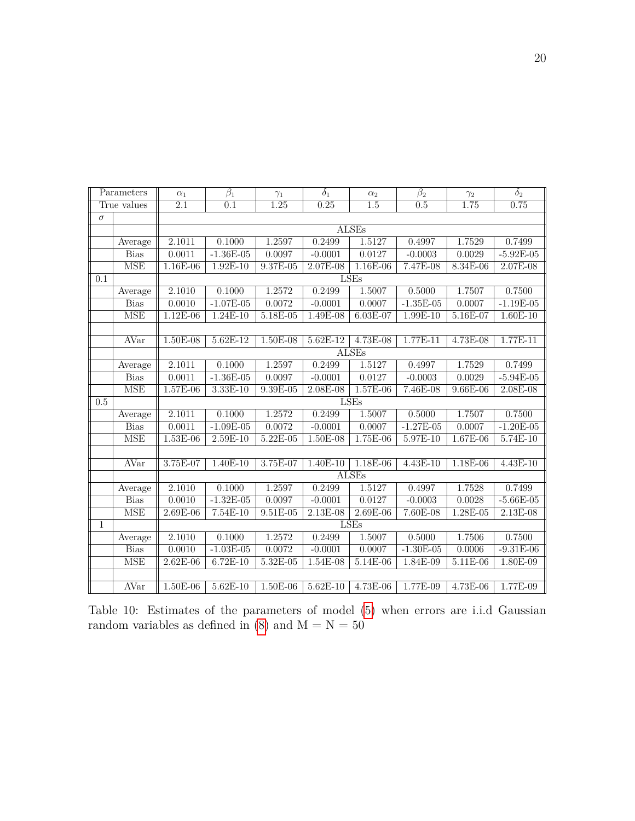|                  | Parameters              | $\alpha_1$          | $\overline{\beta_1}$ | $\gamma_1$ | $\overline{\delta_1}$ | $\alpha_2$   | $\overline{\beta_2}$ | $\gamma_2$ | $\overline{\delta_2}$ |
|------------------|-------------------------|---------------------|----------------------|------------|-----------------------|--------------|----------------------|------------|-----------------------|
|                  | True values             | 2.1                 | 0.1                  | 1.25       | 0.25                  | 1.5          | 0.5                  | 1.75       | 0.75                  |
| $\sigma$         |                         |                     |                      |            |                       |              |                      |            |                       |
|                  |                         |                     |                      |            |                       | ALSEs        |                      |            |                       |
|                  | Average                 | 2.1011              | 0.1000               | 1.2597     | 0.2499                | 1.5127       | 0.4997               | 1.7529     | 0.7499                |
|                  | <b>Bias</b>             | 0.0011              | $-1.36E-05$          | 0.0097     | $-0.0001$             | 0.0127       | $-0.0003$            | 0.0029     | $-5.92E-05$           |
|                  | <b>MSE</b>              | $1.16E-06$          | $1.92E-10$           | $9.37E-05$ | 2.07E-08              | $1.16E-06$   | 7.47E-08             | 8.34E-06   | 2.07E-08              |
| 0.1              |                         |                     |                      |            |                       | LSEs         |                      |            |                       |
|                  | Average                 | 2.1010              | 0.1000               | 1.2572     | 0.2499                | 1.5007       | 0.5000               | 1.7507     | 0.7500                |
|                  | <b>Bias</b>             | 0.0010              | $-1.07E-05$          | 0.0072     | $-0.0001$             | 0.0007       | $-1.35E-05$          | 0.0007     | $-1.19E-05$           |
|                  | <b>MSE</b>              | 1.12E-06            | 1.24E-10             | 5.18E-05   | 1.49E-08              | 6.03E-07     | 1.99E-10             | 5.16E-07   | $1.60E-10$            |
|                  |                         |                     |                      |            |                       |              |                      |            |                       |
|                  | <b>AVar</b>             | 1.50E-08            | $5.62E-12$           | 1.50E-08   | $5.62E-12$            | 4.73E-08     | $1.77E-11$           | 4.73E-08   | $1.77E-11$            |
|                  |                         |                     |                      |            |                       | <b>ALSEs</b> |                      |            |                       |
|                  | Average                 | $\overline{2.101}1$ | 0.1000               | 1.2597     | 0.2499                | 1.5127       | 0.4997               | 1.7529     | 0.7499                |
|                  | <b>Bias</b>             | 0.0011              | $-1.36E-05$          | 0.0097     | $-0.0001$             | 0.0127       | $-0.0003$            | 0.0029     | $-5.94E-05$           |
|                  | <b>MSE</b>              | 1.57E-06            | $3.33E-10$           | $9.39E-05$ | $2.08E-08$            | 1.57E-06     | 7.46E-08             | $9.66E-06$ | $2.08E-08$            |
| $\overline{0.5}$ |                         |                     |                      |            |                       | <b>LSEs</b>  |                      |            |                       |
|                  | Average                 | 2.1011              | 0.1000               | 1.2572     | 0.2499                | 1.5007       | 0.5000               | 1.7507     | 0.7500                |
|                  | <b>Bias</b>             | 0.0011              | $-1.09E-05$          | 0.0072     | $-0.0001$             | 0.0007       | $-1.27E-05$          | 0.0007     | $-1.20E-05$           |
|                  | $\overline{\text{MSE}}$ | $1.53E-06$          | $2.59E-10$           | $5.22E-05$ | 1.50E-08              | $1.75E-06$   | $5.97E-10$           | 1.67E-06   | $5.74E-10$            |
|                  |                         |                     |                      |            |                       |              |                      |            |                       |
|                  | AVar                    | 3.75E-07            | 1.40E-10             | 3.75E-07   | $1.40E-10$            | 1.18E-06     | $4.43E-10$           | 1.18E-06   | 4.43E-10              |
|                  |                         |                     |                      |            |                       | <b>ALSEs</b> |                      |            |                       |
|                  | Average                 | 2.1010              | 0.1000               | 1.2597     | 0.2499                | 1.5127       | 0.4997               | 1.7528     | 0.7499                |
|                  | <b>Bias</b>             | 0.0010              | $-1.32E-05$          | 0.0097     | $-0.0001$             | 0.0127       | $-0.0003$            | 0.0028     | $-5.66E-05$           |
|                  | <b>MSE</b>              | 2.69E-06            | 7.54E-10             | $9.51E-05$ | $2.13E-08$            | 2.69E-06     | 7.60E-08             | 1.28E-05   | 2.13E-08              |
| 1                |                         |                     |                      |            |                       | <b>LSEs</b>  |                      |            |                       |
|                  | Average                 | 2.1010              | 0.1000               | 1.2572     | 0.2499                | 1.5007       | 0.5000               | 1.7506     | 0.7500                |
|                  | <b>Bias</b>             | 0.0010              | $-1.03E-05$          | 0.0072     | $-0.0001$             | 0.0007       | $-1.30E-05$          | 0.0006     | $-9.31E-06$           |
|                  | <b>MSE</b>              | $2.62E-06$          | $6.72E-10$           | $5.32E-05$ | $1.54E-08$            | $5.14E-06$   | 1.84E-09             | $5.11E-06$ | 1.80E-09              |
|                  |                         |                     |                      |            |                       |              |                      |            |                       |
|                  | AVar                    | 1.50E-06            | $5.62E-10$           | 1.50E-06   | $5.62E-10$            | 4.73E-06     | 1.77E-09             | 4.73E-06   | $1.77E-09$            |

Table 10: Estimates of the parameters of model [\(5\)](#page-8-2) when errors are i.i.d Gaussian random variables as defined in [\(8\)](#page-12-0) and  $\mathcal{M}=\mathcal{N}=50$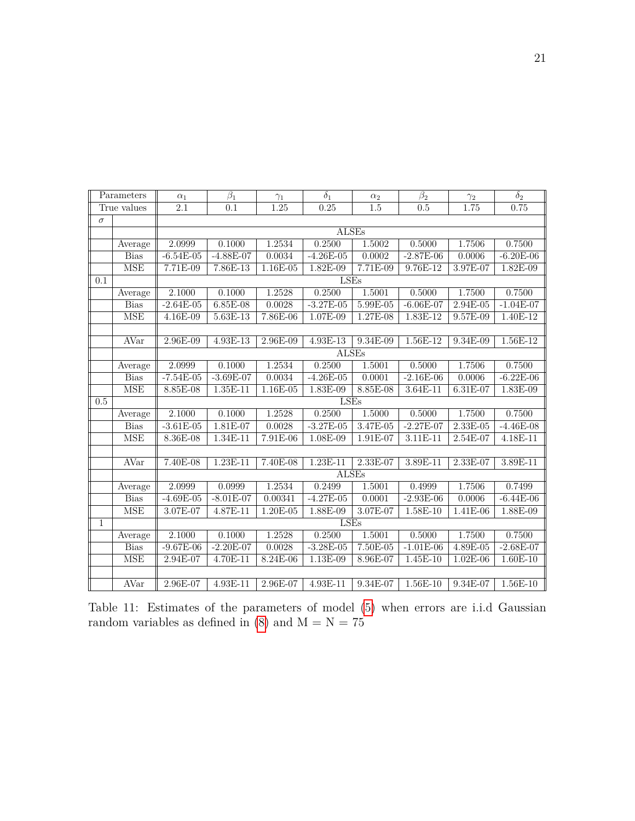|              | Parameters  | $\alpha_1$            | $\beta_1$   | $\gamma_1$ | $\delta_1$   | $\alpha_2$ | $\beta_2$   | $\gamma_2$ | $\delta_2$  |
|--------------|-------------|-----------------------|-------------|------------|--------------|------------|-------------|------------|-------------|
|              | True values | $\overline{2.1}$      | 0.1         | 1.25       | 0.25         | 1.5        | 0.5         | 1.75       | 0.75        |
| $\sigma$     |             |                       |             |            |              |            |             |            |             |
|              |             |                       |             |            | <b>ALSEs</b> |            |             |            |             |
|              | Average     | 2.0999                | 0.1000      | 1.2534     | 0.2500       | 1.5002     | 0.5000      | 1.7506     | 0.7500      |
|              | <b>Bias</b> | $-6.54E-05$           | $-4.88E-07$ | 0.0034     | $-4.26E-05$  | 0.0002     | $-2.87E-06$ | 0.0006     | $-6.20E-06$ |
|              | <b>MSE</b>  | $7.71E-09$            | 7.86E-13    | 1.16E-05   | 1.82E-09     | $7.71E-09$ | $9.76E-12$  | 3.97E-07   | 1.82E-09    |
| 0.1          |             |                       |             |            | LSEs         |            |             |            |             |
|              | Average     | 2.1000                | 0.1000      | 1.2528     | 0.2500       | 1.5001     | 0.5000      | 1.7500     | 0.7500      |
|              | <b>Bias</b> | $-2.64E-05$           | $6.85E-08$  | 0.0028     | $-3.27E-05$  | $5.99E-05$ | $-6.06E-07$ | 2.94E-05   | $-1.04E-07$ |
|              | <b>MSE</b>  | $4.16E-09$            | $5.63E-13$  | 7.86E-06   | 1.07E-09     | 1.27E-08   | 1.83E-12    | 9.57E-09   | 1.40E-12    |
|              |             |                       |             |            |              |            |             |            |             |
|              | AVar        | $2.96E-09$            | $4.93E-13$  | $2.96E-09$ | $4.93E-13$   | 9.34E-09   | $1.56E-12$  | 9.34E-09   | $1.56E-12$  |
|              |             |                       |             |            | <b>ALSEs</b> |            |             |            |             |
|              | Average     | 2.0999                | 0.1000      | 1.2534     | 0.2500       | 1.5001     | 0.5000      | 1.7506     | 0.7500      |
|              | <b>Bias</b> | $-7.54E-05$           | $-3.69E-07$ | 0.0034     | $-4.26E-05$  | 0.0001     | $-2.16E-06$ | 0.0006     | $-6.22E-06$ |
|              | <b>MSE</b>  | $8.85E-08$            | $1.35E-11$  | $1.16E-05$ | $1.83E-09$   | $8.85E-08$ | $3.64E-11$  | $6.31E-07$ | $1.83E-09$  |
| 0.5          |             |                       |             |            | <b>LSEs</b>  |            |             |            |             |
|              | Average     | 2.1000                | 0.1000      | 1.2528     | 0.2500       | 1.5000     | 0.5000      | 1.7500     | 0.7500      |
|              | <b>Bias</b> | $-3.61E-05$           | 1.81E-07    | 0.0028     | $-3.27E-05$  | 3.47E-05   | $-2.27E-07$ | 2.33E-05   | $-4.46E-08$ |
|              | <b>MSE</b>  | 8.36E-08              | 1.34E-11    | $7.91E-06$ | 1.08E-09     | 1.91E-07   | 3.11E-11    | 2.54E-07   | 4.18E-11    |
|              |             |                       |             |            |              |            |             |            |             |
|              | AVar        | $7.\overline{40E-08}$ | 1.23E-11    | $7.40E-08$ | $1.23E-11$   | 2.33E-07   | 3.89E-11    | 2.33E-07   | 3.89E-11    |
|              |             |                       |             |            | <b>ALSEs</b> |            |             |            |             |
|              | Average     | 2.0999                | 0.0999      | 1.2534     | 0.2499       | 1.5001     | 0.4999      | 1.7506     | 0.7499      |
|              | <b>Bias</b> | $-4.69E-05$           | $-8.01E-07$ | 0.00341    | $-4.27E-05$  | 0.0001     | $-2.93E-06$ | 0.0006     | $-6.44E-06$ |
|              | <b>MSE</b>  | 3.07E-07              | 4.87E-11    | 1.20E-05   | 1.88E-09     | $3.07E-07$ | $1.58E-10$  | 1.41E-06   | 1.88E-09    |
| $\mathbf{1}$ |             |                       |             |            | <b>LSEs</b>  |            |             |            |             |
|              | Average     | 2.1000                | 0.1000      | 1.2528     | 0.2500       | 1.5001     | 0.5000      | 1.7500     | 0.7500      |
|              | <b>Bias</b> | $-9.67E-06$           | $-2.20E-07$ | 0.0028     | $-3.28E-05$  | $7.50E-05$ | $-1.01E-06$ | 4.89E-05   | $-2.68E-07$ |
|              | <b>MSE</b>  | 2.94E-07              | 4.70E-11    | 8.24E-06   | 1.13E-09     | 8.96E-07   | 1.45E-10    | $1.02E-06$ | $1.60E-10$  |
|              |             |                       |             |            |              |            |             |            |             |
|              | AVar        | 2.96E-07              | 4.93E-11    | 2.96E-07   | 4.93E-11     | 9.34E-07   | $1.56E-10$  | 9.34E-07   | $1.56E-10$  |

Table 11: Estimates of the parameters of model [\(5\)](#page-8-2) when errors are i.i.d Gaussian random variables as defined in [\(8\)](#page-12-0) and  $\mathrm{M}=\mathrm{N}=75$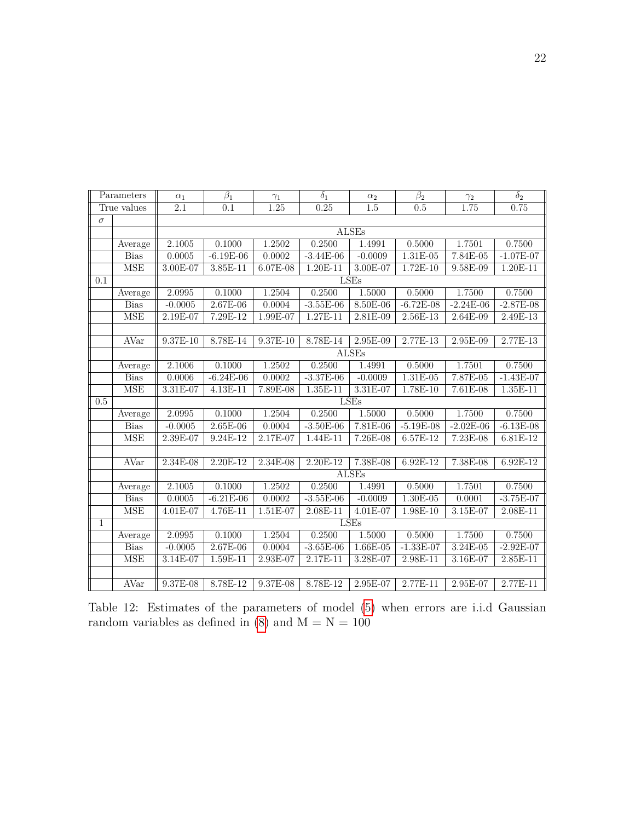|                  | Parameters  | $\alpha_1$       | $\beta_1$        | $\gamma_1$ | $\delta_1$  | $\alpha_2$   | $\beta_2$   | $\gamma_2$  | $\delta_2$  |
|------------------|-------------|------------------|------------------|------------|-------------|--------------|-------------|-------------|-------------|
|                  | True values | $\overline{2.1}$ | $\overline{0.1}$ | 1.25       | 0.25        | 1.5          | 0.5         | 1.75        | 0.75        |
| $\sigma$         |             |                  |                  |            |             |              |             |             |             |
|                  |             |                  |                  |            |             | <b>ALSEs</b> |             |             |             |
|                  | Average     | 2.1005           | 0.1000           | 1.2502     | 0.2500      | 1.4991       | 0.5000      | 1.7501      | 0.7500      |
|                  | <b>Bias</b> | 0.0005           | $-6.19E-06$      | 0.0002     | $-3.44E-06$ | $-0.0009$    | $1.31E-05$  | 7.84E-05    | $-1.07E-07$ |
|                  | <b>MSE</b>  | 3.00E-07         | $3.85E-11$       | 6.07E-08   | 1.20E-11    | $3.00E-07$   | $1.72E-10$  | $9.58E-09$  | 1.20E-11    |
| 0.1              |             |                  |                  |            |             | LSEs         |             |             |             |
|                  | Average     | 2.0995           | 0.1000           | 1.2504     | 0.2500      | 1.5000       | 0.5000      | 1.7500      | 0.7500      |
|                  | <b>Bias</b> | $-0.0005$        | $2.67E-06$       | 0.0004     | $-3.55E-06$ | $8.50E-06$   | $-6.72E-08$ | $-2.24E-06$ | $-2.87E-08$ |
|                  | <b>MSE</b>  | 2.19E-07         | 7.29E-12         | 1.99E-07   | $1.27E-11$  | 2.81E-09     | $2.56E-13$  | 2.64E-09    | 2.49E-13    |
|                  |             |                  |                  |            |             |              |             |             |             |
|                  | AVar        | $9.37E-10$       | $8.78E-14$       | $9.37E-10$ | $8.78E-14$  | $2.95E-09$   | $2.77E-13$  | $2.95E-09$  | 2.77E-13    |
|                  |             |                  |                  |            |             | <b>ALSEs</b> |             |             |             |
|                  | Average     | 2.1006           | 0.1000           | 1.2502     | 0.2500      | 1.4991       | 0.5000      | 1.7501      | 0.7500      |
|                  | <b>Bias</b> | 0.0006           | $-6.24E-06$      | 0.0002     | $-3.37E-06$ | $-0.0009$    | $1.31E-05$  | 7.87E-05    | $-1.43E-07$ |
|                  | <b>MSE</b>  | $3.31E-07$       | $4.13E-11$       | 7.89E-08   | 1.35E-11    | 3.31E-07     | $1.78E-10$  | $7.61E-08$  | $1.35E-11$  |
| $\overline{0.5}$ |             |                  |                  |            |             | <b>LSEs</b>  |             |             |             |
|                  | Average     | 2.0995           | 0.1000           | 1.2504     | 0.2500      | 1.5000       | 0.5000      | 1.7500      | 0.7500      |
|                  | <b>Bias</b> | $-0.0005$        | $2.65E-06$       | 0.0004     | $-3.50E-06$ | 7.81E-06     | $-5.19E-08$ | $-2.02E-06$ | $-6.13E-08$ |
|                  | <b>MSE</b>  | 2.39E-07         | 9.24E-12         | 2.17E-07   | 1.44E-11    | $7.26E-08$   | $6.57E-12$  | $7.23E-08$  | 6.81E-12    |
|                  |             |                  |                  |            |             |              |             |             |             |
|                  | <b>AVar</b> | $2.34E-08$       | 2.20E-12         | 2.34E-08   | 2.20E-12    | 7.38E-08     | 6.92E-12    | 7.38E-08    | 6.92E-12    |
|                  |             |                  |                  |            |             | <b>ALSEs</b> |             |             |             |
|                  | Average     | 2.1005           | 0.1000           | 1.2502     | 0.2500      | 1.4991       | 0.5000      | 1.7501      | 0.7500      |
|                  | <b>Bias</b> | 0.0005           | $-6.21E-06$      | 0.0002     | $-3.55E-06$ | $-0.0009$    | $1.30E-05$  | 0.0001      | $-3.75E-07$ |
|                  | <b>MSE</b>  | 4.01E-07         | $4.76E-11$       | $1.51E-07$ | 2.08E-11    | 4.01E-07     | 1.98E-10    | $3.15E-07$  | 2.08E-11    |
| $\mathbf{1}$     |             |                  |                  |            |             | <b>LSEs</b>  |             |             |             |
|                  | Average     | 2.0995           | 0.1000           | 1.2504     | 0.2500      | 1.5000       | 0.5000      | 1.7500      | 0.7500      |
|                  | <b>Bias</b> | $-0.0005$        | $2.67E-06$       | 0.0004     | $-3.65E-06$ | $1.66E-05$   | $-1.33E-07$ | $3.24E-05$  | $-2.92E-07$ |
|                  | <b>MSE</b>  | 3.14E-07         | 1.59E-11         | 2.93E-07   | 2.17E-11    | 3.28E-07     | 2.98E-11    | 3.16E-07    | 2.85E-11    |
|                  |             |                  |                  |            |             |              |             |             |             |
|                  | AVar        | 9.37E-08         | 8.78E-12         | 9.37E-08   | 8.78E-12    | 2.95E-07     | 2.77E-11    | 2.95E-07    | 2.77E-11    |

Table 12: Estimates of the parameters of model [\(5\)](#page-8-2) when errors are i.i.d Gaussian random variables as defined in  $(8)$  and  $M = N = 100$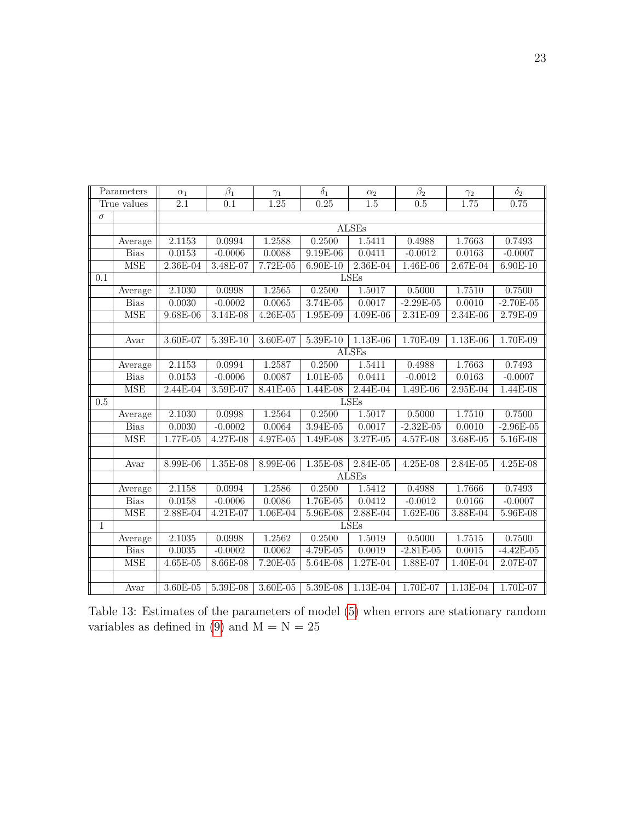| Parameters   |             | $\alpha_1$       | $\beta_1$        | $\gamma_1$   | $\overline{\delta_1}$ | $\alpha_2$       | $\beta_2$        | $\gamma_2$ | $\overline{\delta_2}$ |  |
|--------------|-------------|------------------|------------------|--------------|-----------------------|------------------|------------------|------------|-----------------------|--|
|              | True values | $\overline{2.1}$ | $\overline{0.1}$ | 1.25         | 0.25                  | $\overline{1.5}$ | $\overline{0.5}$ | 1.75       | 0.75                  |  |
| $\sigma$     |             |                  |                  |              |                       |                  |                  |            |                       |  |
|              |             | <b>ALSEs</b>     |                  |              |                       |                  |                  |            |                       |  |
|              | Average     | 2.1153           | 0.0994           | 1.2588       | 0.2500                | 1.5411           | 0.4988           | 1.7663     | 0.7493                |  |
|              | <b>Bias</b> | 0.0153           | $-0.0006$        | 0.0088       | $9.19E-06$            | 0.0411           | $-0.0012$        | 0.0163     | $-0.0007$             |  |
|              | <b>MSE</b>  | 2.36E-04         | 3.48E-07         | 7.72E-05     | $6.90E-10$            | 2.36E-04         | 1.46E-06         | 2.67E-04   | 6.90E-10              |  |
| 0.1          |             | LSEs             |                  |              |                       |                  |                  |            |                       |  |
|              | Average     | 2.1030           | 0.0998           | 1.2565       | 0.2500                | 1.5017           | 0.5000           | 1.7510     | 0.7500                |  |
|              | <b>Bias</b> | 0.0030           | $-0.0002$        | 0.0065       | $3.74E-05$            | 0.0017           | $-2.29E-05$      | 0.0010     | $-2.70E-05$           |  |
|              | MSE         | $9.68E-06$       | $3.14E-08$       | $4.26E - 05$ | $1.95E-09$            | $4.09E-06$       | 2.31E-09         | $2.34E-06$ | 2.79E-09              |  |
|              |             |                  |                  |              |                       |                  |                  |            |                       |  |
|              | Avar        | 3.60E-07         | $5.39E-10$       | $3.60E-07$   | 5.39E-10              | $1.13E-06$       | 1.70E-09         | $1.13E-06$ | $1.70E-09$            |  |
|              |             |                  |                  |              |                       | <b>ALSEs</b>     |                  |            |                       |  |
|              | Average     | 2.1153           | 0.0994           | 1.2587       | 0.2500                | 1.5411           | 0.4988           | 1.7663     | 0.7493                |  |
|              | <b>Bias</b> | 0.0153           | $-0.0006$        | 0.0087       | $1.01E-05$            | 0.0411           | $-0.0012$        | 0.0163     | $-0.0007$             |  |
|              | <b>MSE</b>  | 2.44E-04         | 3.59E-07         | $8.41E-05$   | 1.44E-08              | $2.44E-04$       | 1.49E-06         | $2.95E-04$ | 1.44E-08              |  |
| 0.5          |             | <b>LSEs</b>      |                  |              |                       |                  |                  |            |                       |  |
|              | Average     | 2.1030           | 0.0998           | 1.2564       | 0.2500                | 1.5017           | 0.5000           | 1.7510     | 0.7500                |  |
|              | <b>Bias</b> | 0.0030           | $-0.0002$        | 0.0064       | 3.94E-05              | 0.0017           | $-2.32E-05$      | 0.0010     | $-2.96E-05$           |  |
|              | MSE         | 1.77E-05         | 4.27E-08         | 4.97E-05     | 1.49E-08              | 3.27E-05         | 4.57E-08         | 3.68E-05   | 5.16E-08              |  |
|              |             |                  |                  |              |                       |                  |                  |            |                       |  |
|              | Avar        | 8.99E-06         | 1.35E-08         | 8.99E-06     | 1.35E-08              | 2.84E-05         | 4.25E-08         | 2.84E-05   | 4.25E-08              |  |
|              |             |                  |                  |              |                       | <b>ALSEs</b>     |                  |            |                       |  |
|              | Average     | 2.1158           | 0.0994           | 1.2586       | 0.2500                | 1.5412           | 0.4988           | 1.7666     | 0.7493                |  |
|              | <b>Bias</b> | 0.0158           | $-0.0006$        | 0.0086       | $1.76E-05$            | 0.0412           | $-0.0012$        | 0.0166     | $-0.0007$             |  |
|              | <b>MSE</b>  | 2.88E-04         | 4.21E-07         | $1.06E-04$   | 5.96E-08              | 2.88E-04         | 1.62E-06         | 3.88E-04   | 5.96E-08              |  |
| $\mathbf{1}$ |             |                  |                  |              |                       | <b>LSEs</b>      |                  |            |                       |  |
|              | Average     | 2.1035           | 0.0998           | 1.2562       | 0.2500                | 1.5019           | 0.5000           | 1.7515     | 0.7500                |  |
|              | <b>Bias</b> | 0.0035           | $-0.0002$        | 0.0062       | $4.79E - 05$          | 0.0019           | $-2.81E-05$      | 0.0015     | $-4.42E-05$           |  |
|              | <b>MSE</b>  | $4.65E-05$       | 8.66E-08         | 7.20E-05     | 5.64E-08              | 1.27E-04         | 1.88E-07         | 1.40E-04   | 2.07E-07              |  |
|              |             |                  |                  |              |                       |                  |                  |            |                       |  |
|              | Avar        | 3.60E-05         | 5.39E-08         | $3.60E-05$   | 5.39E-08              | $1.13E-04$       | 1.70E-07         | $1.13E-04$ | 1.70E-07              |  |

Table 13: Estimates of the parameters of model [\(5\)](#page-8-2) when errors are stationary random variables as defined in [\(9\)](#page-12-1) and  $M = N = 25$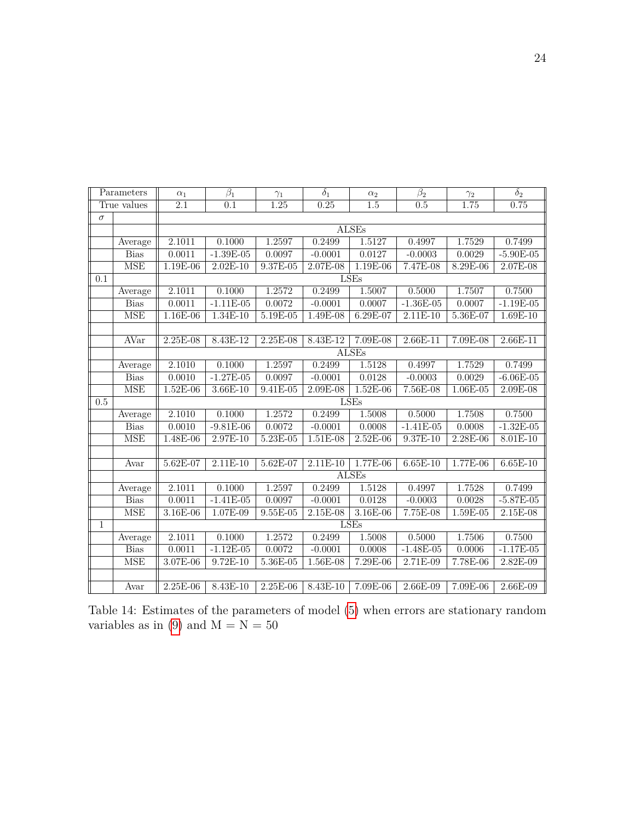| Parameters       |                         | $\alpha_1$ | $\overline{\beta_1}$ | $\gamma_1$ | $\overline{\delta_1}$ | $\alpha_2$   | $\overline{\beta_2}$ | $\gamma_2$ | $\overline{\delta_2}$ |  |  |
|------------------|-------------------------|------------|----------------------|------------|-----------------------|--------------|----------------------|------------|-----------------------|--|--|
| True values      |                         | 2.1        | 0.1                  | 1.25       | 0.25                  | 1.5          | 0.5                  | 1.75       | 0.75                  |  |  |
| $\sigma$         |                         |            |                      |            |                       |              |                      |            |                       |  |  |
|                  |                         |            | ALSEs                |            |                       |              |                      |            |                       |  |  |
|                  | Average                 | 2.1011     | 0.1000               | 1.2597     | 0.2499                | 1.5127       | 0.4997               | 1.7529     | 0.7499                |  |  |
|                  | <b>Bias</b>             | 0.0011     | $-1.39E-05$          | 0.0097     | $-0.0001$             | 0.0127       | $-0.0003$            | 0.0029     | $-5.90E-05$           |  |  |
|                  | <b>MSE</b>              | 1.19E-06   | $2.02E-10$           | 9.37E-05   | 2.07E-08              | 1.19E-06     | 7.47E-08             | 8.29E-06   | 2.07E-08              |  |  |
| 0.1              |                         | LSEs       |                      |            |                       |              |                      |            |                       |  |  |
|                  | Average                 | 2.1011     | 0.1000               | 1.2572     | 0.2499                | 1.5007       | 0.5000               | 1.7507     | 0.7500                |  |  |
|                  | <b>Bias</b>             | 0.0011     | $-1.11E-05$          | 0.0072     | $-0.0001$             | 0.0007       | $-1.36E-05$          | 0.0007     | $-1.19E-05$           |  |  |
|                  | <b>MSE</b>              | 1.16E-06   | 1.34E-10             | 5.19E-05   | 1.49E-08              | 6.29E-07     | $2.11E-10$           | 5.36E-07   | $1.69E-10$            |  |  |
|                  |                         |            |                      |            |                       |              |                      |            |                       |  |  |
|                  | <b>AVar</b>             | 2.25E-08   | 8.43E-12             | 2.25E-08   | 8.43E-12              | 7.09E-08     | $2.66E-11$           | 7.09E-08   | $2.66E-11$            |  |  |
|                  |                         |            |                      |            |                       | <b>ALSEs</b> |                      |            |                       |  |  |
|                  | Average                 | 2.1010     | 0.1000               | 1.2597     | 0.2499                | 1.5128       | 0.4997               | 1.7529     | 0.7499                |  |  |
|                  | <b>Bias</b>             | 0.0010     | $-1.27E-05$          | 0.0097     | $-0.0001$             | 0.0128       | $-0.0003$            | 0.0029     | $-6.06E-05$           |  |  |
|                  | <b>MSE</b>              | $1.52E-06$ | $3.66E-10$           | $9.41E-05$ | $2.09E-08$            | $1.52E-06$   | 7.56E-08             | $1.06E-05$ | $2.09E-08$            |  |  |
| $\overline{0.5}$ |                         |            | <b>LSEs</b>          |            |                       |              |                      |            |                       |  |  |
|                  | Average                 | 2.1010     | 0.1000               | 1.2572     | 0.2499                | 1.5008       | 0.5000               | 1.7508     | 0.7500                |  |  |
|                  | <b>Bias</b>             | 0.0010     | $-9.81E-06$          | 0.0072     | $-0.0001$             | 0.0008       | $-1.41E-05$          | 0.0008     | $-1.32E-05$           |  |  |
|                  | $\overline{\text{MSE}}$ | 1.48E-06   | $2.97E-10$           | $5.23E-05$ | $1.51E-08$            | $2.52E-06$   | $9.37E-10$           | $2.28E-06$ | $8.01E-10$            |  |  |
|                  |                         |            |                      |            |                       |              |                      |            |                       |  |  |
|                  | Avar                    | 5.62E-07   | $2.11E-10$           | $5.62E-07$ | $2.11E-10$            | $1.77E-06$   | $6.65E-10$           | 1.77E-06   | $6.65E-10$            |  |  |
|                  |                         |            |                      |            |                       | <b>ALSEs</b> |                      |            |                       |  |  |
|                  | Average                 | 2.1011     | 0.1000               | 1.2597     | 0.2499                | 1.5128       | 0.4997               | 1.7528     | 0.7499                |  |  |
|                  | <b>Bias</b>             | 0.0011     | $-1.41E-05$          | 0.0097     | $-0.0001$             | 0.0128       | $-0.0003$            | 0.0028     | $-5.87E-05$           |  |  |
|                  | <b>MSE</b>              | 3.16E-06   | 1.07E-09             | $9.55E-05$ | $2.15E-08$            | 3.16E-06     | 7.75E-08             | 1.59E-05   | 2.15E-08              |  |  |
| 1                |                         |            |                      |            |                       | LSEs         |                      |            |                       |  |  |
|                  | Average                 | 2.1011     | 0.1000               | 1.2572     | 0.2499                | 1.5008       | 0.5000               | 1.7506     | 0.7500                |  |  |
|                  | <b>Bias</b>             | 0.0011     | $-1.12E-05$          | 0.0072     | $-0.0001$             | 0.0008       | $-1.48E-05$          | 0.0006     | $-1.17E-05$           |  |  |
|                  | <b>MSE</b>              | 3.07E-06   | $9.72E-10$           | $5.36E-05$ | $1.56E-08$            | 7.29E-06     | $2.71E-09$           | 7.78E-06   | $2.82E-09$            |  |  |
|                  |                         |            |                      |            |                       |              |                      |            |                       |  |  |
|                  | Avar                    | $2.25E-06$ | $8.43E-10$           | $2.25E-06$ | 8.43E-10              | 7.09E-06     | 2.66E-09             | 7.09E-06   | 2.66E-09              |  |  |

Table 14: Estimates of the parameters of model [\(5\)](#page-8-2) when errors are stationary random variables as in [\(9\)](#page-12-1) and  $\overline{M} = \overline{N} = 50$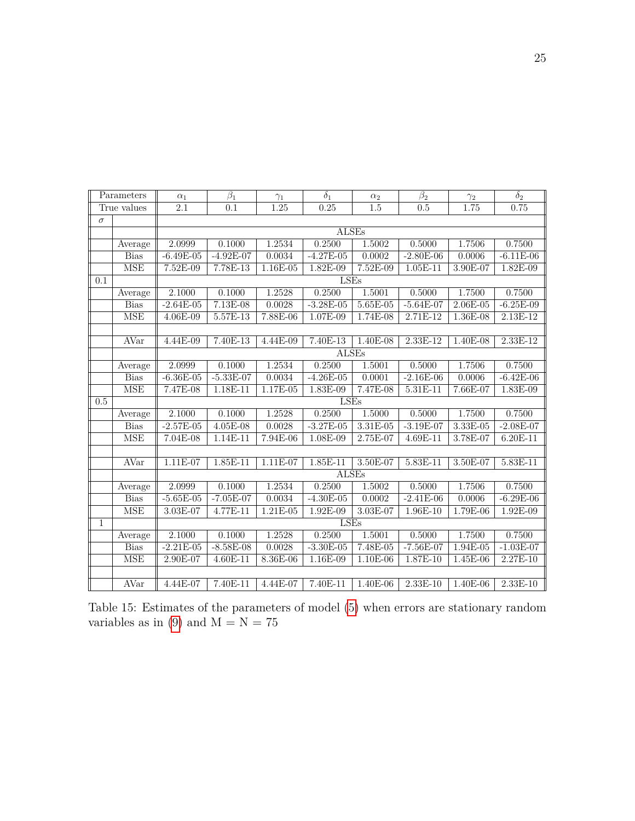| Parameters   |             | $\alpha_1$       | $\beta_1$                 | $\gamma_1$ | $\delta_1$   | $\alpha_2$ | $\overline{\beta_2}$ | $\gamma_2$ | $\delta_2$  |  |  |  |
|--------------|-------------|------------------|---------------------------|------------|--------------|------------|----------------------|------------|-------------|--|--|--|
| True values  |             | $\overline{2.1}$ | $\overline{0.1}$          | 1.25       | 0.25         | 1.5        | 0.5                  | 1.75       | 0.75        |  |  |  |
| $\sigma$     |             |                  |                           |            |              |            |                      |            |             |  |  |  |
|              |             | <b>ALSEs</b>     |                           |            |              |            |                      |            |             |  |  |  |
|              | Average     | 2.0999           | 0.1000                    | 1.2534     | 0.2500       | 1.5002     | 0.5000               | 1.7506     | 0.7500      |  |  |  |
|              | <b>Bias</b> | $-6.49E-05$      | $-4.92E-07$               | 0.0034     | $-4.27E-05$  | 0.0002     | $-2.80E-06$          | 0.0006     | $-6.11E-06$ |  |  |  |
|              | <b>MSE</b>  | 7.52E-09         | 7.78E-13                  | $1.16E-05$ | 1.82E-09     | $7.52E-09$ | $1.05E-11$           | 3.90E-07   | $1.82E-09$  |  |  |  |
| 0.1          |             | LSEs             |                           |            |              |            |                      |            |             |  |  |  |
|              | Average     | 2.1000           | 0.1000                    | 1.2528     | 0.2500       | 1.5001     | 0.5000               | 1.7500     | 0.7500      |  |  |  |
|              | <b>Bias</b> | $-2.64E-05$      | 7.13E-08                  | 0.0028     | $-3.28E-05$  | 5.65E-05   | $-5.64E-07$          | 2.06E-05   | $-6.25E-09$ |  |  |  |
|              | <b>MSE</b>  | 4.06E-09         | 5.57E-13                  | $7.88E-06$ | 1.07E-09     | 1.74E-08   | 2.71E-12             | 1.36E-08   | $2.13E-12$  |  |  |  |
|              |             |                  |                           |            |              |            |                      |            |             |  |  |  |
|              | <b>AVar</b> | 4.44E-09         | $7.40E-13$                | 4.44E-09   | $7.40E-13$   | $1.40E-08$ | $2.33E-12$           | 1.40E-08   | $2.33E-12$  |  |  |  |
|              |             |                  | $A\overline{\text{LSEs}}$ |            |              |            |                      |            |             |  |  |  |
|              | Average     | 2.0999           | 0.1000                    | 1.2534     | 0.2500       | 1.5001     | 0.5000               | 1.7506     | 0.7500      |  |  |  |
|              | <b>Bias</b> | $-6.36E-05$      | $-5.33E-07$               | 0.0034     | $-4.26E-05$  | 0.0001     | $-2.16E-06$          | 0.0006     | $-6.42E-06$ |  |  |  |
|              | <b>MSE</b>  | 7.47E-08         | 1.18E-11                  | 1.17E-05   | 1.83E-09     | 7.47E-08   | $5.31E-11$           | 7.66E-07   | 1.83E-09    |  |  |  |
| 0.5          |             | LSEs             |                           |            |              |            |                      |            |             |  |  |  |
|              | Average     | 2.1000           | 0.1000                    | 1.2528     | 0.2500       | 1.5000     | 0.5000               | 1.7500     | 0.7500      |  |  |  |
|              | <b>Bias</b> | $-2.57E-05$      | 4.05E-08                  | 0.0028     | $-3.27E-05$  | $3.31E-05$ | $-3.19E-07$          | $3.33E-05$ | $-2.08E-07$ |  |  |  |
|              | <b>MSE</b>  | 7.04E-08         | $1.14E-11$                | $7.94E-06$ | 1.08E-09     | 2.75E-07   | $4.69E-11$           | 3.78E-07   | 6.20E-11    |  |  |  |
|              |             |                  |                           |            |              |            |                      |            |             |  |  |  |
|              | AVar        | 1.11E-07         | 1.85E-11                  | 1.11E-07   | 1.85E-11     | 3.50E-07   | 5.83E-11             | 3.50E-07   | $5.83E-11$  |  |  |  |
|              |             |                  |                           |            | <b>ALSEs</b> |            |                      |            |             |  |  |  |
|              | Average     | 2.0999           | 0.1000                    | 1.2534     | 0.2500       | 1.5002     | 0.5000               | 1.7506     | 0.7500      |  |  |  |
|              | <b>Bias</b> | $-5.65E-05$      | $-7.05E-07$               | 0.0034     | $-4.30E-05$  | 0.0002     | $-2.41E-06$          | 0.0006     | $-6.29E-06$ |  |  |  |
|              | <b>MSE</b>  | $3.03E-07$       | 4.77E-11                  | 1.21E-05   | 1.92E-09     | $3.03E-07$ | 1.96E-10             | 1.79E-06   | 1.92E-09    |  |  |  |
| $\mathbf{1}$ |             |                  |                           |            | <b>LSEs</b>  |            |                      |            |             |  |  |  |
|              | Average     | 2.1000           | 0.1000                    | 1.2528     | 0.2500       | 1.5001     | 0.5000               | 1.7500     | 0.7500      |  |  |  |
|              | <b>Bias</b> | $-2.21E-05$      | $-8.58E-08$               | 0.0028     | $-3.30E-05$  | $7.48E-05$ | $-7.56E-07$          | $1.94E-05$ | $-1.03E-07$ |  |  |  |
|              | <b>MSE</b>  | 2.90E-07         | 4.60E-11                  | 8.36E-06   | 1.16E-09     | 1.10E-06   | 1.87E-10             | 1.45E-06   | 2.27E-10    |  |  |  |
|              |             |                  |                           |            |              |            |                      |            |             |  |  |  |
|              | AVar        | 4.44E-07         | 7.40E-11                  | 4.44E-07   | 7.40E-11     | 1.40E-06   | $2.33E-10$           | $1.40E-06$ | $2.33E-10$  |  |  |  |

Table 15: Estimates of the parameters of model [\(5\)](#page-8-2) when errors are stationary random variables as in [\(9\)](#page-12-1) and  $M = N = 75$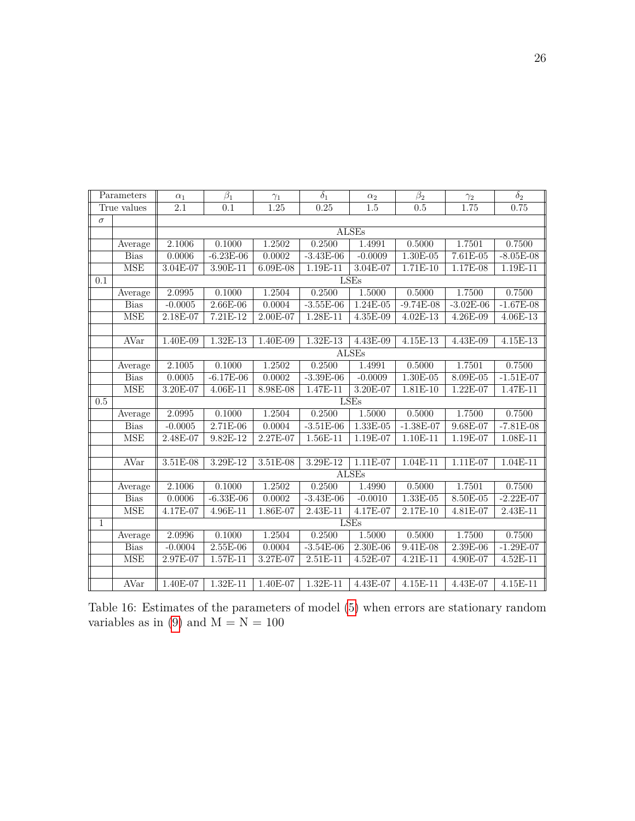| Parameters   |             | $\alpha_1$       | $\beta_1$        | $\gamma_1$ | $\delta_1$  | $\alpha_2$   | $\beta_2$   | $\gamma_2$  | $\delta_2$  |  |  |
|--------------|-------------|------------------|------------------|------------|-------------|--------------|-------------|-------------|-------------|--|--|
| True values  |             | $\overline{2.1}$ | $\overline{0.1}$ | 1.25       | 0.25        | 1.5          | 0.5         | 1.75        | 0.75        |  |  |
| $\sigma$     |             |                  |                  |            |             |              |             |             |             |  |  |
|              |             | <b>ALSEs</b>     |                  |            |             |              |             |             |             |  |  |
|              | Average     | 2.1006           | 0.1000           | 1.2502     | 0.2500      | 1.4991       | 0.5000      | 1.7501      | 0.7500      |  |  |
|              | <b>Bias</b> | 0.0006           | $-6.23E-06$      | 0.0002     | $-3.43E-06$ | $-0.0009$    | $1.30E-05$  | $7.61E-05$  | $-8.05E-08$ |  |  |
|              | <b>MSE</b>  | $3.04E-07$       | $3.90E-11$       | $6.09E-08$ | $1.19E-11$  | $3.04E-07$   | $1.71E-10$  | $1.17E-08$  | $1.19E-11$  |  |  |
| 0.1          |             | <b>LSEs</b>      |                  |            |             |              |             |             |             |  |  |
|              | Average     | 2.0995           | 0.1000           | 1.2504     | 0.2500      | 1.5000       | 0.5000      | 1.7500      | 0.7500      |  |  |
|              | <b>Bias</b> | $-0.0005$        | $2.66E-06$       | 0.0004     | $-3.55E-06$ | $1.24E-05$   | $-9.74E-08$ | $-3.02E-06$ | $-1.67E-08$ |  |  |
|              | <b>MSE</b>  | 2.18E-07         | $7.21E-12$       | 2.00E-07   | 1.28E-11    | $4.35E-09$   | 4.02E-13    | 4.26E-09    | 4.06E-13    |  |  |
|              |             |                  |                  |            |             |              |             |             |             |  |  |
|              | <b>AVar</b> | 1.40E-09         | $1.32E-13$       | $1.40E-09$ | 1.32E-13    | $4.43E-09$   | $4.15E-13$  | $4.43E-09$  | $4.15E-13$  |  |  |
|              |             | <b>ALSEs</b>     |                  |            |             |              |             |             |             |  |  |
|              | Average     | 2.1005           | 0.1000           | 1.2502     | 0.2500      | 1.4991       | 0.5000      | 1.7501      | 0.7500      |  |  |
|              | <b>Bias</b> | 0.0005           | $-6.17E-06$      | 0.0002     | $-3.39E-06$ | $-0.0009$    | $1.30E-05$  | 8.09E-05    | $-1.51E-07$ |  |  |
|              | <b>MSE</b>  | $3.20E-07$       | 4.06E-11         | $8.98E-08$ | 1.47E-11    | 3.20E-07     | 1.81E-10    | 1.22E-07    | 1.47E-11    |  |  |
| 0.5          |             | <b>LSEs</b>      |                  |            |             |              |             |             |             |  |  |
|              | Average     | 2.0995           | 0.1000           | 1.2504     | 0.2500      | 1.5000       | 0.5000      | 1.7500      | 0.7500      |  |  |
|              | <b>Bias</b> | $-0.0005$        | $2.71E-06$       | 0.0004     | $-3.51E-06$ | $1.33E-05$   | $-1.38E-07$ | $9.68E-07$  | $-7.81E-08$ |  |  |
|              | <b>MSE</b>  | 2.48E-07         | $9.82E-12$       | 2.27E-07   | $1.56E-11$  | 1.19E-07     | $1.10E-11$  | 1.19E-07    | 1.08E-11    |  |  |
|              |             |                  |                  |            |             |              |             |             |             |  |  |
|              | <b>AVar</b> | 3.51E-08         | $3.29E-12$       | $3.51E-08$ | 3.29E-12    | 1.11E-07     | $1.04E-11$  | 1.11E-07    | $1.04E-11$  |  |  |
|              |             |                  |                  |            |             | <b>ALSEs</b> |             |             |             |  |  |
|              | Average     | 2.1006           | 0.1000           | 1.2502     | 0.2500      | 1.4990       | 0.5000      | 1.7501      | 0.7500      |  |  |
|              | <b>Bias</b> | 0.0006           | $-6.33E-06$      | 0.0002     | $-3.43E-06$ | $-0.0010$    | $1.33E-05$  | 8.50E-05    | $-2.22E-07$ |  |  |
|              | <b>MSE</b>  | 4.17E-07         | $4.96E-11$       | $1.86E-07$ | $2.43E-11$  | 4.17E-07     | $2.17E-10$  | $4.81E-07$  | $2.43E-11$  |  |  |
| $\mathbf{1}$ |             |                  |                  |            |             | <b>LSEs</b>  |             |             |             |  |  |
|              | Average     | 2.0996           | 0.1000           | 1.2504     | 0.2500      | 1.5000       | 0.5000      | 1.7500      | 0.7500      |  |  |
|              | <b>Bias</b> | $-0.0004$        | $2.55E-06$       | 0.0004     | $-3.54E-06$ | $2.30E-06$   | $9.41E-08$  | 2.39E-06    | $-1.29E-07$ |  |  |
|              | <b>MSE</b>  | 2.97E-07         | $1.57E-11$       | 3.27E-07   | 2.51E-11    | 4.52E-07     | 4.21E-11    | 4.90E-07    | 4.52E-11    |  |  |
|              |             |                  |                  |            |             |              |             |             |             |  |  |
|              | AVar        | 1.40E-07         | $1.32E-11$       | 1.40E-07   | 1.32E-11    | 4.43E-07     | 4.15E-11    | 4.43E-07    | 4.15E-11    |  |  |

Table 16: Estimates of the parameters of model [\(5\)](#page-8-2) when errors are stationary random variables as in [\(9\)](#page-12-1) and  $M = N = 100$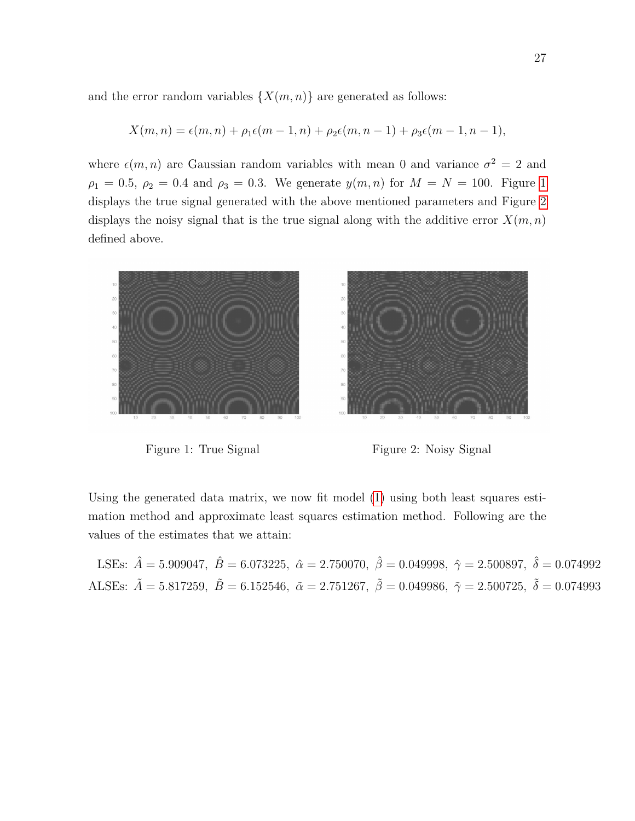and the error random variables  $\{X(m, n)\}\$ are generated as follows:

$$
X(m, n) = \epsilon(m, n) + \rho_1 \epsilon(m - 1, n) + \rho_2 \epsilon(m, n - 1) + \rho_3 \epsilon(m - 1, n - 1),
$$

where  $\epsilon(m, n)$  are Gaussian random variables with mean 0 and variance  $\sigma^2 = 2$  and  $\rho_1 = 0.5, \ \rho_2 = 0.4 \text{ and } \rho_3 = 0.3.$  We generate  $y(m, n)$  for  $M = N = 100$  $M = N = 100$  $M = N = 100$ . Figure 1 displays the true signal generated with the above mentioned parameters and Figure [2](#page-26-0) displays the noisy signal that is the true signal along with the additive error  $X(m, n)$ defined above.

<span id="page-26-0"></span>

Figure 1: True Signal Figure 2: Noisy Signal

Using the generated data matrix, we now fit model [\(1\)](#page-1-0) using both least squares estimation method and approximate least squares estimation method. Following are the values of the estimates that we attain:

LSEs:  $\hat{A} = 5.909047$ ,  $\hat{B} = 6.073225$ ,  $\hat{\alpha} = 2.750070$ ,  $\hat{\beta} = 0.049998$ ,  $\hat{\gamma} = 2.500897$ ,  $\hat{\delta} = 0.074992$ ALSEs:  $\tilde{A} = 5.817259$ ,  $\tilde{B} = 6.152546$ ,  $\tilde{\alpha} = 2.751267$ ,  $\tilde{\beta} = 0.049986$ ,  $\tilde{\gamma} = 2.500725$ ,  $\tilde{\delta} = 0.074993$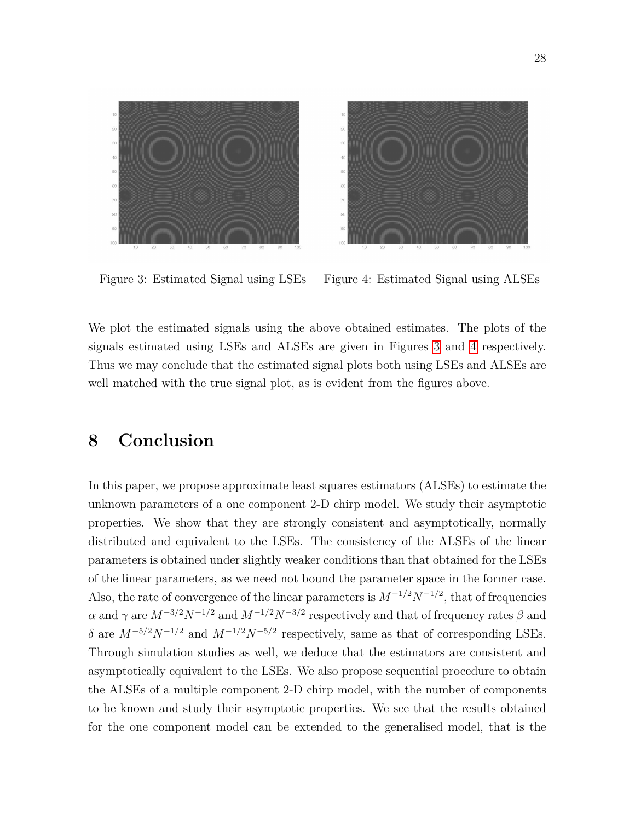<span id="page-27-1"></span>

Figure 3: Estimated Signal using LSEs Figure 4: Estimated Signal using ALSEs

We plot the estimated signals using the above obtained estimates. The plots of the signals estimated using LSEs and ALSEs are given in Figures [3](#page-27-1) and [4](#page-27-1) respectively. Thus we may conclude that the estimated signal plots both using LSEs and ALSEs are well matched with the true signal plot, as is evident from the figures above.

# <span id="page-27-0"></span>**8 Conclusion**

In this paper, we propose approximate least squares estimators (ALSEs) to estimate the unknown parameters of a one component 2-D chirp model. We study their asymptotic properties. We show that they are strongly consistent and asymptotically, normally distributed and equivalent to the LSEs. The consistency of the ALSEs of the linear parameters is obtained under slightly weaker conditions than that obtained for the LSEs of the linear parameters, as we need not bound the parameter space in the former case. Also, the rate of convergence of the linear parameters is  $M^{-1/2}N^{-1/2}$ , that of frequencies  $\alpha$  and  $\gamma$  are  $M^{-3/2}N^{-1/2}$  and  $M^{-1/2}N^{-3/2}$  respectively and that of frequency rates  $\beta$  and *δ* are  $M^{-5/2}N^{-1/2}$  and  $M^{-1/2}N^{-5/2}$  respectively, same as that of corresponding LSEs. Through simulation studies as well, we deduce that the estimators are consistent and asymptotically equivalent to the LSEs. We also propose sequential procedure to obtain the ALSEs of a multiple component 2-D chirp model, with the number of components to be known and study their asymptotic properties. We see that the results obtained for the one component model can be extended to the generalised model, that is the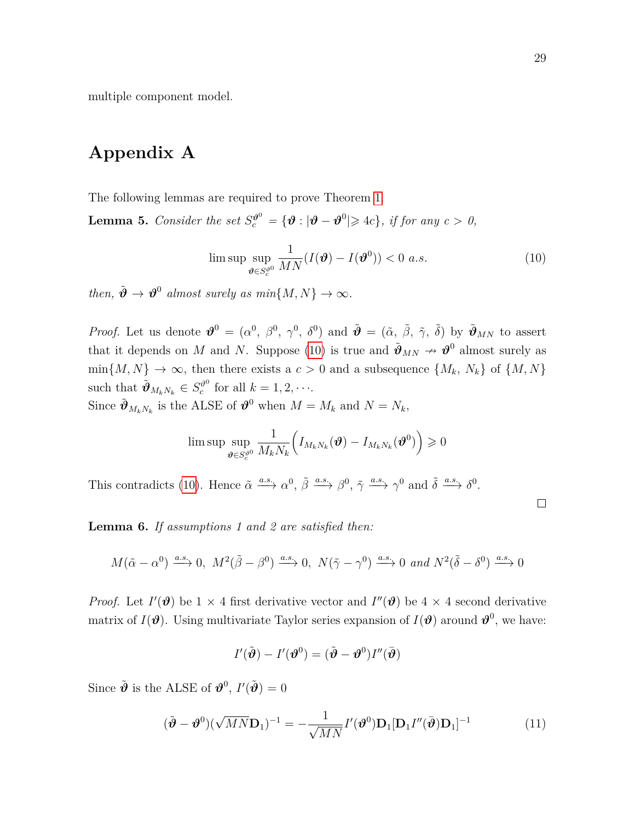multiple component model.

# <span id="page-28-1"></span>**Appendix A**

The following lemmas are required to prove Theorem [1.](#page-7-3)

<span id="page-28-0"></span>**Lemma 5.** *Consider the set*  $S_c^{\theta^0} = {\theta : |\theta - \theta^0| \geq 4c},$  *if for any c* > 0,

<span id="page-28-2"></span>
$$
\limsup_{\theta \in S_c^{\vartheta^0}} \frac{1}{MN} (I(\boldsymbol{\vartheta}) - I(\boldsymbol{\vartheta}^0)) < 0 \ a.s. \tag{10}
$$

*then,*  $\tilde{\boldsymbol{\vartheta}} \to \boldsymbol{\vartheta}^0$  *almost surely as min* $\{M, N\} \to \infty$ *.* 

*Proof.* Let us denote  $\mathbf{\hat{v}}^0 = (\alpha^0, \beta^0, \gamma^0, \delta^0)$  and  $\tilde{\mathbf{\hat{v}}} = (\tilde{\alpha}, \tilde{\beta}, \tilde{\gamma}, \tilde{\delta})$  by  $\tilde{\mathbf{\hat{v}}}_{MN}$  to assert that it depends on *M* and *N*. Suppose [\(10\)](#page-28-2) is true and  $\tilde{\mathbf{\theta}}_{MN} \to \mathbf{\theta}^0$  almost surely as  $\min\{M, N\} \to \infty$ , then there exists a  $c > 0$  and a subsequence  $\{M_k, N_k\}$  of  $\{M, N\}$ such that  $\tilde{\boldsymbol{\vartheta}}_{M_k N_k} \in S_c^{\vartheta^0}$  $c^{00}_{c}$  for all  $k = 1, 2, \cdots$ .

Since  $\tilde{\mathbf{\Psi}}_{M_k N_k}$  is the ALSE of  $\mathbf{\Psi}^0$  when  $M = M_k$  and  $N = N_k$ ,

$$
\limsup\limits_{\boldsymbol \vartheta\in S^{q0}_{c}}\frac{1}{M_{k}N_{k}}\Big(I_{M_{k}N_{k}}\big(\boldsymbol \vartheta)-I_{M_{k}N_{k}}(\boldsymbol \vartheta^0)\Big)\geqslant 0
$$

This contradicts [\(10\)](#page-28-2). Hence  $\tilde{\alpha} \xrightarrow{a.s.} \alpha^0$ ,  $\tilde{\beta} \xrightarrow{a.s.} \beta^0$ ,  $\tilde{\gamma} \xrightarrow{a.s.} \gamma^0$  and  $\tilde{\delta} \xrightarrow{a.s.} \delta^0$ .

<span id="page-28-4"></span>**Lemma 6.** *If assumptions 1 and 2 are satisfied then:*

$$
M(\tilde{\alpha}-\alpha^0)\xrightarrow{a.s.} 0,\ M^2(\tilde{\beta}-\beta^0)\xrightarrow{a.s.} 0,\ N(\tilde{\gamma}-\gamma^0)\xrightarrow{a.s.} 0\ and\ N^2(\tilde{\delta}-\delta^0)\xrightarrow{a.s.} 0
$$

*Proof.* Let  $I'(\mathbf{\theta})$  be 1 × 4 first derivative vector and  $I''(\mathbf{\theta})$  be 4 × 4 second derivative matrix of  $I(\theta)$ . Using multivariate Taylor series expansion of  $I(\theta)$  around  $\theta^0$ , we have:

$$
I'(\tilde{\boldsymbol{\vartheta}}) - I'(\boldsymbol{\vartheta}^0) = (\tilde{\boldsymbol{\vartheta}} - \boldsymbol{\vartheta}^0)I''(\bar{\boldsymbol{\vartheta}})
$$

Since  $\tilde{\boldsymbol{\vartheta}}$  is the ALSE of  $\boldsymbol{\vartheta}^0$ ,  $I'(\tilde{\boldsymbol{\vartheta}})=0$ 

<span id="page-28-3"></span>
$$
(\tilde{\boldsymbol{\vartheta}} - \boldsymbol{\vartheta}^0)(\sqrt{MN}\mathbf{D}_1)^{-1} = -\frac{1}{\sqrt{MN}}I'(\boldsymbol{\vartheta}^0)\mathbf{D}_1[\mathbf{D}_1I''(\bar{\boldsymbol{\vartheta}})\mathbf{D}_1]^{-1}
$$
(11)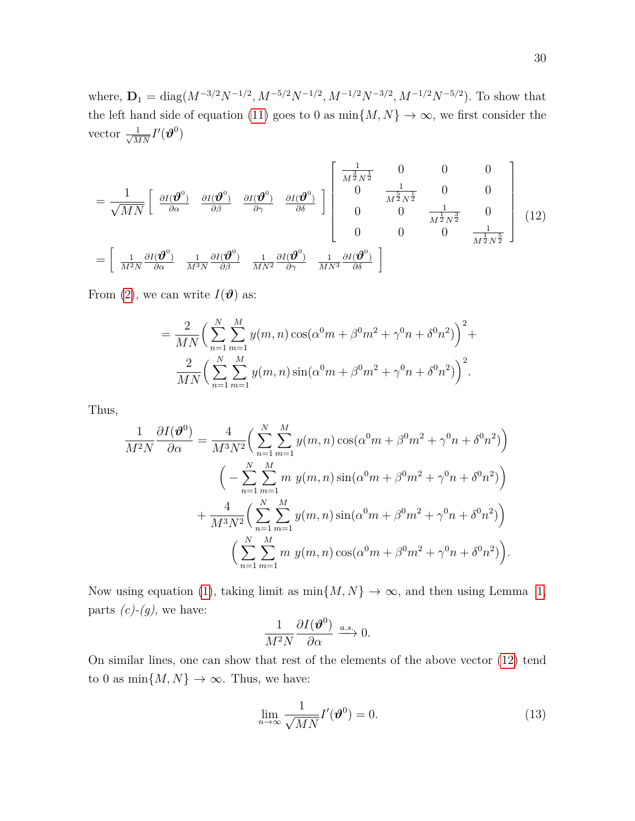where,  $D_1 = \text{diag}(M^{-3/2}N^{-1/2}, M^{-5/2}N^{-1/2}, M^{-1/2}N^{-3/2}, M^{-1/2}N^{-5/2})$ . To show that the left hand side of equation [\(11\)](#page-28-3) goes to 0 as  $\min\{M,N\} \to \infty$ , we first consider the vector  $\frac{1}{\sqrt{MN}}I'(\boldsymbol{\vartheta}^0)$ 

<span id="page-29-0"></span>
$$
= \frac{1}{\sqrt{MN}} \begin{bmatrix} \frac{\partial I(\boldsymbol{\vartheta}^{0})}{\partial \alpha} & \frac{\partial I(\boldsymbol{\vartheta}^{0})}{\partial \beta} & \frac{\partial I(\boldsymbol{\vartheta}^{0})}{\partial \gamma} & \frac{\partial I(\boldsymbol{\vartheta}^{0})}{\partial \delta} \end{bmatrix} \begin{bmatrix} \frac{1}{M^{\frac{3}{2}}N^{\frac{1}{2}}} & 0 & 0 & 0 \\ 0 & \frac{1}{M^{\frac{5}{2}}N^{\frac{1}{2}}} & 0 & 0 \\ 0 & 0 & \frac{1}{M^{\frac{1}{2}}N^{\frac{3}{2}}} & 0 \\ 0 & 0 & 0 & \frac{1}{M^{\frac{1}{2}}N^{\frac{3}{2}}} \end{bmatrix} (12)
$$

$$
= \begin{bmatrix} \frac{1}{M^{2}N} \frac{\partial I(\boldsymbol{\vartheta}^{0})}{\partial \alpha} & \frac{1}{M^{3}N} \frac{\partial I(\boldsymbol{\vartheta}^{0})}{\partial \beta} & \frac{1}{MN^{2}} \frac{\partial I(\boldsymbol{\vartheta}^{0})}{\partial \gamma} & \frac{1}{MN^{3}} \frac{\partial I(\boldsymbol{\vartheta}^{0})}{\partial \delta} \end{bmatrix}
$$

From [\(2\)](#page-2-0), we can write  $I(\boldsymbol{\vartheta})$  as:

$$
= \frac{2}{MN} \left( \sum_{n=1}^{N} \sum_{m=1}^{M} y(m,n) \cos(\alpha^0 m + \beta^0 m^2 + \gamma^0 n + \delta^0 n^2) \right)^2 +
$$
  

$$
\frac{2}{MN} \left( \sum_{n=1}^{N} \sum_{m=1}^{M} y(m,n) \sin(\alpha^0 m + \beta^0 m^2 + \gamma^0 n + \delta^0 n^2) \right)^2.
$$

Thus,

$$
\frac{1}{M^2N} \frac{\partial I(\boldsymbol{\vartheta}^0)}{\partial \alpha} = \frac{4}{M^3N^2} \bigg( \sum_{n=1}^N \sum_{m=1}^M y(m,n) \cos(\alpha^0 m + \beta^0 m^2 + \gamma^0 n + \delta^0 n^2) \bigg) \n\bigg( - \sum_{n=1}^N \sum_{m=1}^M m y(m,n) \sin(\alpha^0 m + \beta^0 m^2 + \gamma^0 n + \delta^0 n^2) \bigg) \n+ \frac{4}{M^3N^2} \bigg( \sum_{n=1}^N \sum_{m=1}^M y(m,n) \sin(\alpha^0 m + \beta^0 m^2 + \gamma^0 n + \delta^0 n^2) \bigg) \n\bigg( \sum_{n=1}^N \sum_{m=1}^M m y(m,n) \cos(\alpha^0 m + \beta^0 m^2 + \gamma^0 n + \delta^0 n^2) \bigg).
$$

Now using equation [\(1\)](#page-1-0), taking limit as  $\min\{M, N\} \to \infty$ , and then using Lemma [1,](#page-4-0) parts  $(c)-(g)$ , we have:

$$
\frac{1}{M^2N}\frac{\partial I(\boldsymbol{\vartheta}^0)}{\partial \alpha} \xrightarrow{a.s.} 0.
$$

On similar lines, one can show that rest of the elements of the above vector [\(12\)](#page-29-0) tend to 0 as  $\min\{M,N\}\to\infty.$  Thus, we have:

<span id="page-29-1"></span>
$$
\lim_{n \to \infty} \frac{1}{\sqrt{MN}} I'(\boldsymbol{\vartheta}^0) = 0.
$$
\n(13)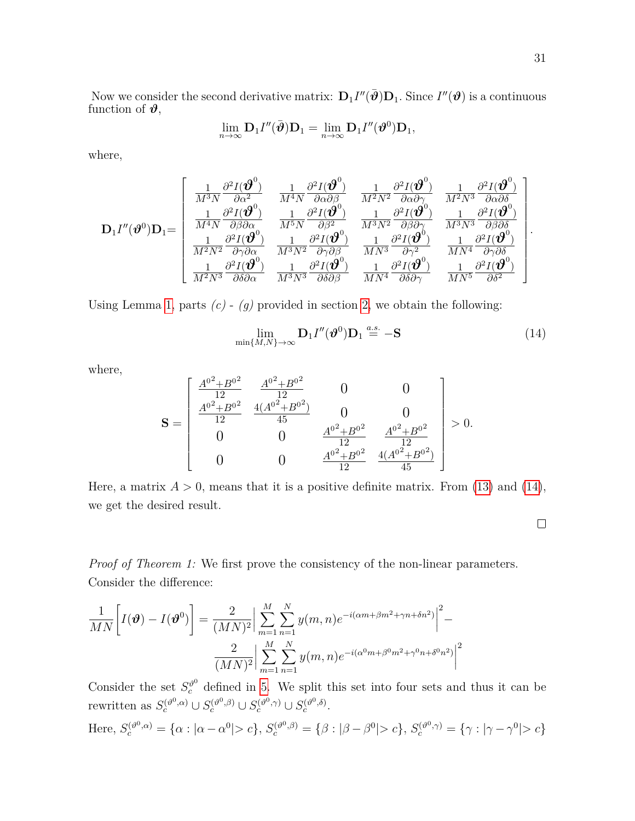Now we consider the second derivative matrix:  $D_1 I''(\bar{\boldsymbol{\vartheta}})D_1$ . Since  $I''(\boldsymbol{\vartheta})$  is a continuous function of  $\vartheta$ ,

$$
\lim_{n\to\infty} {\bf D}_1 I''(\bar{\boldsymbol{\vartheta}}) {\bf D}_1 = \lim_{n\to\infty} {\bf D}_1 I''(\boldsymbol{\vartheta}^0) {\bf D}_1,
$$

where,

$$
\mathbf{D}_{1}I''(\boldsymbol{\vartheta}^{0})\mathbf{D}_{1}=\left[\begin{array}{ccc} \frac{1}{M^{3}N}\frac{\partial^{2}I(\boldsymbol{\vartheta}^{0})}{\partial\alpha^{2}} & \frac{1}{M^{4}N}\frac{\partial^{2}I(\boldsymbol{\vartheta}^{0})}{\partial\alpha\partial\beta} & \frac{1}{M^{2}N^{2}}\frac{\partial^{2}I(\boldsymbol{\vartheta}^{0})}{\partial\alpha\partial\gamma} & \frac{1}{M^{2}N^{3}}\frac{\partial^{2}I(\boldsymbol{\vartheta}^{0})}{\partial\alpha\partial\delta} \\ \frac{1}{M^{4}N}\frac{\partial^{2}I(\boldsymbol{\vartheta}^{0})}{\partial\beta\partial\alpha} & \frac{1}{M^{5}N}\frac{\partial^{2}I(\boldsymbol{\vartheta}^{0})}{\partial\beta^{2}} & \frac{1}{M^{3}N^{2}}\frac{\partial^{2}I(\boldsymbol{\vartheta}^{0})}{\partial\beta\partial\gamma} & \frac{1}{M^{3}N^{3}}\frac{\partial^{2}I(\boldsymbol{\vartheta}^{0})}{\partial\beta\partial\delta} \\ \frac{1}{M^{2}N^{2}}\frac{\partial^{2}I(\boldsymbol{\vartheta}^{0})}{\partial\gamma\partial\alpha} & \frac{1}{M^{3}N^{2}}\frac{\partial^{2}I(\boldsymbol{\vartheta}^{0})}{\partial\gamma\partial\beta} & \frac{1}{MN^{3}}\frac{\partial^{2}I(\boldsymbol{\vartheta}^{0})}{\partial\gamma^{2}} & \frac{1}{MN^{4}}\frac{\partial^{2}I(\boldsymbol{\vartheta}^{0})}{\partial\gamma\partial\delta} \\ \frac{1}{M^{2}N^{3}}\frac{\partial^{2}I(\boldsymbol{\vartheta}^{0})}{\partial\delta\partial\alpha} & \frac{1}{M^{3}N^{3}}\frac{\partial^{2}I(\boldsymbol{\vartheta}^{0})}{\partial\delta\partial\beta} & \frac{1}{MN^{4}}\frac{\partial^{2}I(\boldsymbol{\vartheta}^{0})}{\partial\delta\partial\gamma} & \frac{1}{MN^{5}}\frac{\partial^{2}I(\boldsymbol{\vartheta}^{0})}{\partial\delta^{2}} \end{array}\right].
$$

Using Lemma [1,](#page-4-0) parts  $(c)$  -  $(g)$  provided in section [2,](#page-3-0) we obtain the following:

<span id="page-30-0"></span>
$$
\lim_{\min\{M,N\}\to\infty} \mathbf{D}_1 I''(\boldsymbol{\vartheta}^0) \mathbf{D}_1 \stackrel{a.s.}{=} -\mathbf{S}
$$
 (14)

where,

$$
\mathbf{S} = \begin{bmatrix} \frac{A^{0^2} + B^{0^2}}{12} & \frac{A^{0^2} + B^{0^2}}{12} & 0 & 0\\ \frac{A^{0^2} + B^{0^2}}{12} & \frac{4(A^{0^2} + B^{0^2})}{45} & 0 & 0\\ 0 & 0 & \frac{A^{0^2} + B^{0^2}}{12} & \frac{A^{0^2} + B^{0^2}}{12}\\ 0 & 0 & \frac{A^{0^2} + B^{0^2}}{12} & \frac{4(A^{0^2} + B^{0^2})}{45} \end{bmatrix} > 0.
$$

Here, a matrix  $A > 0$ , means that it is a positive definite matrix. From [\(13\)](#page-29-1) and [\(14\)](#page-30-0), we get the desired result.

*Proof of Theorem 1:* We first prove the consistency of the non-linear parameters. Consider the difference:

$$
\frac{1}{MN} \left[ I(\mathbf{\vartheta}) - I(\mathbf{\vartheta}^{0}) \right] = \frac{2}{(MN)^2} \Big| \sum_{m=1}^{M} \sum_{n=1}^{N} y(m,n) e^{-i(\alpha m + \beta m^2 + \gamma n + \delta n^2)} \Big|^{2} - \frac{2}{(MN)^2} \Big| \sum_{m=1}^{M} \sum_{n=1}^{N} y(m,n) e^{-i(\alpha^0 m + \beta^0 m^2 + \gamma^0 n + \delta^0 n^2)} \Big|^{2}
$$

Consider the set  $S_c^{\vartheta^0}$  defined in [5.](#page-28-0) We split this set into four sets and thus it can be rewritten as  $S_c^{(\vartheta^0, \alpha)} \cup S_c^{(\vartheta^0, \beta)} \cup S_c^{(\vartheta^0, \gamma)} \cup S_c^{(\vartheta^0, \delta)}$ .

Here, 
$$
S_c^{(\vartheta^0, \alpha)} = {\alpha : |\alpha - \alpha^0| > c}, S_c^{(\vartheta^0, \beta)} = {\beta : |\beta - \beta^0| > c}, S_c^{(\vartheta^0, \gamma)} = {\gamma : |\gamma - \gamma^0| > c}
$$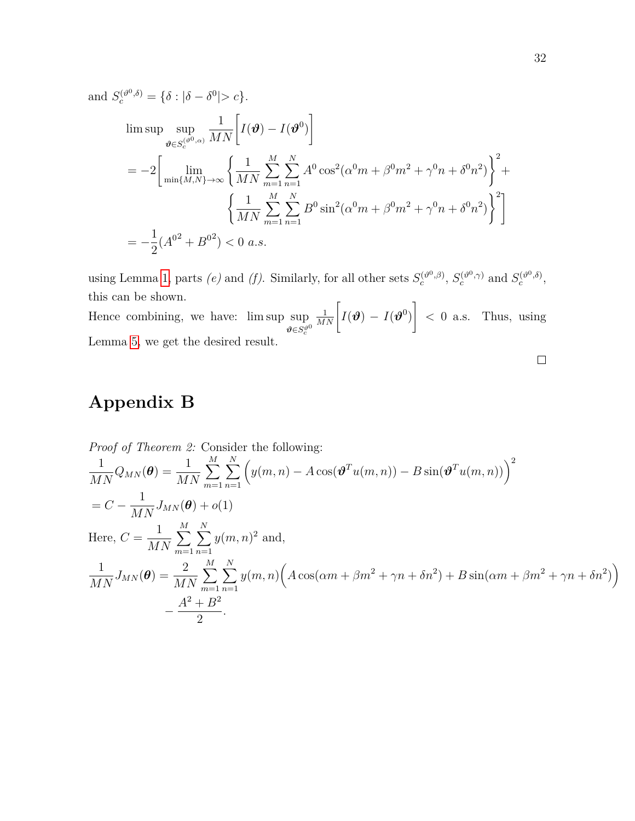and 
$$
S_c^{(\vartheta^0, \delta)} = \{\delta : |\delta - \delta^0| > c\}.
$$
  
\n
$$
\limsup_{\vartheta \in S_c^{(\vartheta^0, \alpha)}} \frac{1}{MN} \left[ I(\vartheta) - I(\vartheta^0) \right]
$$
\n
$$
= -2 \left[ \lim_{\min\{M, N\} \to \infty} \left\{ \frac{1}{MN} \sum_{m=1}^M \sum_{n=1}^N A^0 \cos^2(\alpha^0 m + \beta^0 m^2 + \gamma^0 n + \delta^0 n^2) \right\}^2 + \left\{ \frac{1}{MN} \sum_{m=1}^M \sum_{n=1}^N B^0 \sin^2(\alpha^0 m + \beta^0 m^2 + \gamma^0 n + \delta^0 n^2) \right\}^2 \right]
$$
\n
$$
= -\frac{1}{2} (A^{02} + B^{02}) < 0 \text{ a.s.}
$$

using Lemma [1,](#page-4-0) parts *(e)* and *(f)*. Similarly, for all other sets  $S_c^{(\vartheta^0, \beta)}$ ,  $S_c^{(\vartheta^0, \gamma)}$  and  $S_c^{(\vartheta^0, \delta)}$ , this can be shown.

Hence combining, we have: lim sup sup  $\vartheta \in S_c^{\vartheta^0}$  $\frac{1}{MN}\bigg[ I(\boldsymbol{\vartheta}) \,-\, I(\boldsymbol{\vartheta}^0)$ 1 *<* 0 a.s. Thus, using Lemma [5,](#page-28-0) we get the desired result.

#### $\Box$

# <span id="page-31-0"></span>**Appendix B**

Proof of Theorem 2: Consider the following:  
\n
$$
\frac{1}{MN}Q_{MN}(\boldsymbol{\theta}) = \frac{1}{MN}\sum_{m=1}^{M}\sum_{n=1}^{N} \left(y(m,n) - A\cos(\boldsymbol{\vartheta}^{T}u(m,n)) - B\sin(\boldsymbol{\vartheta}^{T}u(m,n))\right)^{2}
$$
\n
$$
= C - \frac{1}{MN}J_{MN}(\boldsymbol{\theta}) + o(1)
$$
\nHere,  $C = \frac{1}{MN}\sum_{m=1}^{M}\sum_{n=1}^{N}y(m,n)^{2}$  and,  
\n
$$
\frac{1}{MN}J_{MN}(\boldsymbol{\theta}) = \frac{2}{MN}\sum_{m=1}^{M}\sum_{n=1}^{N}y(m,n)\left(A\cos(\alpha m + \beta m^{2} + \gamma n + \delta n^{2}) + B\sin(\alpha m + \beta m^{2} + \gamma n + \delta n^{2})\right)
$$
\n
$$
-\frac{A^{2} + B^{2}}{2}.
$$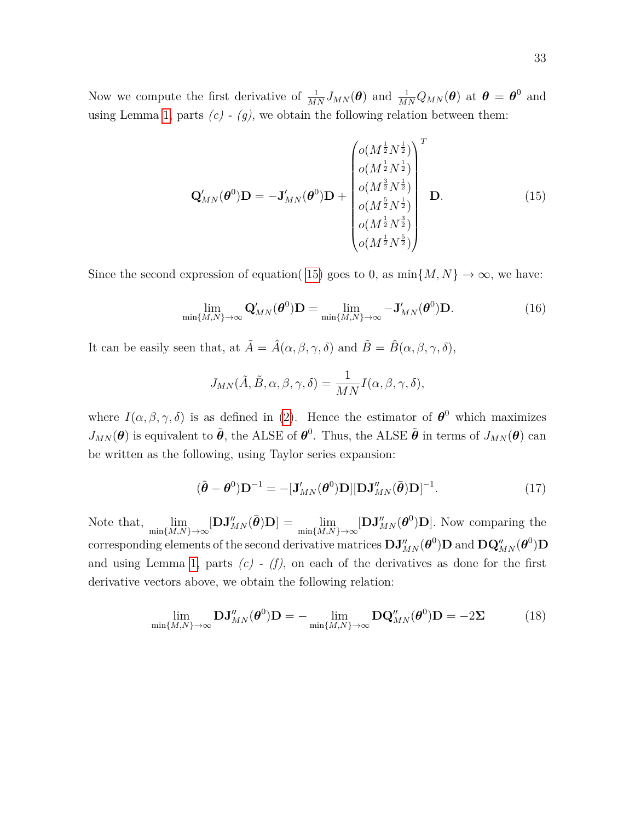Now we compute the first derivative of  $\frac{1}{MN}J_{MN}(\theta)$  and  $\frac{1}{MN}Q_{MN}(\theta)$  at  $\theta = \theta^0$  and using Lemma [1,](#page-4-0) parts  $(c)$  -  $(g)$ , we obtain the following relation between them:

<span id="page-32-0"></span>
$$
\mathbf{Q}'_{MN}(\boldsymbol{\theta}^{0})\mathbf{D} = -\mathbf{J}'_{MN}(\boldsymbol{\theta}^{0})\mathbf{D} + \begin{pmatrix} o(M^{\frac{1}{2}}N^{\frac{1}{2}}) \\ o(M^{\frac{1}{2}}N^{\frac{1}{2}}) \\ o(M^{\frac{3}{2}}N^{\frac{1}{2}}) \\ o(M^{\frac{5}{2}}N^{\frac{1}{2}}) \\ o(M^{\frac{1}{2}}N^{\frac{3}{2}}) \\ o(M^{\frac{1}{2}}N^{\frac{3}{2}}) \end{pmatrix} \mathbf{D}.
$$
 (15)

Since the second expression of equation( [15\)](#page-32-0) goes to 0, as  $\min\{M, N\} \to \infty$ , we have:

<span id="page-32-1"></span>
$$
\lim_{\min\{M,N\}\to\infty} \mathbf{Q}'_{MN}(\boldsymbol{\theta}^0)\mathbf{D} = \lim_{\min\{M,N\}\to\infty} -\mathbf{J}'_{MN}(\boldsymbol{\theta}^0)\mathbf{D}.\tag{16}
$$

It can be easily seen that, at  $\tilde{A} = \hat{A}(\alpha, \beta, \gamma, \delta)$  and  $\tilde{B} = \hat{B}(\alpha, \beta, \gamma, \delta)$ ,

$$
J_{MN}(\tilde{A}, \tilde{B}, \alpha, \beta, \gamma, \delta) = \frac{1}{MN}I(\alpha, \beta, \gamma, \delta),
$$

where  $I(\alpha, \beta, \gamma, \delta)$  is as defined in [\(2\)](#page-2-0). Hence the estimator of  $\theta^0$  which maximizes  $J_{MN}(\theta)$  is equivalent to  $\tilde{\theta}$ , the ALSE of  $\theta^0$ . Thus, the ALSE  $\tilde{\theta}$  in terms of  $J_{MN}(\theta)$  can be written as the following, using Taylor series expansion:

<span id="page-32-3"></span>
$$
(\tilde{\boldsymbol{\theta}} - \boldsymbol{\theta}^0) \mathbf{D}^{-1} = -[\mathbf{J}_{MN}'(\boldsymbol{\theta}^0) \mathbf{D}][\mathbf{D} \mathbf{J}_{MN}''(\bar{\boldsymbol{\theta}}) \mathbf{D}]^{-1}.
$$
 (17)

Note that,  $\lim_{\min\{M,N\}\to\infty} [\mathbf{D}\mathbf{J}_{MN}''(\bar{\boldsymbol{\theta}})\mathbf{D}] = \lim_{\min\{M,N\}\to\infty} [\mathbf{D}\mathbf{J}_{MN}''(\boldsymbol{\theta}^0)\mathbf{D}]$ . Now comparing the  $\text{corresponding elements of the second derivative matrices } \mathbf{DJ}_{MN}''(\boldsymbol{\theta}^0) \mathbf{D} \text{ and } \mathbf{DQ}_{MN}''(\boldsymbol{\theta}^0) \mathbf{D}$ and using Lemma [1,](#page-4-0) parts  $(c)$  -  $(f)$ , on each of the derivatives as done for the first derivative vectors above, we obtain the following relation:

<span id="page-32-2"></span>
$$
\lim_{\min\{M,N\}\to\infty} \mathbf{D}\mathbf{J}_{MN}''(\boldsymbol{\theta}^0)\mathbf{D} = -\lim_{\min\{M,N\}\to\infty} \mathbf{D}\mathbf{Q}_{MN}''(\boldsymbol{\theta}^0)\mathbf{D} = -2\Sigma
$$
 (18)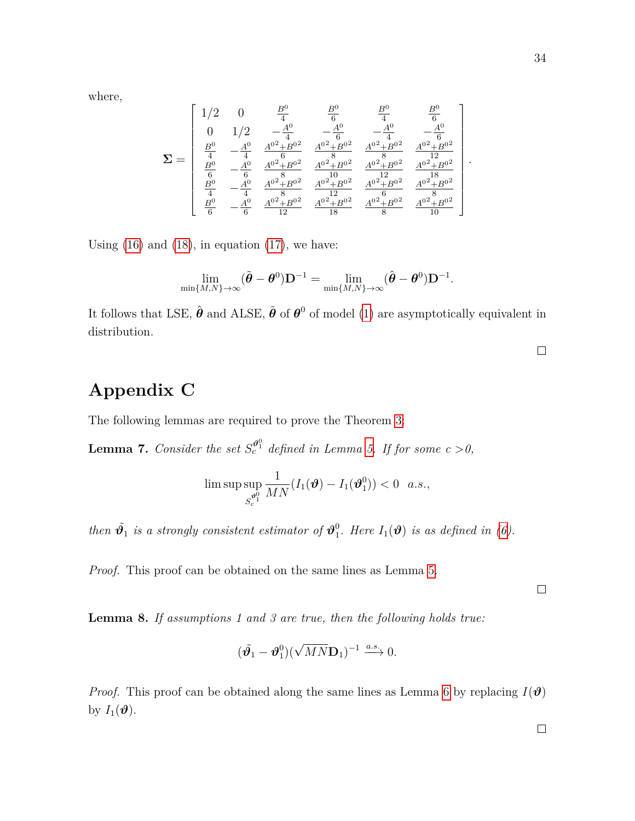where,

$$
\mathbf{\Sigma} = \left[ \begin{array}{cccccc} 1/2 & 0 & \frac{B^0}{4} & \frac{B^0}{6} & \frac{B^0}{4} & \frac{B^0}{6} \\ 0 & 1/2 & -\frac{A^0}{4} & -\frac{A^0}{6} & -\frac{A^0}{4} & -\frac{A^0}{6} \\ \frac{B^0}{4} & -\frac{A^0}{4} & \frac{A^{0^2}+B^{0^2}}{6} & \frac{A^{0^2}+B^{0^2}}{8} & \frac{A^{0^2}+B^{0^2}}{8} & \frac{A^{0^2}+B^{0^2}}{12} \\ \frac{B^0}{6} & -\frac{A^0}{6} & \frac{A^{0^2}+B^{0^2}}{8} & \frac{A^{0^2}+B^{0^2}}{10} & \frac{A^{0^2}+B^{0^2}}{12} & \frac{A^{0^2}+B^{0^2}}{18} \\ \frac{B^0}{4} & -\frac{A^0}{4} & \frac{A^{0^2}+B^{0^2}}{8} & \frac{A^{0^2}+B^{0^2}}{12} & \frac{A^{0^2}+B^{0^2}}{16} & \frac{A^{0^2}+B^{0^2}}{8} \\ \frac{B^0}{6} & -\frac{A^0}{6} & \frac{A^{0^2}+B^{0^2}}{12} & \frac{A^{0^2}+B^{0^2}}{18} & \frac{A^{0^2}+B^{0^2}}{8} & \frac{A^{0^2}+B^{0^2}}{10} \end{array} \right].
$$

Using  $(16)$  and  $(18)$ , in equation  $(17)$ , we have:

$$
\lim_{\min\{M,N\}\rightarrow\infty}(\tilde{\boldsymbol{\theta}}-\boldsymbol{\theta}^0)\mathbf{D}^{-1}=\lim_{\min\{M,N\}\rightarrow\infty}(\hat{\boldsymbol{\theta}}-\boldsymbol{\theta}^0)\mathbf{D}^{-1}.
$$

It follows that LSE,  $\hat{\theta}$  and ALSE,  $\tilde{\theta}$  of  $\theta^0$  of model [\(1\)](#page-1-0) are asymptotically equivalent in distribution.

 $\Box$ 

# <span id="page-33-0"></span>**Appendix C**

The following lemmas are required to prove the Theorem [3:](#page-10-0)

<span id="page-33-1"></span>**Lemma 7.** *Consider the set*  $S_c^{\theta_1^0}$  *defined in Lemma [5.](#page-28-0) If for some c* > 0,

$$
\limsup_{S_{c}^{\boldsymbol{\vartheta}_{1}^{0}}}\frac{1}{MN}(I_{1}(\boldsymbol{\vartheta})-I_{1}(\boldsymbol{\vartheta}_{1}^{0}))<0\quad a.s.,
$$

*then*  $\tilde{\boldsymbol{\vartheta}_1}$  *is a strongly consistent estimator of*  $\boldsymbol{\vartheta}_1^0$  $\int_1^0$ *. Here*  $I_1(\boldsymbol{\vartheta})$  *is as defined in [\(6\)](#page-9-0).* 

*Proof.* This proof can be obtained on the same lines as Lemma [5.](#page-28-0)

<span id="page-33-2"></span>**Lemma 8.** *If assumptions 1 and 3 are true, then the following holds true:*

$$
(\tilde{\boldsymbol{\vartheta}_1}-\boldsymbol{\vartheta}_1^0)(\sqrt{MN}\mathbf{D}_1)^{-1} \xrightarrow{a.s.} 0.
$$

*Proof.* This proof can be obtained along the same lines as Lemma [6](#page-28-4) by replacing  $I(\theta)$ by  $I_1(\boldsymbol{\vartheta})$ .

 $\Box$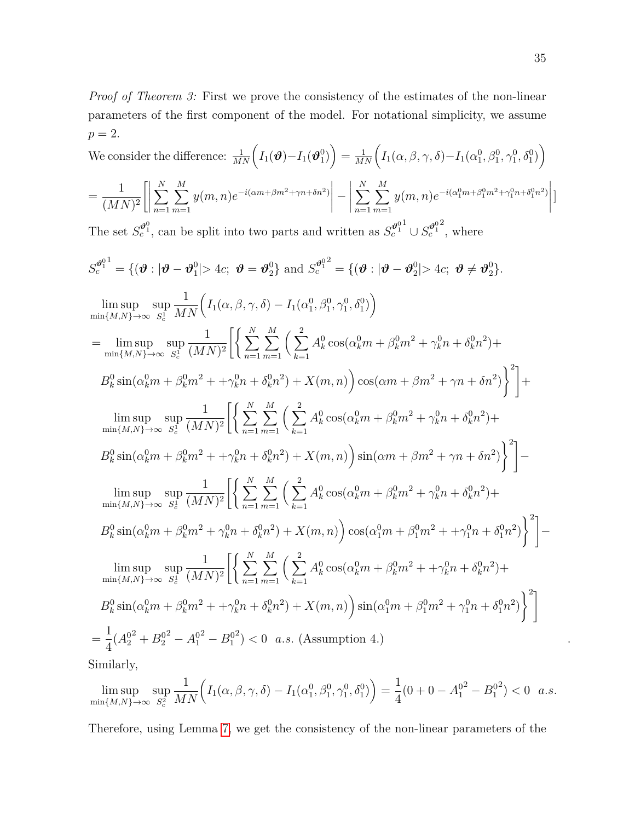*Proof of Theorem 3:* First we prove the consistency of the estimates of the non-linear parameters of the first component of the model. For notational simplicity, we assume  $p = 2$ .

$$
P = 2.
$$
  
We consider the difference:  $\frac{1}{MN} \left( I_1(\theta) - I_1(\theta_1^0) \right) = \frac{1}{MN} \left( I_1(\alpha, \beta, \gamma, \delta) - I_1(\alpha_1^0, \beta_1^0, \gamma_1^0, \delta_1^0) \right)$   
=  $\frac{1}{(MN)^2} \Biggl[ \Biggl| \sum_{n=1}^{N} \sum_{m=1}^{M} y(m, n) e^{-i(\alpha m + \beta m^2 + \gamma n + \delta n^2)} \Biggr| - \Biggl| \sum_{n=1}^{N} \sum_{m=1}^{M} y(m, n) e^{-i(\alpha_1^0 m + \beta_1^0 m^2 + \gamma_1^0 n + \delta_1^0 n^2)} \Biggr| \Biggr]$   
The set  $S_c^{\theta_1^0}$ , can be split into two parts and written as  $S_c^{\theta_1^0} \cup S_c^{\theta_1^0}$ , where  
 $S_c^{\theta_1^0} = \{ (\theta : |\theta - \theta_1^0| > 4c; \theta = \theta_2^0 \}$  and  $S_c^{\theta_1^0} = \{ (\theta : |\theta - \theta_2^0| > 4c; \theta \neq \theta_2^0 \}$ .  
 $\limsup_{m \in [M,N) \to \infty} \sup_{S_c^1} \frac{1}{MN} \Biggl( I_1(\alpha, \beta, \gamma, \delta) - I_1(\alpha_1^0, \beta_1^0, \gamma_1^0, \delta_1^0) \Biggr)$   
=  $\limsup_{m \in [M,N) \to \infty} \sup_{S_c^1} \frac{1}{(MN)^2} \Biggl[ \Biggl\{ \sum_{n=1}^{N} \sum_{m=1}^{M} \Biggl( \sum_{k=1}^{2} A_k^0 \cos(\alpha_k^0 m + \beta_k^0 m^2 + \gamma_k^0 n + \delta_k^0 n^2) + \frac{1}{2} \limsup_{m \in [M,N) \to \infty} \sup_{S_c^1} \frac{1}{(MN)^2} \Biggl[ \Biggl( \sum_{n=1}^{N} \sum_{m=1}^{M} \Biggl( \sum_{k=1}^{2} A_k^0 \cos(\alpha_k^0 m + \beta_k^0 m^2 + \gamma_k^0 n + \delta_k^0 n^2) + \frac{1}{2} \limsup_{m$ 

$$
= \frac{1}{4}(A_2^{0^2} + B_2^{0^2} - A_1^{0^2} - B_1^{0^2}) < 0 \quad a.s. \text{ (Assumption 4.)}
$$

Similarly,

$$
\limsup_{\min\{M,N\}\to\infty} \sup_{S_c^2} \frac{1}{MN} \Big( I_1(\alpha,\beta,\gamma,\delta) - I_1(\alpha_1^0,\beta_1^0,\gamma_1^0,\delta_1^0) \Big) = \frac{1}{4} (0 + 0 - A_1^{0^2} - B_1^{0^2}) < 0 \quad a.s.
$$

Therefore, using Lemma [7,](#page-33-1) we get the consistency of the non-linear parameters of the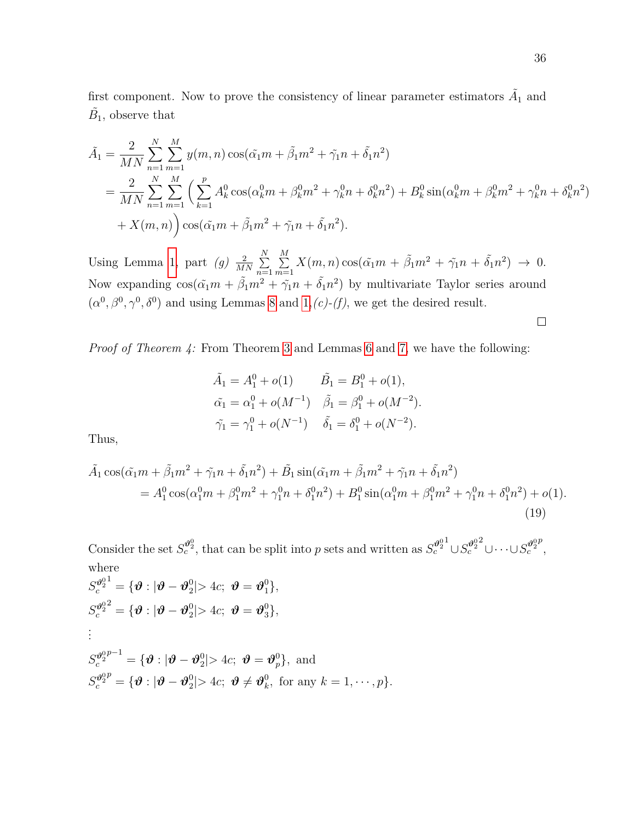first component. Now to prove the consistency of linear parameter estimators  $\tilde{A}_1$  and  $\tilde{B}_1$ , observe that

$$
\tilde{A}_1 = \frac{2}{MN} \sum_{n=1}^N \sum_{m=1}^M y(m, n) \cos(\tilde{\alpha}_1 m + \tilde{\beta}_1 m^2 + \tilde{\gamma}_1 n + \tilde{\delta}_1 n^2) \n= \frac{2}{MN} \sum_{n=1}^N \sum_{m=1}^M \left( \sum_{k=1}^p A_k^0 \cos(\alpha_k^0 m + \beta_k^0 m^2 + \gamma_k^0 n + \delta_k^0 n^2) + B_k^0 \sin(\alpha_k^0 m + \beta_k^0 m^2 + \gamma_k^0 n + \delta_k^0 n^2) \right) \n+ X(m, n) \cos(\tilde{\alpha}_1 m + \tilde{\beta}_1 m^2 + \tilde{\gamma}_1 n + \tilde{\delta}_1 n^2).
$$

Using Lemma [1,](#page-4-0) part  $(g) \frac{2}{MN} \sum_{n=1}^{N}$ *n*=1 P *M*  $\sum_{m=1}^{M} X(m, n) \cos(\tilde{\alpha_1} m + \tilde{\beta_1} m^2 + \tilde{\gamma_1} n + \tilde{\delta_1} n^2) \to 0.$ Now expanding  $cos(\tilde{\alpha_1}m + \tilde{\beta_1}m^2 + \tilde{\gamma_1}n + \tilde{\delta_1}n^2)$  by multivariate Taylor series around  $(\alpha^0, \beta^0, \gamma^0, \delta^0)$  and using Lemmas [8](#page-33-2) and [1,](#page-4-0)*(c)-(f)*, we get the desired result.

*Proof of Theorem 4:* From Theorem [3](#page-10-0) and Lemmas [6](#page-28-4) and [7,](#page-33-1) we have the following:

$$
\tilde{A}_1 = A_1^0 + o(1) \qquad \tilde{B}_1 = B_1^0 + o(1),
$$
  
\n
$$
\tilde{\alpha}_1 = \alpha_1^0 + o(M^{-1}) \qquad \tilde{\beta}_1 = \beta_1^0 + o(M^{-2}).
$$
  
\n
$$
\tilde{\gamma}_1 = \gamma_1^0 + o(N^{-1}) \qquad \tilde{\delta}_1 = \delta_1^0 + o(N^{-2}).
$$

Thus,

<span id="page-35-0"></span>
$$
\tilde{A}_1 \cos(\tilde{\alpha}_1 m + \tilde{\beta}_1 m^2 + \tilde{\gamma}_1 n + \tilde{\delta}_1 n^2) + \tilde{B}_1 \sin(\tilde{\alpha}_1 m + \tilde{\beta}_1 m^2 + \tilde{\gamma}_1 n + \tilde{\delta}_1 n^2) \n= A_1^0 \cos(\alpha_1^0 m + \beta_1^0 m^2 + \gamma_1^0 n + \delta_1^0 n^2) + B_1^0 \sin(\alpha_1^0 m + \beta_1^0 m^2 + \gamma_1^0 n + \delta_1^0 n^2) + o(1).
$$
\n(19)

Consider the set  $S_c^{\theta_2^0}$ , that can be split into *p* sets and written as  $S_c^{\theta_2^0}$ <sup>1</sup>∪ $S_c^{\theta_2^0}$  $\overset{2}{\cup} \cdots \cup \overset{2}{S^{\vartheta^0_2}_c}$ *p* , where  $S_c^{\theta_2^0}$  $\boldsymbol{\theta}^1 = \{\boldsymbol{\vartheta}:|\boldsymbol{\vartheta}-\boldsymbol{\vartheta}^0_2\}$  $2^0$   $\geq 4c$ ;  $\boldsymbol{\vartheta} = \boldsymbol{\vartheta}_1^0$ ,

$$
S_c^{\vartheta_2^{02}} = \{ \boldsymbol{\vartheta} : |\boldsymbol{\vartheta} - \boldsymbol{\vartheta}_2^{0}| > 4c; \ \boldsymbol{\vartheta} = \boldsymbol{\vartheta}_3^{0} \},
$$
  
\n:  
\n:  
\n
$$
S_c^{\vartheta_2^{0p-1}} = \{ \boldsymbol{\vartheta} : |\boldsymbol{\vartheta} - \boldsymbol{\vartheta}_2^{0}| > 4c; \ \boldsymbol{\vartheta} = \boldsymbol{\vartheta}_p^{0} \}, \text{ and}
$$
  
\n
$$
S_c^{\vartheta_2^{0p}} = \{ \boldsymbol{\vartheta} : |\boldsymbol{\vartheta} - \boldsymbol{\vartheta}_2^{0}| > 4c; \ \boldsymbol{\vartheta} \neq \boldsymbol{\vartheta}_k^{0}, \text{ for any } k = 1, \cdots, p \}.
$$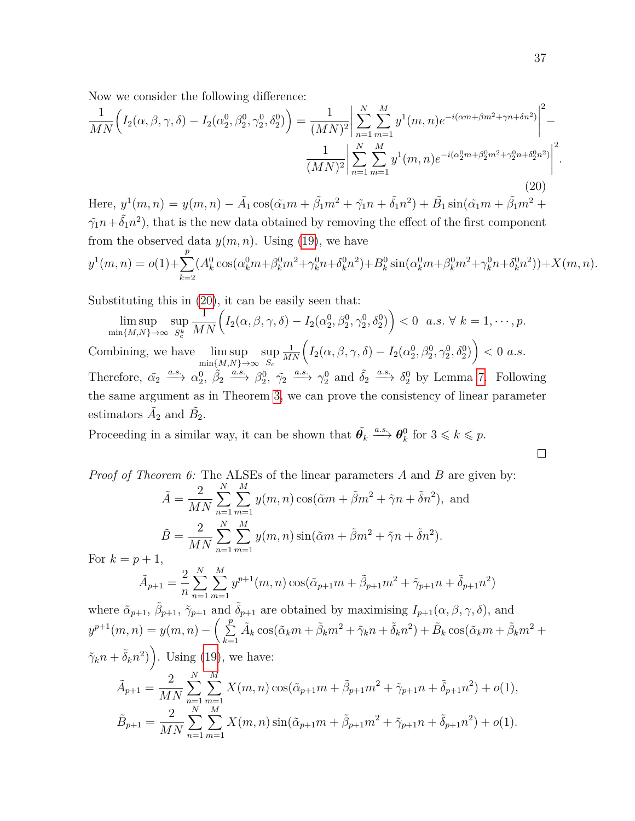Now we consider the following difference:

<span id="page-36-0"></span>
$$
\frac{1}{MN} \left( I_2(\alpha, \beta, \gamma, \delta) - I_2(\alpha_2^0, \beta_2^0, \gamma_2^0, \delta_2^0) \right) = \frac{1}{(MN)^2} \left| \sum_{n=1}^N \sum_{m=1}^M y^1(m, n) e^{-i(\alpha m + \beta m^2 + \gamma n + \delta n^2)} \right|^2 - \frac{1}{(MN)^2} \left| \sum_{n=1}^N \sum_{m=1}^M y^1(m, n) e^{-i(\alpha_2^0 m + \beta_2^0 m^2 + \gamma_2^0 n + \delta_2^0 n^2)} \right|^2.
$$
\n(20)

Here,  $y^{1}(m, n) = y(m, n) - \tilde{A}_{1} \cos(\tilde{\alpha}_{1}m + \tilde{\beta}_{1}m^{2} + \tilde{\gamma}_{1}n + \tilde{\delta}_{1}n^{2}) + \tilde{B}_{1} \sin(\tilde{\alpha}_{1}m + \tilde{\beta}_{1}m^{2} + \tilde{\delta}_{1}m^{2})$  $\tilde{\gamma_1}n + \tilde{\delta_1}n^2$ , that is the new data obtained by removing the effect of the first component from the observed data  $y(m, n)$ . Using [\(19\)](#page-35-0), we have  $y^1(m, n) = o(1) + \sum$ *p k*=2  $(A_k^0 \cos(\alpha_k^0 m + \beta_k^0 m^2 + \gamma_k^0 n + \delta_k^0 n^2) + B_k^0 \sin(\alpha_k^0 m + \beta_k^0 m^2 + \gamma_k^0 n + \delta_k^0 n^2)) + X(m, n).$ 

Substituting this in [\(20\)](#page-36-0), it can be easily seen that:

$$
\limsup_{\min\{M,N\}\to\infty}\sup_{S_c^k}\frac{1}{MN}\Big(I_2(\alpha,\beta,\gamma,\delta)-I_2(\alpha_2^0,\beta_2^0,\gamma_2^0,\delta_2^0)\Big)<0\ \ a.s.\ \ \forall\ \ k=1,\cdots,p.
$$

Combining, we have lim sup min{*M,N*}→∞ sup *Sc*  $\frac{1}{MN} \Big( I_2(\alpha, \beta, \gamma, \delta) - I_2(\alpha_2^0, \beta_2^0, \gamma_2^0, \delta_2^0) \Big) < 0 \,\, a.s.$ Therefore,  $\tilde{\alpha_2} \stackrel{a.s.}{\longrightarrow} \alpha_2^0$ ,  $\tilde{\beta_2} \stackrel{a.s.}{\longrightarrow} \beta_2^0$ ,  $\tilde{\gamma_2} \stackrel{a.s.}{\longrightarrow} \gamma_2^0$  and  $\tilde{\delta_2} \stackrel{a.s.}{\longrightarrow} \delta_2^0$  by Lemma [7.](#page-33-1) Following the same argument as in Theorem [3,](#page-10-0) we can prove the consistency of linear parameter estimators  $\tilde{A}_2$  and  $\tilde{B}_2$ .

Proceeding in a similar way, it can be shown that  $\tilde{\theta_k} \stackrel{a.s.}{\longrightarrow} \theta_k^0$  $k \nvert k$  for  $3 \leq k \leq p$ .

Proof of Theorem 6: The ALSEs of the linear parameters A and B are given by:  
\n
$$
\tilde{A} = \frac{2}{MN} \sum_{n=1}^{N} \sum_{m=1}^{M} y(m, n) \cos(\tilde{\alpha}m + \tilde{\beta}m^2 + \tilde{\gamma}n + \tilde{\delta}n^2),
$$
\nand  
\n
$$
\tilde{B} = \frac{2}{MN} \sum_{n=1}^{N} \sum_{m=1}^{M} y(m, n) \sin(\tilde{\alpha}m + \tilde{\beta}m^2 + \tilde{\gamma}n + \tilde{\delta}n^2).
$$
\nFor  $k = p + 1$ ,  
\n
$$
\tilde{A}_{p+1} = \frac{2}{n} \sum_{n=1}^{N} \sum_{m=1}^{M} y^{p+1}(m, n) \cos(\tilde{\alpha}_{p+1}m + \tilde{\beta}_{p+1}m^2 + \tilde{\gamma}_{p+1}n + \tilde{\delta}_{p+1}n^2)
$$

where  $\tilde{\alpha}_{p+1}, \tilde{\beta}_{p+1}, \tilde{\gamma}_{p+1}$  and  $\tilde{\delta}_{p+1}$  are obtained by maximising  $I_{p+1}(\alpha, \beta, \gamma, \delta)$ , and  $y^{p+1}(m, n) = y(m, n) - \left(\sum_{n=1}^{p} a_n y^{p+1}(m, n)\right)$ *k*=1  $\tilde{A}_k \cos(\tilde{\alpha}_k m + \tilde{\beta}_k m^2 + \tilde{\gamma}_k n + \tilde{\delta}_k n^2) + \tilde{B}_k \cos(\tilde{\alpha}_k m + \tilde{\beta}_k m^2 + \tilde{\gamma}_k n^2)$  $(\tilde{\gamma}_k n + \tilde{\delta}_k n^2)$ . Using [\(19\)](#page-35-0), we have:

$$
\tilde{A}_{p+1} = \frac{2}{MN} \sum_{n=1}^{N} \sum_{m=1}^{M} X(m,n) \cos(\tilde{\alpha}_{p+1}m + \tilde{\beta}_{p+1}m^2 + \tilde{\gamma}_{p+1}n + \tilde{\delta}_{p+1}n^2) + o(1),
$$
  

$$
\tilde{B}_{p+1} = \frac{2}{MN} \sum_{n=1}^{N} \sum_{m=1}^{M} X(m,n) \sin(\tilde{\alpha}_{p+1}m + \tilde{\beta}_{p+1}m^2 + \tilde{\gamma}_{p+1}n + \tilde{\delta}_{p+1}n^2) + o(1).
$$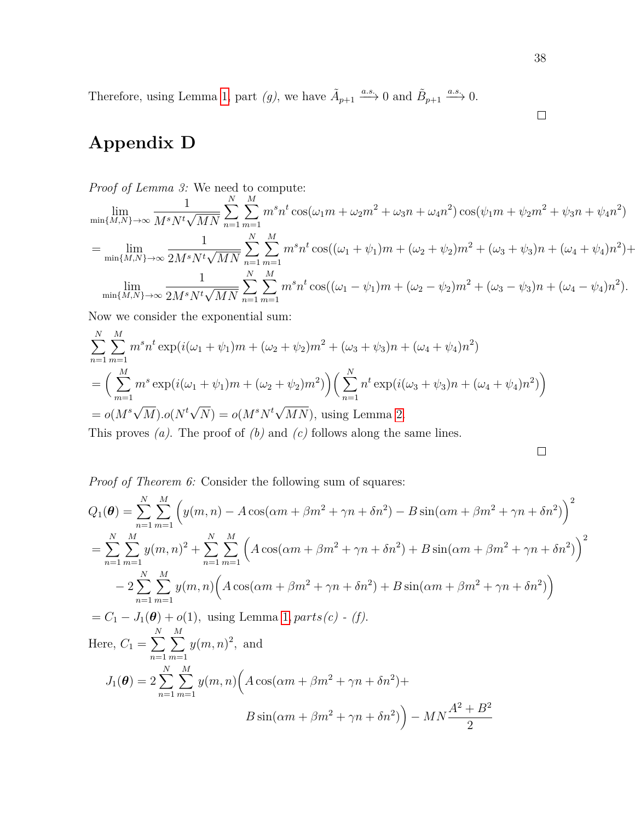Therefore, using Lemma [1,](#page-4-0) part *(g)*, we have  $\tilde{A}_{p+1} \xrightarrow{a.s.} 0$  and  $\tilde{B}_{p+1} \xrightarrow{a.s.} 0$ .

# <span id="page-37-0"></span>**Appendix D**

*Proof of Lemma 3:* We need to compute:

$$
\lim_{\min\{M,N\}\to\infty} \frac{1}{M^s N^t \sqrt{MN}} \sum_{n=1}^N \sum_{m=1}^M m^s n^t \cos(\omega_1 m + \omega_2 m^2 + \omega_3 n + \omega_4 n^2) \cos(\psi_1 m + \psi_2 m^2 + \psi_3 n + \psi_4 n^2)
$$
\n
$$
= \lim_{\min\{M,N\}\to\infty} \frac{1}{2M^s N^t \sqrt{MN}} \sum_{n=1}^N \sum_{m=1}^M m^s n^t \cos((\omega_1 + \psi_1)m + (\omega_2 + \psi_2)m^2 + (\omega_3 + \psi_3)n + (\omega_4 + \psi_4)n^2) + \lim_{\min\{M,N\}\to\infty} \frac{1}{2M^s N^t \sqrt{MN}} \sum_{n=1}^N \sum_{m=1}^M m^s n^t \cos((\omega_1 - \psi_1)m + (\omega_2 - \psi_2)m^2 + (\omega_3 - \psi_3)n + (\omega_4 - \psi_4)n^2).
$$

Now we consider the exponential sum:

$$
\sum_{n=1}^{N} \sum_{m=1}^{M} m^s n^t \exp(i(\omega_1 + \psi_1)m + (\omega_2 + \psi_2)m^2 + (\omega_3 + \psi_3)n + (\omega_4 + \psi_4)n^2)
$$
  
= 
$$
\left(\sum_{m=1}^{M} m^s \exp(i(\omega_1 + \psi_1)m + (\omega_2 + \psi_2)m^2)\right) \left(\sum_{n=1}^{N} n^t \exp(i(\omega_3 + \psi_3)n + (\omega_4 + \psi_4)n^2)\right)
$$
  
= 
$$
o(M^s \sqrt{M}).o(N^t \sqrt{N}) = o(M^s N^t \sqrt{MN}), \text{ using Lemma 2.}
$$
  
This proves (a). The proof of (b) and (c) follows along the same lines

This proves *(a)*. The proof of *(b)* and *(c)* follows along the same lines.

 $\Box$ 

*Proof of Theorem 6:* Consider the following sum of squares:

$$
Q_{1}(\theta) = \sum_{n=1}^{N} \sum_{m=1}^{M} \left( y(m, n) - A \cos(\alpha m + \beta m^{2} + \gamma n + \delta n^{2}) - B \sin(\alpha m + \beta m^{2} + \gamma n + \delta n^{2}) \right)^{2}
$$
  
= 
$$
\sum_{n=1}^{N} \sum_{m=1}^{M} y(m, n)^{2} + \sum_{n=1}^{N} \sum_{m=1}^{M} \left( A \cos(\alpha m + \beta m^{2} + \gamma n + \delta n^{2}) + B \sin(\alpha m + \beta m^{2} + \gamma n + \delta n^{2}) \right)^{2}
$$
  
- 
$$
2 \sum_{n=1}^{N} \sum_{m=1}^{M} y(m, n) \left( A \cos(\alpha m + \beta m^{2} + \gamma n + \delta n^{2}) + B \sin(\alpha m + \beta m^{2} + \gamma n + \delta n^{2}) \right)
$$
  
= 
$$
C_{1} - J_{1}(\theta) + o(1), \text{ using Lemma 1, parts}(c) - (f).
$$
  
Here, 
$$
C_{1} = \sum_{n=1}^{N} \sum_{m=1}^{M} y(m, n)^{2}, \text{ and}
$$

$$
J_{1}(\theta) = 2 \sum_{n=1}^{N} \sum_{m=1}^{M} y(m, n) \left( A \cos(\alpha m + \beta m^{2} + \gamma n + \delta n^{2}) + B \sin(\alpha m + \beta m^{2} + \gamma n + \delta n^{2}) \right) - MN \frac{A^{2} + B^{2}}{2}
$$

$$
B \sin(\alpha m + \beta m^{2} + \gamma n + \delta n^{2}) - MN \frac{A^{2} + B^{2}}{2}
$$

38

 $\hfill \square$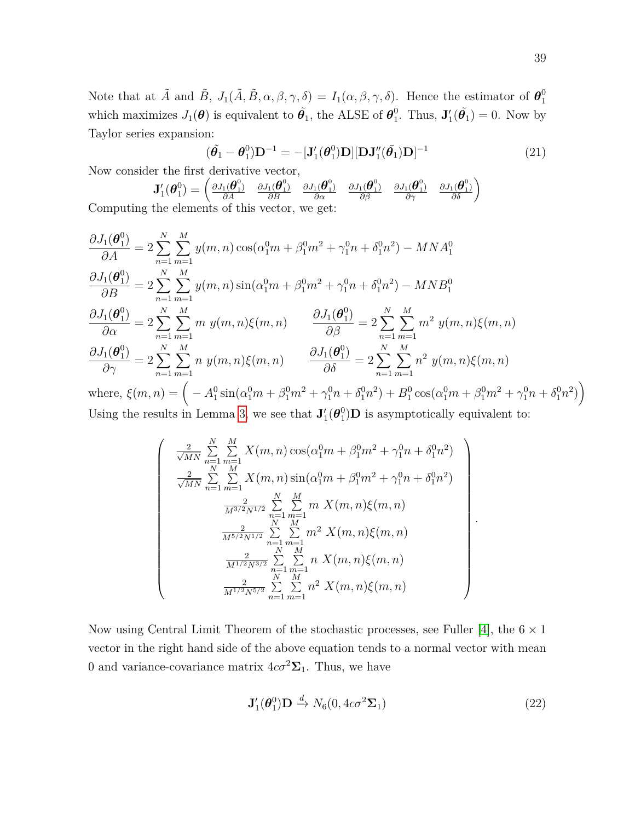Note that at  $\tilde{A}$  and  $\tilde{B}$ ,  $J_1(\tilde{A}, \tilde{B}, \alpha, \beta, \gamma, \delta) = I_1(\alpha, \beta, \gamma, \delta)$ . Hence the estimator of  $\boldsymbol{\theta}_1^0$ 1 which maximizes  $J_1(\theta)$  is equivalent to  $\tilde{\theta_1}$ , the ALSE of  $\theta_1^0$ <sup>0</sup><sub>1</sub>. Thus,  $\mathbf{J}'_1(\tilde{\theta}_1) = 0$ . Now by Taylor series expansion:

<span id="page-38-1"></span>
$$
(\tilde{\boldsymbol{\theta}_1} - \boldsymbol{\theta}_1^0) \mathbf{D}^{-1} = -[\mathbf{J}_1'(\boldsymbol{\theta}_1^0) \mathbf{D}][\mathbf{D}\mathbf{J}_1''(\bar{\boldsymbol{\theta}_1}) \mathbf{D}]^{-1}
$$
(21)

Now consider the first derivative vector,

 $\sqrt{ }$ 

$$
\mathbf{J}'_1(\boldsymbol{\theta}_1^0) = \begin{pmatrix} \frac{\partial J_1(\boldsymbol{\theta}_1^0)}{\partial A} & \frac{\partial J_1(\boldsymbol{\theta}_1^0)}{\partial B} & \frac{\partial J_1(\boldsymbol{\theta}_1^0)}{\partial B} & \frac{\partial J_1(\boldsymbol{\theta}_1^0)}{\partial B} & \frac{\partial J_1(\boldsymbol{\theta}_1^0)}{\partial B} & \frac{\partial J_1(\boldsymbol{\theta}_1^0)}{\partial B} \end{pmatrix}
$$
the elements of this vector, we get:

Computing the elements of this vector, we get:

$$
\frac{\partial J_1(\theta_1^0)}{\partial A} = 2 \sum_{n=1}^N \sum_{m=1}^M y(m, n) \cos(\alpha_1^0 m + \beta_1^0 m^2 + \gamma_1^0 n + \delta_1^0 n^2) - MNA_1^0
$$
  
\n
$$
\frac{\partial J_1(\theta_1^0)}{\partial B} = 2 \sum_{n=1}^N \sum_{m=1}^M y(m, n) \sin(\alpha_1^0 m + \beta_1^0 m^2 + \gamma_1^0 n + \delta_1^0 n^2) - MNB_1^0
$$
  
\n
$$
\frac{\partial J_1(\theta_1^0)}{\partial \alpha} = 2 \sum_{n=1}^N \sum_{m=1}^M m y(m, n) \xi(m, n) \qquad \frac{\partial J_1(\theta_1^0)}{\partial \beta} = 2 \sum_{n=1}^N \sum_{m=1}^M m^2 y(m, n) \xi(m, n)
$$
  
\n
$$
\frac{\partial J_1(\theta_1^0)}{\partial \gamma} = 2 \sum_{n=1}^N \sum_{m=1}^M n y(m, n) \xi(m, n) \qquad \frac{\partial J_1(\theta_1^0)}{\partial \delta} = 2 \sum_{n=1}^N \sum_{m=1}^M n^2 y(m, n) \xi(m, n)
$$
  
\nwhere  $\xi(m, n) = \left( -\frac{A^0 \sin(\alpha_1^0 m + \beta_1^0 m^2 + \alpha_1^0 m + \delta_1^0 m^2) + B^0 \cos(\alpha_1^0 m + \beta_1^0 m^2 + \alpha_1^0 m + \delta_1^0 m^2)}{B^0}$ 

where,  $\xi(m,n) = \left( -A_1^0 \sin(\alpha_1^0 m + \beta_1^0 m^2 + \gamma_1^0 n + \delta_1^0 n^2) + B_1^0 \cos(\alpha_1^0 m + \beta_1^0 m^2 + \gamma_1^0 n + \delta_1^0 n^2) \right)$ Using the results in Lemma [3,](#page-4-2) we see that  $J'_1(\theta_1^0)$  $_{1}^{0}$ )**D** is asymptotically equivalent to:

$$
\frac{2}{\sqrt{MN}} \sum_{n=1}^{N} \sum_{m=1}^{M} X(m, n) \cos(\alpha_1^0 m + \beta_1^0 m^2 + \gamma_1^0 n + \delta_1^0 n^2)
$$
\n
$$
\frac{2}{\sqrt{MN}} \sum_{n=1}^{N} \sum_{m=1}^{M} X(m, n) \sin(\alpha_1^0 m + \beta_1^0 m^2 + \gamma_1^0 n + \delta_1^0 n^2)
$$
\n
$$
\frac{2}{M^{3/2} N^{1/2}} \sum_{n=1}^{N} \sum_{m=1}^{M} m X(m, n) \xi(m, n)
$$
\n
$$
\frac{2}{M^{5/2} N^{1/2}} \sum_{n=1}^{N} \sum_{m=1}^{M} m^2 X(m, n) \xi(m, n)
$$
\n
$$
\frac{2}{M^{1/2} N^{3/2}} \sum_{n=1}^{N} \sum_{m=1}^{M} n X(m, n) \xi(m, n)
$$
\n
$$
\frac{2}{M^{1/2} N^{5/2}} \sum_{n=1}^{N} \sum_{m=1}^{M} n^2 X(m, n) \xi(m, n)
$$

Now using Central Limit Theorem of the stochastic processes, see Fuller [\[4\]](#page-39-3), the  $6 \times 1$ vector in the right hand side of the above equation tends to a normal vector with mean 0 and variance-covariance matrix  $4c\sigma^2\Sigma_1$ . Thus, we have

<span id="page-38-0"></span>
$$
\mathbf{J}'_1(\boldsymbol{\theta}_1^0)\mathbf{D} \xrightarrow{d} N_6(0, 4c\sigma^2 \mathbf{\Sigma}_1) \tag{22}
$$

*.*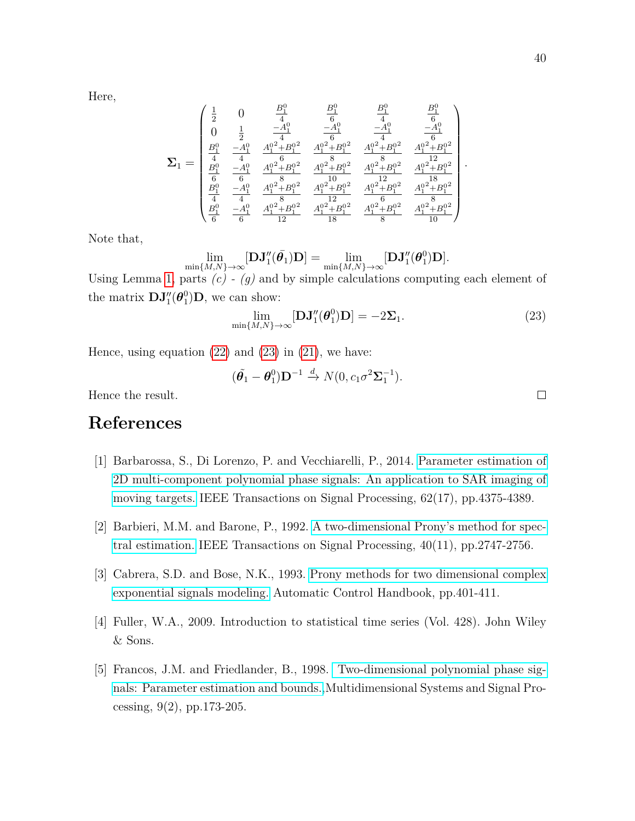Here,

$$
\Sigma_1=\begin{pmatrix} \frac{1}{2} & 0 & \frac{B_1^0}{4} & \frac{B_1^0}{6} & \frac{B_1^0}{4} & \frac{B_1^0}{6} \\ 0 & \frac{1}{2} & \frac{-A_1^0}{4} & \frac{-A_1^0}{6} & \frac{-A_1^0}{4} & \frac{-A_1^0}{6} \\ \frac{B_1^0}{4} & \frac{-A_1^0}{4} & \frac{A_1^0^2+B_1^0^2}{6} & \frac{A_1^0^2+B_1^0^2}{8} & \frac{A_1^0^2+B_1^0^2}{8} & \frac{A_1^0^2+B_1^0^2}{12} \\ \frac{B_1^0}{6} & \frac{-A_1^0}{6} & \frac{A_1^0^2+B_1^0^2}{8} & \frac{A_1^0^2+B_1^0^2}{10} & \frac{A_1^0^2+B_1^0^2}{12} & \frac{A_1^0^2+B_1^0^2}{18} \\ \frac{B_1^0}{4} & \frac{-A_1^0}{4} & \frac{A_1^0^2+B_1^0^2}{8} & \frac{A_1^0^2+B_1^0^2}{12} & \frac{A_1^0^2+B_1^0^2}{6} & \frac{A_1^0^2+B_1^0^2}{8} \\ \frac{B_1^0}{6} & \frac{-A_1^0}{6} & \frac{A_1^0^2+B_1^0^2}{12} & \frac{A_1^0^2+B_1^0^2}{18} & \frac{A_1^0^2+B_1^0^2}{8} & \frac{A_1^0^2+B_1^0^2}{10} \end{pmatrix}.
$$

Note that,

$$
\lim\limits_{\textnormal{min}{\{M, N\} \rightarrow} \infty}[\mathbf{DJ}''_1(\bar{\boldsymbol{\theta}_1})\mathbf{D}] = \lim\limits_{\textnormal{min}{\{M, N\} \rightarrow} \infty}[\mathbf{DJ}''_1(\boldsymbol{\theta}^0_1)\mathbf{D}].
$$

Using Lemma [1,](#page-4-0) parts *(c) - (g)* and by simple calculations computing each element of the matrix  $DJ''_1(\theta_1^0)$  $_{1}^{0}$  $(D,$  we can show:

<span id="page-39-4"></span>
$$
\lim_{\min\{M,N\}\to\infty}[\mathbf{D}\mathbf{J}_1''(\boldsymbol{\theta}_1^0)\mathbf{D}] = -2\Sigma_1.
$$
\n(23)

Hence, using equation  $(22)$  and  $(23)$  in  $(21)$ , we have:

$$
(\tilde{\boldsymbol{\theta}_1}-\boldsymbol{\theta}_1^0)\mathbf{D}^{-1} \stackrel{d}{\rightarrow} N(0, c_1\sigma^2\boldsymbol{\Sigma}_1^{-1}).
$$

Hence the result.

### **References**

- [1] Barbarossa, S., Di Lorenzo, P. and Vecchiarelli, P., 2014. [Parameter estimation of](https://www.researchgate.net/profile/Paolo_Di_Lorenzo/publication/264561679_Parameter_Estimation_of_2D_Multi-Component_Polynomial_Phase_Signals_An_Application_to_SAR_Imaging_of_Moving_Targets/links/551a936a0cf2f51a6fea70fd.pdf) [2D multi-component polynomial phase signals: An application to SAR imaging of](https://www.researchgate.net/profile/Paolo_Di_Lorenzo/publication/264561679_Parameter_Estimation_of_2D_Multi-Component_Polynomial_Phase_Signals_An_Application_to_SAR_Imaging_of_Moving_Targets/links/551a936a0cf2f51a6fea70fd.pdf) [moving targets.](https://www.researchgate.net/profile/Paolo_Di_Lorenzo/publication/264561679_Parameter_Estimation_of_2D_Multi-Component_Polynomial_Phase_Signals_An_Application_to_SAR_Imaging_of_Moving_Targets/links/551a936a0cf2f51a6fea70fd.pdf) IEEE Transactions on Signal Processing, 62(17), pp.4375-4389.
- <span id="page-39-1"></span>[2] Barbieri, M.M. and Barone, P., 1992. [A two-dimensional Prony's method for spec](http://ieeexplore.ieee.org/document/165661/#full-text-section)[tral estimation.](http://ieeexplore.ieee.org/document/165661/#full-text-section) IEEE Transactions on Signal Processing, 40(11), pp.2747-2756.
- <span id="page-39-2"></span>[3] Cabrera, S.D. and Bose, N.K., 1993. [Prony methods for two dimensional complex](http://ieeexplore.ieee.org/abstract/document/165661/) [exponential signals modeling.](http://ieeexplore.ieee.org/abstract/document/165661/) Automatic Control Handbook, pp.401-411.
- <span id="page-39-3"></span>[4] Fuller, W.A., 2009. Introduction to statistical time series (Vol. 428). John Wiley & Sons.
- <span id="page-39-0"></span>[5] Francos, J.M. and Friedlander, B., 1998. [Two-dimensional polynomial phase sig](https://www.researchgate.net/publication/227232096_Two-Dimensional_Polynomial_Phase_Signals_Parameter_Estimation_and_Bounds)[nals: Parameter estimation and bounds.,](https://www.researchgate.net/publication/227232096_Two-Dimensional_Polynomial_Phase_Signals_Parameter_Estimation_and_Bounds)Multidimensional Systems and Signal Processing, 9(2), pp.173-205.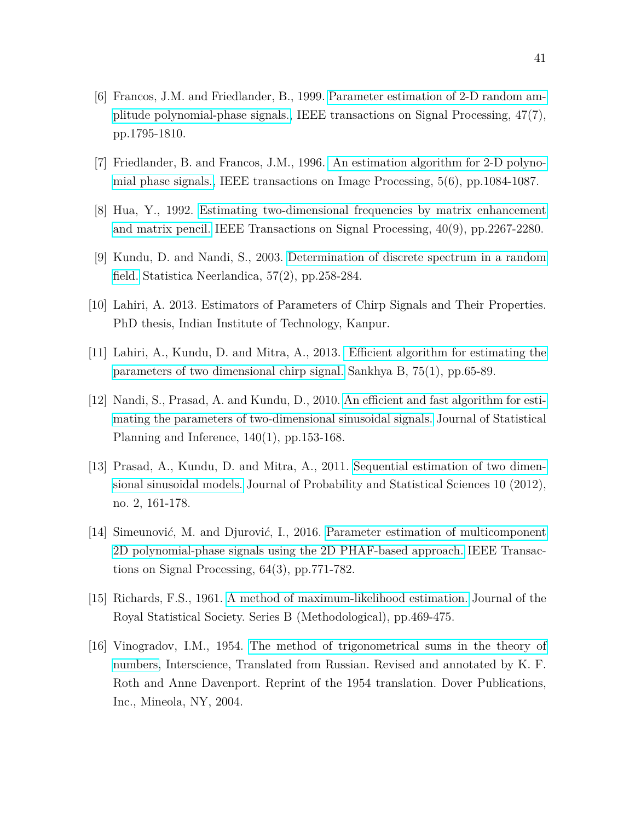- <span id="page-40-1"></span>[6] Francos, J.M. and Friedlander, B., 1999. [Parameter estimation of 2-D random am](https://www.researchgate.net/publication/3317289_Parameter_estimation_of_2-D_random_amplitude_polynomial-phase_signals)[plitude polynomial-phase signals.,](https://www.researchgate.net/publication/3317289_Parameter_estimation_of_2-D_random_amplitude_polynomial-phase_signals) IEEE transactions on Signal Processing, 47(7), pp.1795-1810.
- <span id="page-40-0"></span>[7] Friedlander, B. and Francos, J.M., 1996. [An estimation algorithm for 2-D polyno](https://www.researchgate.net/publication/2861980_An_Estimation_Algorithm_for_2-D_Polynomial_Phase_Signals)[mial phase signals.,](https://www.researchgate.net/publication/2861980_An_Estimation_Algorithm_for_2-D_Polynomial_Phase_Signals) IEEE transactions on Image Processing, 5(6), pp.1084-1087.
- <span id="page-40-4"></span>[8] Hua, Y., 1992. [Estimating two-dimensional frequencies by matrix enhancement](http://escholarship.org/uc/item/71d8k09w) [and matrix pencil.](http://escholarship.org/uc/item/71d8k09w) IEEE Transactions on Signal Processing, 40(9), pp.2267-2280.
- <span id="page-40-7"></span>[9] Kundu, D. and Nandi, S., 2003. [Determination of discrete spectrum in a random](http://onlinelibrary.wiley.com/doi/10.1111/1467-9574.00230/full) [field.](http://onlinelibrary.wiley.com/doi/10.1111/1467-9574.00230/full) Statistica Neerlandica, 57(2), pp.258-284.
- <span id="page-40-2"></span>[10] Lahiri, A. 2013. Estimators of Parameters of Chirp Signals and Their Properties. PhD thesis, Indian Institute of Technology, Kanpur.
- <span id="page-40-3"></span>[11] Lahiri, A., Kundu, D. and Mitra, A., 2013. [Efficient algorithm for estimating the](https://link.springer.com/article/10.1007/s13571-012-0048-x) [parameters of two dimensional chirp signal.](https://link.springer.com/article/10.1007/s13571-012-0048-x) Sankhya B, 75(1), pp.65-89.
- <span id="page-40-6"></span>[12] Nandi, S., Prasad, A. and Kundu, D., 2010. [An efficient and fast algorithm for esti](https://s3.amazonaws.com/academia.edu.documents/40395855/paper157.pdf?AWSAccessKeyId=AKIAIWOWYYGZ2Y53UL3A&Expires=1504599381&Signature=p8kGTBh %2F91ZF6MDRNYGgXLEnsGk%3D&response-content-disposition=inline%3B%20filename%3DAn_efficient_and_fast_algorithm_for_esti.pdf)[mating the parameters of two-dimensional sinusoidal signals.](https://s3.amazonaws.com/academia.edu.documents/40395855/paper157.pdf?AWSAccessKeyId=AKIAIWOWYYGZ2Y53UL3A&Expires=1504599381&Signature=p8kGTBh %2F91ZF6MDRNYGgXLEnsGk%3D&response-content-disposition=inline%3B%20filename%3DAn_efficient_and_fast_algorithm_for_esti.pdf) Journal of Statistical Planning and Inference, 140(1), pp.153-168.
- <span id="page-40-5"></span>[13] Prasad, A., Kundu, D. and Mitra, A., 2011. [Sequential estimation of two dimen](https://www.researchgate.net/profile/Debasis_Kundu/publication/267803020_Sequential_Estimation_of_Two-dimensional_Sinusoidal_Models/links/54cb6b4c0cf26a838e4cdc50.pdf)[sional sinusoidal models.](https://www.researchgate.net/profile/Debasis_Kundu/publication/267803020_Sequential_Estimation_of_Two-dimensional_Sinusoidal_Models/links/54cb6b4c0cf26a838e4cdc50.pdf) Journal of Probability and Statistical Sciences 10 (2012), no. 2, 161-178.
- [14] Simeunovi*c*´, M. and Djurovi*c*´, I., 2016. [Parameter estimation of multicomponent](http://ieeexplore.ieee.org/stamp/stamp.jsp?tp=&arnumber=7299683) [2D polynomial-phase signals using the 2D PHAF-based approach.](http://ieeexplore.ieee.org/stamp/stamp.jsp?tp=&arnumber=7299683) IEEE Transactions on Signal Processing, 64(3), pp.771-782.
- <span id="page-40-8"></span>[15] Richards, F.S., 1961. [A method of maximum-likelihood estimation.](https://www.researchgate.net/publication/268494756_A_method_of_Maximum_Likelihood_estimation) Journal of the Royal Statistical Society. Series B (Methodological), pp.469-475.
- [16] Vinogradov, I.M., 1954. [The method of trigonometrical sums in the theory of](https://www.researchgate.net/publication/247931639_The_method_of_trigonometrical_sums_in_the_theory_of_numbers) [numbers,](https://www.researchgate.net/publication/247931639_The_method_of_trigonometrical_sums_in_the_theory_of_numbers) Interscience, Translated from Russian. Revised and annotated by K. F. Roth and Anne Davenport. Reprint of the 1954 translation. Dover Publications, Inc., Mineola, NY, 2004.